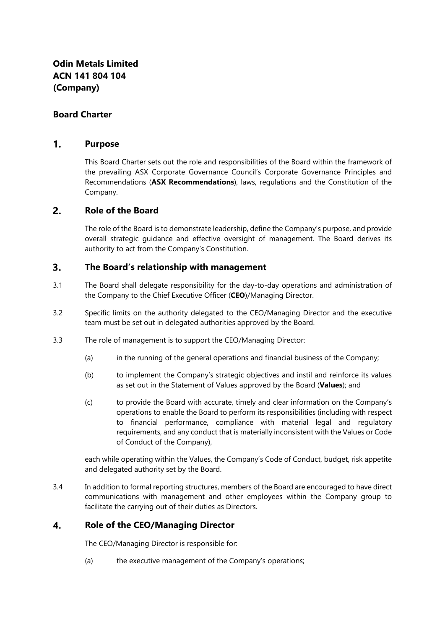# **Board Charter**

### $\mathbf{1}$ . **Purpose**

This Board Charter sets out the role and responsibilities of the Board within the framework of the prevailing ASX Corporate Governance Council's Corporate Governance Principles and Recommendations (**ASX Recommendations**), laws, regulations and the Constitution of the Company.

#### $2.$ **Role of the Board**

The role of the Board is to demonstrate leadership, define the Company's purpose, and provide overall strategic guidance and effective oversight of management. The Board derives its authority to act from the Company's Constitution.

### $3.$ **The Board's relationship with management**

- 3.1 The Board shall delegate responsibility for the day-to-day operations and administration of the Company to the Chief Executive Officer (**CEO**)/Managing Director.
- 3.2 Specific limits on the authority delegated to the CEO/Managing Director and the executive team must be set out in delegated authorities approved by the Board.
- 3.3 The role of management is to support the CEO/Managing Director:
	- (a) in the running of the general operations and financial business of the Company;
	- (b) to implement the Company's strategic objectives and instil and reinforce its values as set out in the Statement of Values approved by the Board (**Values**); and
	- (c) to provide the Board with accurate, timely and clear information on the Company's operations to enable the Board to perform its responsibilities (including with respect to financial performance, compliance with material legal and regulatory requirements, and any conduct that is materially inconsistent with the Values or Code of Conduct of the Company),

each while operating within the Values, the Company's Code of Conduct, budget, risk appetite and delegated authority set by the Board.

3.4 In addition to formal reporting structures, members of the Board are encouraged to have direct communications with management and other employees within the Company group to facilitate the carrying out of their duties as Directors.

#### $\overline{4}$ . **Role of the CEO/Managing Director**

The CEO/Managing Director is responsible for:

(a) the executive management of the Company's operations;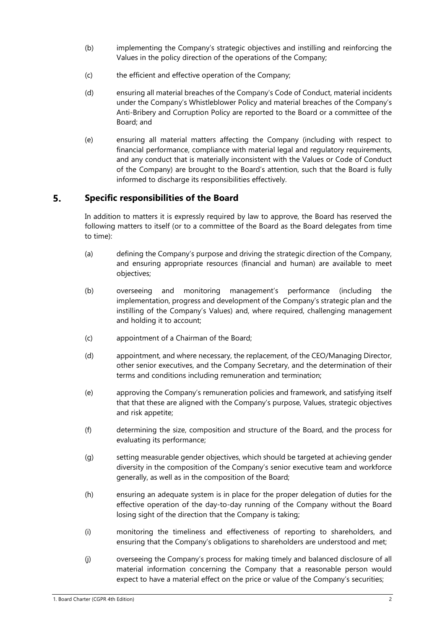- (b) implementing the Company's strategic objectives and instilling and reinforcing the Values in the policy direction of the operations of the Company;
- (c) the efficient and effective operation of the Company;
- (d) ensuring all material breaches of the Company's Code of Conduct, material incidents under the Company's Whistleblower Policy and material breaches of the Company's Anti-Bribery and Corruption Policy are reported to the Board or a committee of the Board; and
- (e) ensuring all material matters affecting the Company (including with respect to financial performance, compliance with material legal and regulatory requirements, and any conduct that is materially inconsistent with the Values or Code of Conduct of the Company) are brought to the Board's attention, such that the Board is fully informed to discharge its responsibilities effectively.

### 5. **Specific responsibilities of the Board**

In addition to matters it is expressly required by law to approve, the Board has reserved the following matters to itself (or to a committee of the Board as the Board delegates from time to time):

- (a) defining the Company's purpose and driving the strategic direction of the Company, and ensuring appropriate resources (financial and human) are available to meet objectives;
- (b) overseeing and monitoring management's performance (including the implementation, progress and development of the Company's strategic plan and the instilling of the Company's Values) and, where required, challenging management and holding it to account;
- (c) appointment of a Chairman of the Board;
- (d) appointment, and where necessary, the replacement, of the CEO/Managing Director, other senior executives, and the Company Secretary, and the determination of their terms and conditions including remuneration and termination;
- (e) approving the Company's remuneration policies and framework, and satisfying itself that that these are aligned with the Company's purpose, Values, strategic objectives and risk appetite;
- (f) determining the size, composition and structure of the Board, and the process for evaluating its performance;
- (g) setting measurable gender objectives, which should be targeted at achieving gender diversity in the composition of the Company's senior executive team and workforce generally, as well as in the composition of the Board;
- (h) ensuring an adequate system is in place for the proper delegation of duties for the effective operation of the day-to-day running of the Company without the Board losing sight of the direction that the Company is taking;
- (i) monitoring the timeliness and effectiveness of reporting to shareholders, and ensuring that the Company's obligations to shareholders are understood and met;
- (j) overseeing the Company's process for making timely and balanced disclosure of all material information concerning the Company that a reasonable person would expect to have a material effect on the price or value of the Company's securities;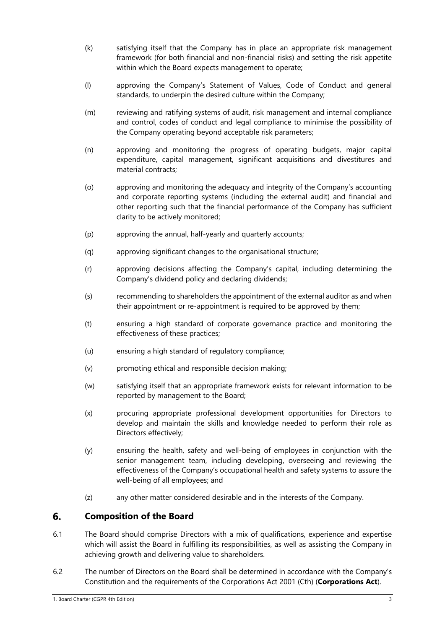- (k) satisfying itself that the Company has in place an appropriate risk management framework (for both financial and non-financial risks) and setting the risk appetite within which the Board expects management to operate;
- (l) approving the Company's Statement of Values, Code of Conduct and general standards, to underpin the desired culture within the Company:
- (m) reviewing and ratifying systems of audit, risk management and internal compliance and control, codes of conduct and legal compliance to minimise the possibility of the Company operating beyond acceptable risk parameters;
- (n) approving and monitoring the progress of operating budgets, major capital expenditure, capital management, significant acquisitions and divestitures and material contracts;
- (o) approving and monitoring the adequacy and integrity of the Company's accounting and corporate reporting systems (including the external audit) and financial and other reporting such that the financial performance of the Company has sufficient clarity to be actively monitored;
- (p) approving the annual, half-yearly and quarterly accounts;
- (q) approving significant changes to the organisational structure;
- (r) approving decisions affecting the Company's capital, including determining the Company's dividend policy and declaring dividends;
- (s) recommending to shareholders the appointment of the external auditor as and when their appointment or re-appointment is required to be approved by them;
- (t) ensuring a high standard of corporate governance practice and monitoring the effectiveness of these practices;
- (u) ensuring a high standard of regulatory compliance;
- (v) promoting ethical and responsible decision making;
- (w) satisfying itself that an appropriate framework exists for relevant information to be reported by management to the Board;
- (x) procuring appropriate professional development opportunities for Directors to develop and maintain the skills and knowledge needed to perform their role as Directors effectively;
- (y) ensuring the health, safety and well-being of employees in conjunction with the senior management team, including developing, overseeing and reviewing the effectiveness of the Company's occupational health and safety systems to assure the well-being of all employees; and
- (z) any other matter considered desirable and in the interests of the Company.

### 6. **Composition of the Board**

- 6.1 The Board should comprise Directors with a mix of qualifications, experience and expertise which will assist the Board in fulfilling its responsibilities, as well as assisting the Company in achieving growth and delivering value to shareholders.
- 6.2 The number of Directors on the Board shall be determined in accordance with the Company's Constitution and the requirements of the Corporations Act 2001 (Cth) (**Corporations Act**).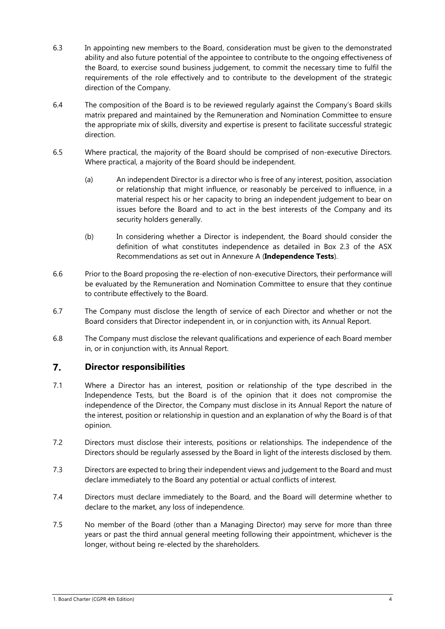- 6.3 In appointing new members to the Board, consideration must be given to the demonstrated ability and also future potential of the appointee to contribute to the ongoing effectiveness of the Board, to exercise sound business judgement, to commit the necessary time to fulfil the requirements of the role effectively and to contribute to the development of the strategic direction of the Company.
- 6.4 The composition of the Board is to be reviewed regularly against the Company's Board skills matrix prepared and maintained by the Remuneration and Nomination Committee to ensure the appropriate mix of skills, diversity and expertise is present to facilitate successful strategic direction.
- 6.5 Where practical, the majority of the Board should be comprised of non-executive Directors. Where practical, a majority of the Board should be independent.
	- (a) An independent Director is a director who is free of any interest, position, association or relationship that might influence, or reasonably be perceived to influence, in a material respect his or her capacity to bring an independent judgement to bear on issues before the Board and to act in the best interests of the Company and its security holders generally.
	- (b) In considering whether a Director is independent, the Board should consider the definition of what constitutes independence as detailed in Box 2.3 of the ASX Recommendations as set out in Annexure A (**Independence Tests**).
- 6.6 Prior to the Board proposing the re-election of non-executive Directors, their performance will be evaluated by the Remuneration and Nomination Committee to ensure that they continue to contribute effectively to the Board.
- 6.7 The Company must disclose the length of service of each Director and whether or not the Board considers that Director independent in, or in conjunction with, its Annual Report.
- 6.8 The Company must disclose the relevant qualifications and experience of each Board member in, or in conjunction with, its Annual Report.

### $\overline{7}$ . **Director responsibilities**

- 7.1 Where a Director has an interest, position or relationship of the type described in the Independence Tests, but the Board is of the opinion that it does not compromise the independence of the Director, the Company must disclose in its Annual Report the nature of the interest, position or relationship in question and an explanation of why the Board is of that opinion.
- 7.2 Directors must disclose their interests, positions or relationships. The independence of the Directors should be regularly assessed by the Board in light of the interests disclosed by them.
- 7.3 Directors are expected to bring their independent views and judgement to the Board and must declare immediately to the Board any potential or actual conflicts of interest.
- 7.4 Directors must declare immediately to the Board, and the Board will determine whether to declare to the market, any loss of independence.
- 7.5 No member of the Board (other than a Managing Director) may serve for more than three years or past the third annual general meeting following their appointment, whichever is the longer, without being re-elected by the shareholders.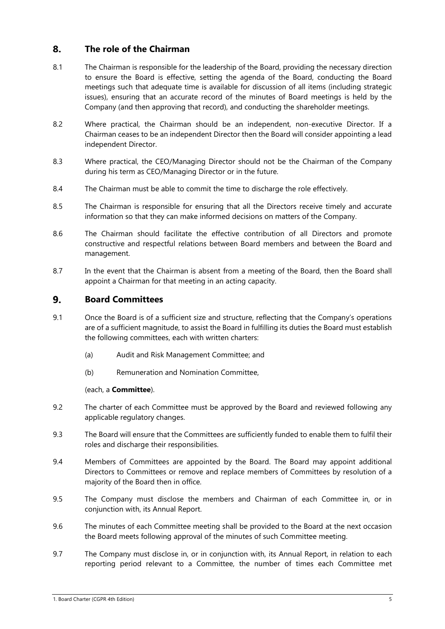### 8. **The role of the Chairman**

- 8.1 The Chairman is responsible for the leadership of the Board, providing the necessary direction to ensure the Board is effective, setting the agenda of the Board, conducting the Board meetings such that adequate time is available for discussion of all items (including strategic issues), ensuring that an accurate record of the minutes of Board meetings is held by the Company (and then approving that record), and conducting the shareholder meetings.
- 8.2 Where practical, the Chairman should be an independent, non-executive Director. If a Chairman ceases to be an independent Director then the Board will consider appointing a lead independent Director.
- 8.3 Where practical, the CEO/Managing Director should not be the Chairman of the Company during his term as CEO/Managing Director or in the future.
- 8.4 The Chairman must be able to commit the time to discharge the role effectively.
- 8.5 The Chairman is responsible for ensuring that all the Directors receive timely and accurate information so that they can make informed decisions on matters of the Company.
- 8.6 The Chairman should facilitate the effective contribution of all Directors and promote constructive and respectful relations between Board members and between the Board and management.
- 8.7 In the event that the Chairman is absent from a meeting of the Board, then the Board shall appoint a Chairman for that meeting in an acting capacity.

### $9<sub>1</sub>$ **Board Committees**

- 9.1 Once the Board is of a sufficient size and structure, reflecting that the Company's operations are of a sufficient magnitude, to assist the Board in fulfilling its duties the Board must establish the following committees, each with written charters:
	- (a) Audit and Risk Management Committee; and
	- (b) Remuneration and Nomination Committee,

## (each, a **Committee**).

- 9.2 The charter of each Committee must be approved by the Board and reviewed following any applicable regulatory changes.
- 9.3 The Board will ensure that the Committees are sufficiently funded to enable them to fulfil their roles and discharge their responsibilities.
- 9.4 Members of Committees are appointed by the Board. The Board may appoint additional Directors to Committees or remove and replace members of Committees by resolution of a majority of the Board then in office.
- 9.5 The Company must disclose the members and Chairman of each Committee in, or in conjunction with, its Annual Report.
- 9.6 The minutes of each Committee meeting shall be provided to the Board at the next occasion the Board meets following approval of the minutes of such Committee meeting.
- 9.7 The Company must disclose in, or in conjunction with, its Annual Report, in relation to each reporting period relevant to a Committee, the number of times each Committee met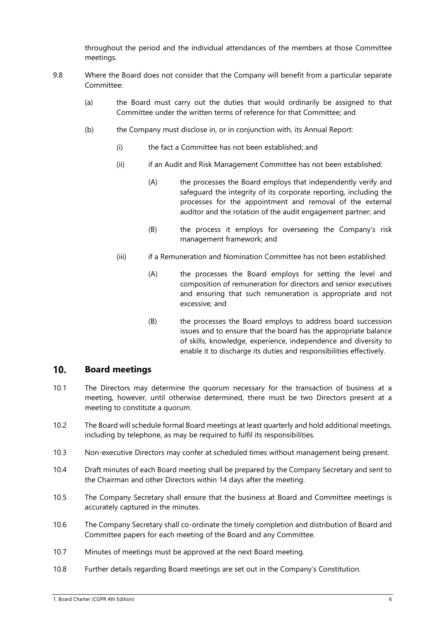throughout the period and the individual attendances of the members at those Committee meetings.

- 9.8 Where the Board does not consider that the Company will benefit from a particular separate Committee:
	- (a) the Board must carry out the duties that would ordinarily be assigned to that Committee under the written terms of reference for that Committee; and
	- (b) the Company must disclose in, or in conjunction with, its Annual Report:
		- (i) the fact a Committee has not been established; and
		- (ii) if an Audit and Risk Management Committee has not been established:
			- (A) the processes the Board employs that independently verify and safeguard the integrity of its corporate reporting, including the processes for the appointment and removal of the external auditor and the rotation of the audit engagement partner; and
			- (B) the process it employs for overseeing the Company's risk management framework; and
		- (iii) if a Remuneration and Nomination Committee has not been established:
			- (A) the processes the Board employs for setting the level and composition of remuneration for directors and senior executives and ensuring that such remuneration is appropriate and not excessive; and
			- (B) the processes the Board employs to address board succession issues and to ensure that the board has the appropriate balance of skills, knowledge, experience, independence and diversity to enable it to discharge its duties and responsibilities effectively.

#### $10<sub>1</sub>$ **Board meetings**

- 10.1 The Directors may determine the quorum necessary for the transaction of business at a meeting, however, until otherwise determined, there must be two Directors present at a meeting to constitute a quorum.
- 10.2 The Board will schedule formal Board meetings at least quarterly and hold additional meetings, including by telephone, as may be required to fulfil its responsibilities.
- 10.3 Non-executive Directors may confer at scheduled times without management being present.
- 10.4 Draft minutes of each Board meeting shall be prepared by the Company Secretary and sent to the Chairman and other Directors within 14 days after the meeting.
- 10.5 The Company Secretary shall ensure that the business at Board and Committee meetings is accurately captured in the minutes.
- 10.6 The Company Secretary shall co-ordinate the timely completion and distribution of Board and Committee papers for each meeting of the Board and any Committee.
- 10.7 Minutes of meetings must be approved at the next Board meeting.
- 10.8 Further details regarding Board meetings are set out in the Company's Constitution.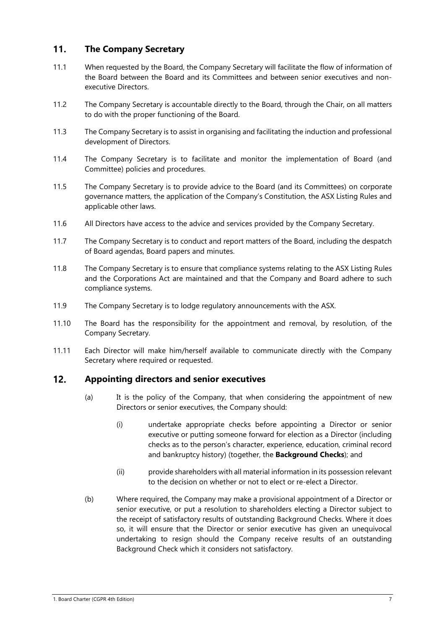### $11.$ **The Company Secretary**

- 11.1 When requested by the Board, the Company Secretary will facilitate the flow of information of the Board between the Board and its Committees and between senior executives and nonexecutive Directors.
- 11.2 The Company Secretary is accountable directly to the Board, through the Chair, on all matters to do with the proper functioning of the Board.
- 11.3 The Company Secretary is to assist in organising and facilitating the induction and professional development of Directors.
- 11.4 The Company Secretary is to facilitate and monitor the implementation of Board (and Committee) policies and procedures.
- 11.5 The Company Secretary is to provide advice to the Board (and its Committees) on corporate governance matters, the application of the Company's Constitution, the ASX Listing Rules and applicable other laws.
- 11.6 All Directors have access to the advice and services provided by the Company Secretary.
- 11.7 The Company Secretary is to conduct and report matters of the Board, including the despatch of Board agendas, Board papers and minutes.
- 11.8 The Company Secretary is to ensure that compliance systems relating to the ASX Listing Rules and the Corporations Act are maintained and that the Company and Board adhere to such compliance systems.
- 11.9 The Company Secretary is to lodge regulatory announcements with the ASX.
- 11.10 The Board has the responsibility for the appointment and removal, by resolution, of the Company Secretary.
- 11.11 Each Director will make him/herself available to communicate directly with the Company Secretary where required or requested.

### $12.$ **Appointing directors and senior executives**

- (a) It is the policy of the Company, that when considering the appointment of new Directors or senior executives, the Company should:
	- (i) undertake appropriate checks before appointing a Director or senior executive or putting someone forward for election as a Director (including checks as to the person's character, experience, education, criminal record and bankruptcy history) (together, the **Background Checks**); and
	- (ii) provide shareholders with all material information in its possession relevant to the decision on whether or not to elect or re-elect a Director.
- (b) Where required, the Company may make a provisional appointment of a Director or senior executive, or put a resolution to shareholders electing a Director subject to the receipt of satisfactory results of outstanding Background Checks. Where it does so, it will ensure that the Director or senior executive has given an unequivocal undertaking to resign should the Company receive results of an outstanding Background Check which it considers not satisfactory.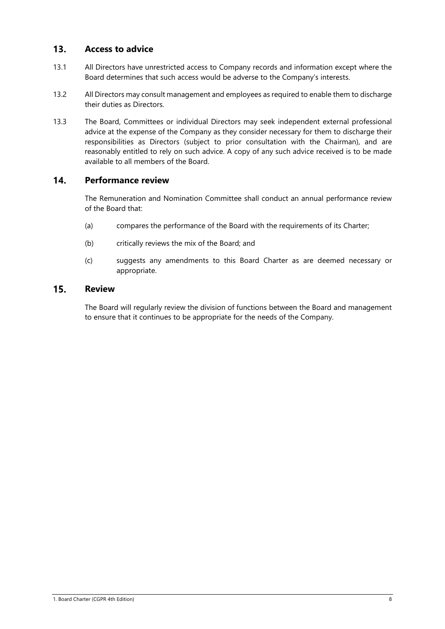### $13.$ **Access to advice**

- 13.1 All Directors have unrestricted access to Company records and information except where the Board determines that such access would be adverse to the Company's interests.
- 13.2 All Directors may consult management and employees as required to enable them to discharge their duties as Directors.
- 13.3 The Board, Committees or individual Directors may seek independent external professional advice at the expense of the Company as they consider necessary for them to discharge their responsibilities as Directors (subject to prior consultation with the Chairman), and are reasonably entitled to rely on such advice. A copy of any such advice received is to be made available to all members of the Board.

### $14.$ **Performance review**

The Remuneration and Nomination Committee shall conduct an annual performance review of the Board that:

- (a) compares the performance of the Board with the requirements of its Charter;
- (b) critically reviews the mix of the Board; and
- (c) suggests any amendments to this Board Charter as are deemed necessary or appropriate.

### $15.$ **Review**

The Board will regularly review the division of functions between the Board and management to ensure that it continues to be appropriate for the needs of the Company.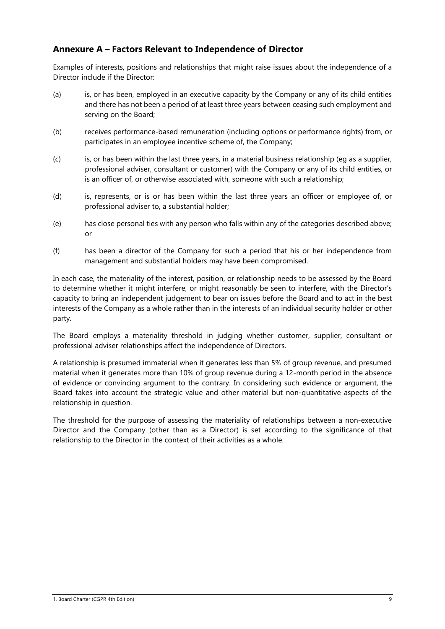# **Annexure A – Factors Relevant to Independence of Director**

Examples of interests, positions and relationships that might raise issues about the independence of a Director include if the Director:

- (a) is, or has been, employed in an executive capacity by the Company or any of its child entities and there has not been a period of at least three years between ceasing such employment and serving on the Board;
- (b) receives performance-based remuneration (including options or performance rights) from, or participates in an employee incentive scheme of, the Company;
- (c) is, or has been within the last three years, in a material business relationship (eg as a supplier, professional adviser, consultant or customer) with the Company or any of its child entities, or is an officer of, or otherwise associated with, someone with such a relationship;
- (d) is, represents, or is or has been within the last three years an officer or employee of, or professional adviser to, a substantial holder;
- (e) has close personal ties with any person who falls within any of the categories described above; or
- (f) has been a director of the Company for such a period that his or her independence from management and substantial holders may have been compromised.

In each case, the materiality of the interest, position, or relationship needs to be assessed by the Board to determine whether it might interfere, or might reasonably be seen to interfere, with the Director's capacity to bring an independent judgement to bear on issues before the Board and to act in the best interests of the Company as a whole rather than in the interests of an individual security holder or other party.

The Board employs a materiality threshold in judging whether customer, supplier, consultant or professional adviser relationships affect the independence of Directors.

A relationship is presumed immaterial when it generates less than 5% of group revenue, and presumed material when it generates more than 10% of group revenue during a 12-month period in the absence of evidence or convincing argument to the contrary. In considering such evidence or argument, the Board takes into account the strategic value and other material but non-quantitative aspects of the relationship in question.

The threshold for the purpose of assessing the materiality of relationships between a non-executive Director and the Company (other than as a Director) is set according to the significance of that relationship to the Director in the context of their activities as a whole.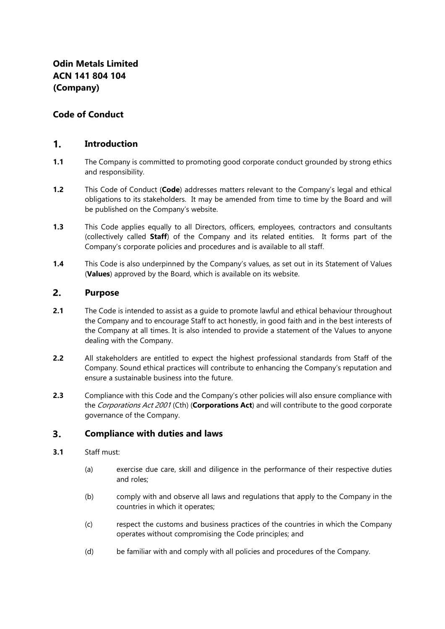# **Code of Conduct**

### $1<sub>1</sub>$ **Introduction**

- **1.1** The Company is committed to promoting good corporate conduct grounded by strong ethics and responsibility.
- **1.2** This Code of Conduct (**Code**) addresses matters relevant to the Company's legal and ethical obligations to its stakeholders. It may be amended from time to time by the Board and will be published on the Company's website.
- **1.3** This Code applies equally to all Directors, officers, employees, contractors and consultants (collectively called **Staff**) of the Company and its related entities. It forms part of the Company's corporate policies and procedures and is available to all staff.
- **1.4** This Code is also underpinned by the Company's values, as set out in its Statement of Values (**Values**) approved by the Board, which is available on its website.

#### $2.$ **Purpose**

- **2.1** The Code is intended to assist as a guide to promote lawful and ethical behaviour throughout the Company and to encourage Staff to act honestly, in good faith and in the best interests of the Company at all times. It is also intended to provide a statement of the Values to anyone dealing with the Company.
- **2.2** All stakeholders are entitled to expect the highest professional standards from Staff of the Company. Sound ethical practices will contribute to enhancing the Company's reputation and ensure a sustainable business into the future.
- **2.3** Compliance with this Code and the Company's other policies will also ensure compliance with the Corporations Act 2001 (Cth) (**Corporations Act**) and will contribute to the good corporate governance of the Company.

#### $3.$ **Compliance with duties and laws**

## **3.1** Staff must:

- (a) exercise due care, skill and diligence in the performance of their respective duties and roles;
- (b) comply with and observe all laws and regulations that apply to the Company in the countries in which it operates;
- (c) respect the customs and business practices of the countries in which the Company operates without compromising the Code principles; and
- (d) be familiar with and comply with all policies and procedures of the Company.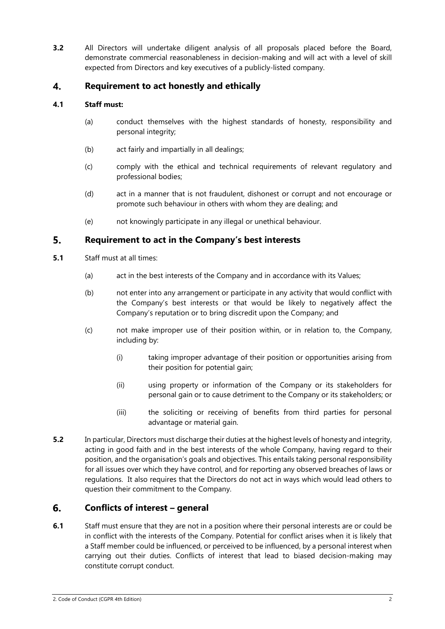**3.2** All Directors will undertake diligent analysis of all proposals placed before the Board, demonstrate commercial reasonableness in decision-making and will act with a level of skill expected from Directors and key executives of a publicly-listed company.

### **Requirement to act honestly and ethically**  $\overline{4}$ .

# **4.1 Staff must:**

- (a) conduct themselves with the highest standards of honesty, responsibility and personal integrity;
- (b) act fairly and impartially in all dealings;
- (c) comply with the ethical and technical requirements of relevant regulatory and professional bodies;
- (d) act in a manner that is not fraudulent, dishonest or corrupt and not encourage or promote such behaviour in others with whom they are dealing; and
- (e) not knowingly participate in any illegal or unethical behaviour.

#### $5.$ **Requirement to act in the Company's best interests**

- **5.1** Staff must at all times:
	- (a) act in the best interests of the Company and in accordance with its Values;
	- (b) not enter into any arrangement or participate in any activity that would conflict with the Company's best interests or that would be likely to negatively affect the Company's reputation or to bring discredit upon the Company; and
	- (c) not make improper use of their position within, or in relation to, the Company, including by:
		- (i) taking improper advantage of their position or opportunities arising from their position for potential gain;
		- (ii) using property or information of the Company or its stakeholders for personal gain or to cause detriment to the Company or its stakeholders; or
		- (iii) the soliciting or receiving of benefits from third parties for personal advantage or material gain.
- **5.2** In particular, Directors must discharge their duties at the highest levels of honesty and integrity, acting in good faith and in the best interests of the whole Company, having regard to their position, and the organisation's goals and objectives. This entails taking personal responsibility for all issues over which they have control, and for reporting any observed breaches of laws or regulations. It also requires that the Directors do not act in ways which would lead others to question their commitment to the Company.

### 6. **Conflicts of interest – general**

**6.1** Staff must ensure that they are not in a position where their personal interests are or could be in conflict with the interests of the Company. Potential for conflict arises when it is likely that a Staff member could be influenced, or perceived to be influenced, by a personal interest when carrying out their duties. Conflicts of interest that lead to biased decision-making may constitute corrupt conduct.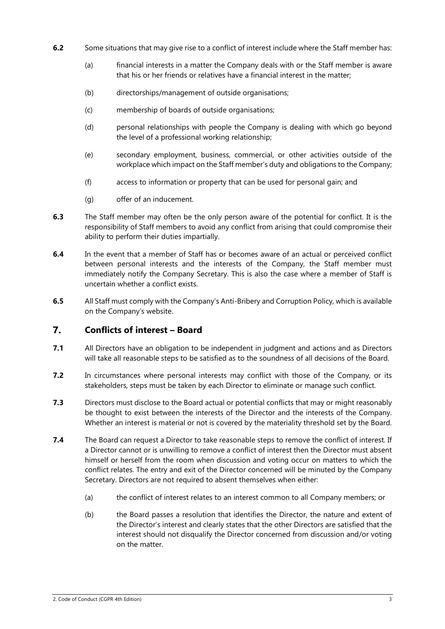- **6.2** Some situations that may give rise to a conflict of interest include where the Staff member has:
	- (a) financial interests in a matter the Company deals with or the Staff member is aware that his or her friends or relatives have a financial interest in the matter;
	- (b) directorships/management of outside organisations;
	- (c) membership of boards of outside organisations;
	- (d) personal relationships with people the Company is dealing with which go beyond the level of a professional working relationship;
	- (e) secondary employment, business, commercial, or other activities outside of the workplace which impact on the Staff member's duty and obligations to the Company;
	- (f) access to information or property that can be used for personal gain; and
	- (g) offer of an inducement.
- **6.3** The Staff member may often be the only person aware of the potential for conflict. It is the responsibility of Staff members to avoid any conflict from arising that could compromise their ability to perform their duties impartially.
- **6.4** In the event that a member of Staff has or becomes aware of an actual or perceived conflict between personal interests and the interests of the Company, the Staff member must immediately notify the Company Secretary. This is also the case where a member of Staff is uncertain whether a conflict exists.
- **6.5** All Staff must comply with the Company's Anti-Bribery and Corruption Policy, which is available on the Company's website.

### 7. **Conflicts of interest – Board**

- **7.1** All Directors have an obligation to be independent in judgment and actions and as Directors will take all reasonable steps to be satisfied as to the soundness of all decisions of the Board.
- **7.2** In circumstances where personal interests may conflict with those of the Company, or its stakeholders, steps must be taken by each Director to eliminate or manage such conflict.
- **7.3** Directors must disclose to the Board actual or potential conflicts that may or might reasonably be thought to exist between the interests of the Director and the interests of the Company. Whether an interest is material or not is covered by the materiality threshold set by the Board.
- **7.4** The Board can request a Director to take reasonable steps to remove the conflict of interest. If a Director cannot or is unwilling to remove a conflict of interest then the Director must absent himself or herself from the room when discussion and voting occur on matters to which the conflict relates. The entry and exit of the Director concerned will be minuted by the Company Secretary. Directors are not required to absent themselves when either:
	- (a) the conflict of interest relates to an interest common to all Company members; or
	- (b) the Board passes a resolution that identifies the Director, the nature and extent of the Director's interest and clearly states that the other Directors are satisfied that the interest should not disqualify the Director concerned from discussion and/or voting on the matter.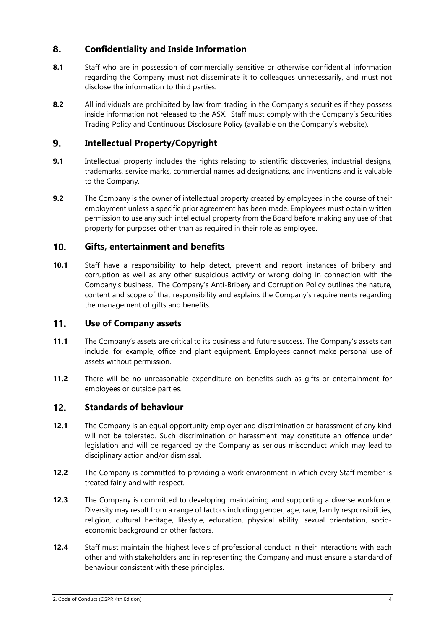### 8. **Confidentiality and Inside Information**

- **8.1** Staff who are in possession of commercially sensitive or otherwise confidential information regarding the Company must not disseminate it to colleagues unnecessarily, and must not disclose the information to third parties.
- **8.2** All individuals are prohibited by law from trading in the Company's securities if they possess inside information not released to the ASX. Staff must comply with the Company's Securities Trading Policy and Continuous Disclosure Policy (available on the Company's website).

### 9. **Intellectual Property/Copyright**

- **9.1** Intellectual property includes the rights relating to scientific discoveries, industrial designs, trademarks, service marks, commercial names ad designations, and inventions and is valuable to the Company.
- **9.2** The Company is the owner of intellectual property created by employees in the course of their employment unless a specific prior agreement has been made. Employees must obtain written permission to use any such intellectual property from the Board before making any use of that property for purposes other than as required in their role as employee.

### $10.$ **Gifts, entertainment and benefits**

**10.1** Staff have a responsibility to help detect, prevent and report instances of bribery and corruption as well as any other suspicious activity or wrong doing in connection with the Company's business. The Company's Anti-Bribery and Corruption Policy outlines the nature, content and scope of that responsibility and explains the Company's requirements regarding the management of gifts and benefits.

### $11.$ **Use of Company assets**

- **11.1** The Company's assets are critical to its business and future success. The Company's assets can include, for example, office and plant equipment. Employees cannot make personal use of assets without permission.
- **11.2** There will be no unreasonable expenditure on benefits such as gifts or entertainment for employees or outside parties.

### $12.$ **Standards of behaviour**

- **12.1** The Company is an equal opportunity employer and discrimination or harassment of any kind will not be tolerated. Such discrimination or harassment may constitute an offence under legislation and will be regarded by the Company as serious misconduct which may lead to disciplinary action and/or dismissal.
- **12.2** The Company is committed to providing a work environment in which every Staff member is treated fairly and with respect.
- **12.3** The Company is committed to developing, maintaining and supporting a diverse workforce. Diversity may result from a range of factors including gender, age, race, family responsibilities, religion, cultural heritage, lifestyle, education, physical ability, sexual orientation, socioeconomic background or other factors.
- **12.4** Staff must maintain the highest levels of professional conduct in their interactions with each other and with stakeholders and in representing the Company and must ensure a standard of behaviour consistent with these principles.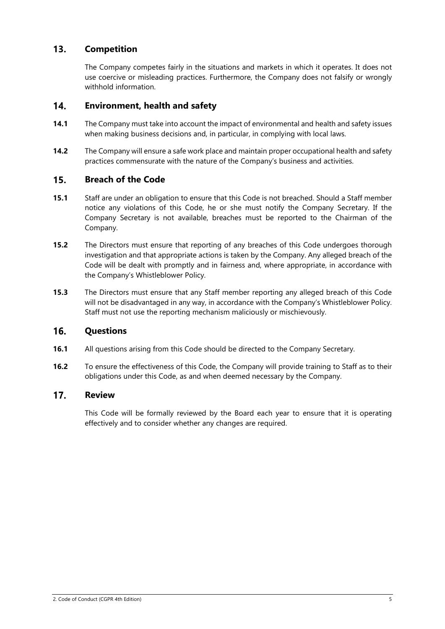### $13.$ **Competition**

The Company competes fairly in the situations and markets in which it operates. It does not use coercive or misleading practices. Furthermore, the Company does not falsify or wrongly withhold information.

#### $14.$ **Environment, health and safety**

- **14.1** The Company must take into account the impact of environmental and health and safety issues when making business decisions and, in particular, in complying with local laws.
- **14.2** The Company will ensure a safe work place and maintain proper occupational health and safety practices commensurate with the nature of the Company's business and activities.

#### $15.$ **Breach of the Code**

- **15.1** Staff are under an obligation to ensure that this Code is not breached. Should a Staff member notice any violations of this Code, he or she must notify the Company Secretary. If the Company Secretary is not available, breaches must be reported to the Chairman of the Company.
- **15.2** The Directors must ensure that reporting of any breaches of this Code undergoes thorough investigation and that appropriate actions is taken by the Company. Any alleged breach of the Code will be dealt with promptly and in fairness and, where appropriate, in accordance with the Company's Whistleblower Policy.
- **15.3** The Directors must ensure that any Staff member reporting any alleged breach of this Code will not be disadvantaged in any way, in accordance with the Company's Whistleblower Policy. Staff must not use the reporting mechanism maliciously or mischievously.

### 16. **Questions**

- **16.1** All questions arising from this Code should be directed to the Company Secretary.
- **16.2** To ensure the effectiveness of this Code, the Company will provide training to Staff as to their obligations under this Code, as and when deemed necessary by the Company.

### $17.$ **Review**

This Code will be formally reviewed by the Board each year to ensure that it is operating effectively and to consider whether any changes are required.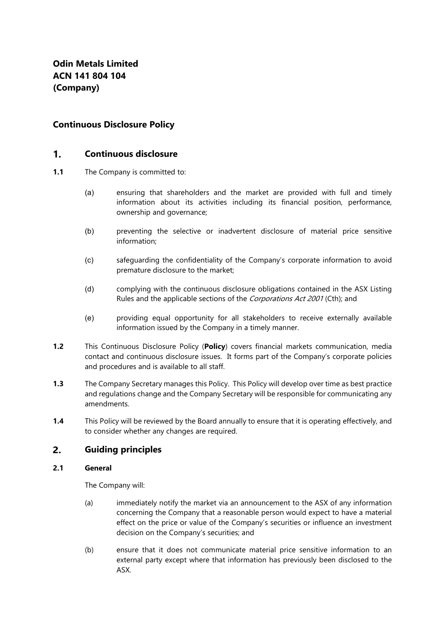# **Continuous Disclosure Policy**

#### $\mathbf 1$ **Continuous disclosure**

- **1.1** The Company is committed to:
	- (a) ensuring that shareholders and the market are provided with full and timely information about its activities including its financial position, performance, ownership and governance;
	- (b) preventing the selective or inadvertent disclosure of material price sensitive information;
	- (c) safeguarding the confidentiality of the Company's corporate information to avoid premature disclosure to the market;
	- (d) complying with the continuous disclosure obligations contained in the ASX Listing Rules and the applicable sections of the *Corporations Act 2001* (Cth); and
	- (e) providing equal opportunity for all stakeholders to receive externally available information issued by the Company in a timely manner.
- **1.2** This Continuous Disclosure Policy (**Policy**) covers financial markets communication, media contact and continuous disclosure issues. It forms part of the Company's corporate policies and procedures and is available to all staff.
- **1.3** The Company Secretary manages this Policy. This Policy will develop over time as best practice and regulations change and the Company Secretary will be responsible for communicating any amendments.
- **1.4** This Policy will be reviewed by the Board annually to ensure that it is operating effectively, and to consider whether any changes are required.

#### **Guiding principles**   $2.$

## **2.1 General**

The Company will:

- (a) immediately notify the market via an announcement to the ASX of any information concerning the Company that a reasonable person would expect to have a material effect on the price or value of the Company's securities or influence an investment decision on the Company's securities; and
- (b) ensure that it does not communicate material price sensitive information to an external party except where that information has previously been disclosed to the ASX.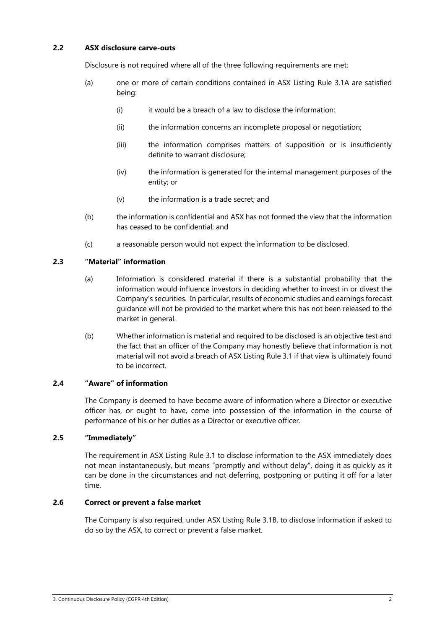## **2.2 ASX disclosure carve-outs**

Disclosure is not required where all of the three following requirements are met:

- (a) one or more of certain conditions contained in ASX Listing Rule 3.1A are satisfied being:
	- (i) it would be a breach of a law to disclose the information;
	- (ii) the information concerns an incomplete proposal or negotiation;
	- (iii) the information comprises matters of supposition or is insufficiently definite to warrant disclosure;
	- (iv) the information is generated for the internal management purposes of the entity; or
	- (v) the information is a trade secret; and
- (b) the information is confidential and ASX has not formed the view that the information has ceased to be confidential; and
- (c) a reasonable person would not expect the information to be disclosed.

## **2.3 "Material" information**

- (a) Information is considered material if there is a substantial probability that the information would influence investors in deciding whether to invest in or divest the Company's securities. In particular, results of economic studies and earnings forecast guidance will not be provided to the market where this has not been released to the market in general.
- (b) Whether information is material and required to be disclosed is an objective test and the fact that an officer of the Company may honestly believe that information is not material will not avoid a breach of ASX Listing Rule 3.1 if that view is ultimately found to be incorrect.

# **2.4 "Aware" of information**

The Company is deemed to have become aware of information where a Director or executive officer has, or ought to have, come into possession of the information in the course of performance of his or her duties as a Director or executive officer.

## **2.5 "Immediately"**

The requirement in ASX Listing Rule 3.1 to disclose information to the ASX immediately does not mean instantaneously, but means "promptly and without delay", doing it as quickly as it can be done in the circumstances and not deferring, postponing or putting it off for a later time.

# **2.6 Correct or prevent a false market**

The Company is also required, under ASX Listing Rule 3.1B, to disclose information if asked to do so by the ASX, to correct or prevent a false market.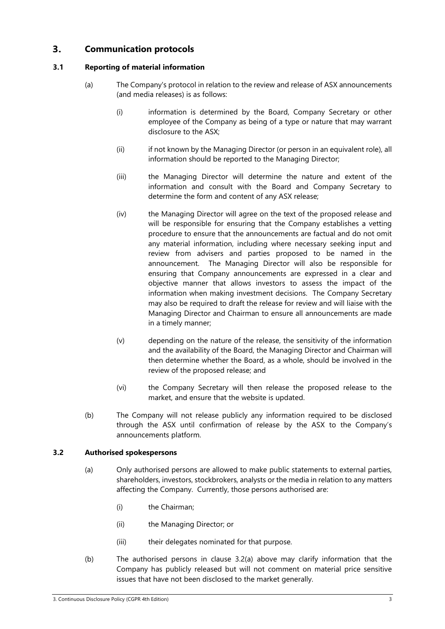### $3<sub>1</sub>$ **Communication protocols**

# **3.1 Reporting of material information**

- (a) The Company's protocol in relation to the review and release of ASX announcements (and media releases) is as follows:
	- (i) information is determined by the Board, Company Secretary or other employee of the Company as being of a type or nature that may warrant disclosure to the ASX;
	- (ii) if not known by the Managing Director (or person in an equivalent role), all information should be reported to the Managing Director;
	- (iii) the Managing Director will determine the nature and extent of the information and consult with the Board and Company Secretary to determine the form and content of any ASX release;
	- (iv) the Managing Director will agree on the text of the proposed release and will be responsible for ensuring that the Company establishes a vetting procedure to ensure that the announcements are factual and do not omit any material information, including where necessary seeking input and review from advisers and parties proposed to be named in the announcement. The Managing Director will also be responsible for ensuring that Company announcements are expressed in a clear and objective manner that allows investors to assess the impact of the information when making investment decisions. The Company Secretary may also be required to draft the release for review and will liaise with the Managing Director and Chairman to ensure all announcements are made in a timely manner;
	- (v) depending on the nature of the release, the sensitivity of the information and the availability of the Board, the Managing Director and Chairman will then determine whether the Board, as a whole, should be involved in the review of the proposed release; and
	- (vi) the Company Secretary will then release the proposed release to the market, and ensure that the website is updated.
- (b) The Company will not release publicly any information required to be disclosed through the ASX until confirmation of release by the ASX to the Company's announcements platform.

# **3.2 Authorised spokespersons**

- (a) Only authorised persons are allowed to make public statements to external parties, shareholders, investors, stockbrokers, analysts or the media in relation to any matters affecting the Company. Currently, those persons authorised are:
	- (i) the Chairman;
	- (ii) the Managing Director; or
	- (iii) their delegates nominated for that purpose.
- (b) The authorised persons in clause 3.2(a) above may clarify information that the Company has publicly released but will not comment on material price sensitive issues that have not been disclosed to the market generally.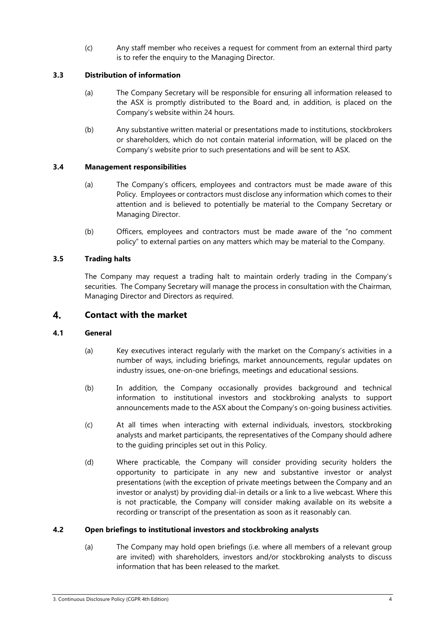(c) Any staff member who receives a request for comment from an external third party is to refer the enquiry to the Managing Director.

# **3.3 Distribution of information**

- (a) The Company Secretary will be responsible for ensuring all information released to the ASX is promptly distributed to the Board and, in addition, is placed on the Company's website within 24 hours.
- (b) Any substantive written material or presentations made to institutions, stockbrokers or shareholders, which do not contain material information, will be placed on the Company's website prior to such presentations and will be sent to ASX.

# **3.4 Management responsibilities**

- (a) The Company's officers, employees and contractors must be made aware of this Policy. Employees or contractors must disclose any information which comes to their attention and is believed to potentially be material to the Company Secretary or Managing Director.
- (b) Officers, employees and contractors must be made aware of the "no comment policy" to external parties on any matters which may be material to the Company.

# **3.5 Trading halts**

The Company may request a trading halt to maintain orderly trading in the Company's securities. The Company Secretary will manage the process in consultation with the Chairman, Managing Director and Directors as required.

### 4. **Contact with the market**

# **4.1 General**

- (a) Key executives interact regularly with the market on the Company's activities in a number of ways, including briefings, market announcements, regular updates on industry issues, one-on-one briefings, meetings and educational sessions.
- (b) In addition, the Company occasionally provides background and technical information to institutional investors and stockbroking analysts to support announcements made to the ASX about the Company's on-going business activities.
- (c) At all times when interacting with external individuals, investors, stockbroking analysts and market participants, the representatives of the Company should adhere to the guiding principles set out in this Policy.
- (d) Where practicable, the Company will consider providing security holders the opportunity to participate in any new and substantive investor or analyst presentations (with the exception of private meetings between the Company and an investor or analyst) by providing dial-in details or a link to a live webcast. Where this is not practicable, the Company will consider making available on its website a recording or transcript of the presentation as soon as it reasonably can.

# **4.2 Open briefings to institutional investors and stockbroking analysts**

(a) The Company may hold open briefings (i.e. where all members of a relevant group are invited) with shareholders, investors and/or stockbroking analysts to discuss information that has been released to the market.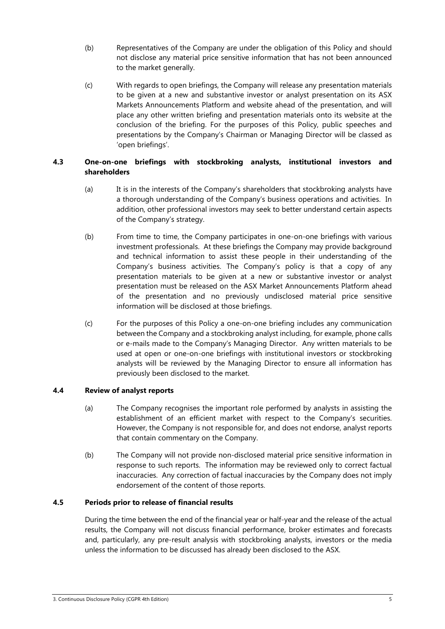- (b) Representatives of the Company are under the obligation of this Policy and should not disclose any material price sensitive information that has not been announced to the market generally.
- (c) With regards to open briefings, the Company will release any presentation materials to be given at a new and substantive investor or analyst presentation on its ASX Markets Announcements Platform and website ahead of the presentation, and will place any other written briefing and presentation materials onto its website at the conclusion of the briefing. For the purposes of this Policy, public speeches and presentations by the Company's Chairman or Managing Director will be classed as 'open briefings'.

# **4.3 One-on-one briefings with stockbroking analysts, institutional investors and shareholders**

- (a) It is in the interests of the Company's shareholders that stockbroking analysts have a thorough understanding of the Company's business operations and activities. In addition, other professional investors may seek to better understand certain aspects of the Company's strategy.
- (b) From time to time, the Company participates in one-on-one briefings with various investment professionals. At these briefings the Company may provide background and technical information to assist these people in their understanding of the Company's business activities. The Company's policy is that a copy of any presentation materials to be given at a new or substantive investor or analyst presentation must be released on the ASX Market Announcements Platform ahead of the presentation and no previously undisclosed material price sensitive information will be disclosed at those briefings.
- (c) For the purposes of this Policy a one-on-one briefing includes any communication between the Company and a stockbroking analyst including, for example, phone calls or e-mails made to the Company's Managing Director. Any written materials to be used at open or one-on-one briefings with institutional investors or stockbroking analysts will be reviewed by the Managing Director to ensure all information has previously been disclosed to the market.

# **4.4 Review of analyst reports**

- (a) The Company recognises the important role performed by analysts in assisting the establishment of an efficient market with respect to the Company's securities. However, the Company is not responsible for, and does not endorse, analyst reports that contain commentary on the Company.
- (b) The Company will not provide non-disclosed material price sensitive information in response to such reports. The information may be reviewed only to correct factual inaccuracies. Any correction of factual inaccuracies by the Company does not imply endorsement of the content of those reports.

# **4.5 Periods prior to release of financial results**

During the time between the end of the financial year or half-year and the release of the actual results, the Company will not discuss financial performance, broker estimates and forecasts and, particularly, any pre-result analysis with stockbroking analysts, investors or the media unless the information to be discussed has already been disclosed to the ASX.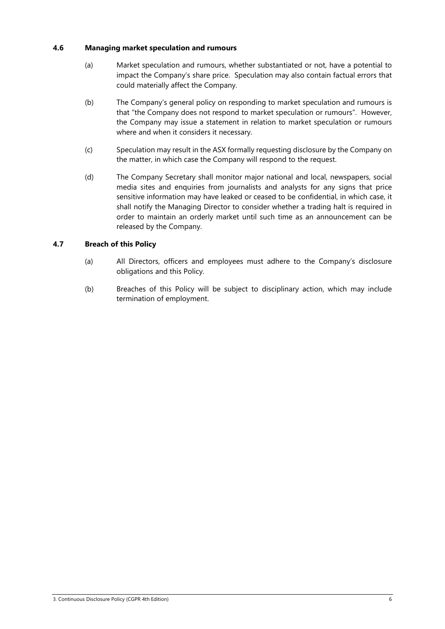## **4.6 Managing market speculation and rumours**

- (a) Market speculation and rumours, whether substantiated or not, have a potential to impact the Company's share price. Speculation may also contain factual errors that could materially affect the Company.
- (b) The Company's general policy on responding to market speculation and rumours is that "the Company does not respond to market speculation or rumours". However, the Company may issue a statement in relation to market speculation or rumours where and when it considers it necessary.
- (c) Speculation may result in the ASX formally requesting disclosure by the Company on the matter, in which case the Company will respond to the request.
- (d) The Company Secretary shall monitor major national and local, newspapers, social media sites and enquiries from journalists and analysts for any signs that price sensitive information may have leaked or ceased to be confidential, in which case, it shall notify the Managing Director to consider whether a trading halt is required in order to maintain an orderly market until such time as an announcement can be released by the Company.

# **4.7 Breach of this Policy**

- (a) All Directors, officers and employees must adhere to the Company's disclosure obligations and this Policy.
- (b) Breaches of this Policy will be subject to disciplinary action, which may include termination of employment.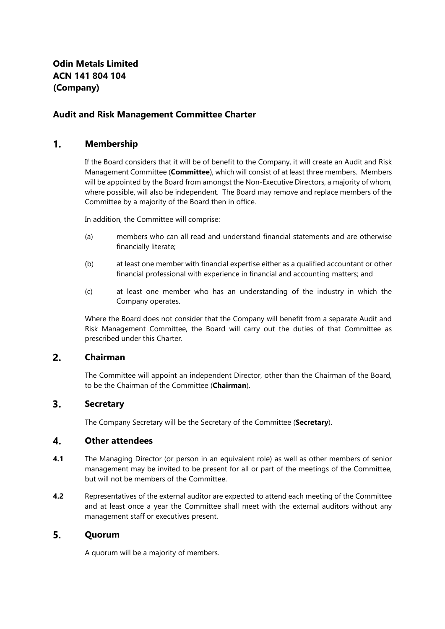# **Audit and Risk Management Committee Charter**

### $1<sub>1</sub>$ **Membership**

If the Board considers that it will be of benefit to the Company, it will create an Audit and Risk Management Committee (**Committee**), which will consist of at least three members. Members will be appointed by the Board from amongst the Non-Executive Directors, a majority of whom, where possible, will also be independent. The Board may remove and replace members of the Committee by a majority of the Board then in office.

In addition, the Committee will comprise:

- (a) members who can all read and understand financial statements and are otherwise financially literate;
- (b) at least one member with financial expertise either as a qualified accountant or other financial professional with experience in financial and accounting matters; and
- (c) at least one member who has an understanding of the industry in which the Company operates.

Where the Board does not consider that the Company will benefit from a separate Audit and Risk Management Committee, the Board will carry out the duties of that Committee as prescribed under this Charter.

#### $2<sup>1</sup>$ **Chairman**

The Committee will appoint an independent Director, other than the Chairman of the Board, to be the Chairman of the Committee (**Chairman**).

#### $3.$ **Secretary**

The Company Secretary will be the Secretary of the Committee (**Secretary**).

#### $\boldsymbol{4}$ . **Other attendees**

- **4.1** The Managing Director (or person in an equivalent role) as well as other members of senior management may be invited to be present for all or part of the meetings of the Committee, but will not be members of the Committee.
- **4.2** Representatives of the external auditor are expected to attend each meeting of the Committee and at least once a year the Committee shall meet with the external auditors without any management staff or executives present.

### 5. **Quorum**

A quorum will be a majority of members.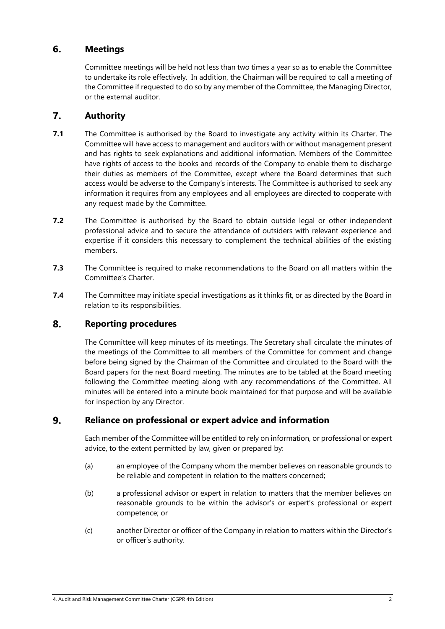### 6. **Meetings**

Committee meetings will be held not less than two times a year so as to enable the Committee to undertake its role effectively. In addition, the Chairman will be required to call a meeting of the Committee if requested to do so by any member of the Committee, the Managing Director, or the external auditor.

### $\overline{7}$ . **Authority**

- **7.1** The Committee is authorised by the Board to investigate any activity within its Charter. The Committee will have access to management and auditors with or without management present and has rights to seek explanations and additional information. Members of the Committee have rights of access to the books and records of the Company to enable them to discharge their duties as members of the Committee, except where the Board determines that such access would be adverse to the Company's interests. The Committee is authorised to seek any information it requires from any employees and all employees are directed to cooperate with any request made by the Committee.
- **7.2** The Committee is authorised by the Board to obtain outside legal or other independent professional advice and to secure the attendance of outsiders with relevant experience and expertise if it considers this necessary to complement the technical abilities of the existing members.
- **7.3** The Committee is required to make recommendations to the Board on all matters within the Committee's Charter.
- **7.4** The Committee may initiate special investigations as it thinks fit, or as directed by the Board in relation to its responsibilities.

### 8. **Reporting procedures**

The Committee will keep minutes of its meetings. The Secretary shall circulate the minutes of the meetings of the Committee to all members of the Committee for comment and change before being signed by the Chairman of the Committee and circulated to the Board with the Board papers for the next Board meeting. The minutes are to be tabled at the Board meeting following the Committee meeting along with any recommendations of the Committee. All minutes will be entered into a minute book maintained for that purpose and will be available for inspection by any Director.

### 9. **Reliance on professional or expert advice and information**

Each member of the Committee will be entitled to rely on information, or professional or expert advice, to the extent permitted by law, given or prepared by:

- (a) an employee of the Company whom the member believes on reasonable grounds to be reliable and competent in relation to the matters concerned;
- (b) a professional advisor or expert in relation to matters that the member believes on reasonable grounds to be within the advisor's or expert's professional or expert competence; or
- (c) another Director or officer of the Company in relation to matters within the Director's or officer's authority.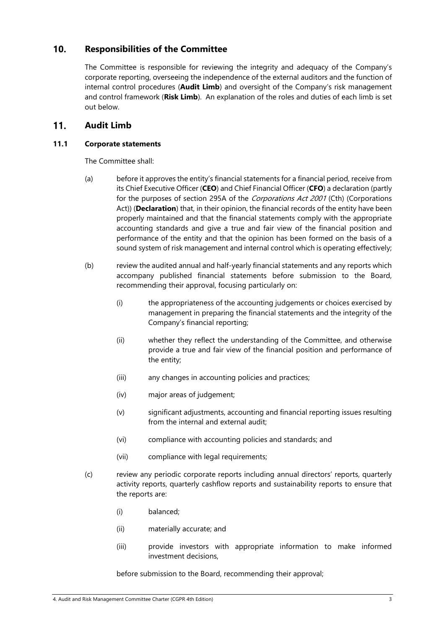### $10.$ **Responsibilities of the Committee**

The Committee is responsible for reviewing the integrity and adequacy of the Company's corporate reporting, overseeing the independence of the external auditors and the function of internal control procedures (**Audit Limb**) and oversight of the Company's risk management and control framework (**Risk Limb**). An explanation of the roles and duties of each limb is set out below.

### $11.$ **Audit Limb**

# **11.1 Corporate statements**

The Committee shall:

- (a) before it approves the entity's financial statements for a financial period, receive from its Chief Executive Officer (**CEO**) and Chief Financial Officer (**CFO**) a declaration (partly for the purposes of section 295A of the Corporations Act 2001 (Cth) (Corporations Act)) (**Declaration**) that, in their opinion, the financial records of the entity have been properly maintained and that the financial statements comply with the appropriate accounting standards and give a true and fair view of the financial position and performance of the entity and that the opinion has been formed on the basis of a sound system of risk management and internal control which is operating effectively;
- (b) review the audited annual and half-yearly financial statements and any reports which accompany published financial statements before submission to the Board, recommending their approval, focusing particularly on:
	- (i) the appropriateness of the accounting judgements or choices exercised by management in preparing the financial statements and the integrity of the Company's financial reporting;
	- (ii) whether they reflect the understanding of the Committee, and otherwise provide a true and fair view of the financial position and performance of the entity;
	- (iii) any changes in accounting policies and practices;
	- (iv) major areas of judgement;
	- (v) significant adjustments, accounting and financial reporting issues resulting from the internal and external audit;
	- (vi) compliance with accounting policies and standards; and
	- (vii) compliance with legal requirements:
- (c) review any periodic corporate reports including annual directors' reports, quarterly activity reports, quarterly cashflow reports and sustainability reports to ensure that the reports are:
	- (i) balanced;
	- (ii) materially accurate; and
	- (iii) provide investors with appropriate information to make informed investment decisions,

before submission to the Board, recommending their approval;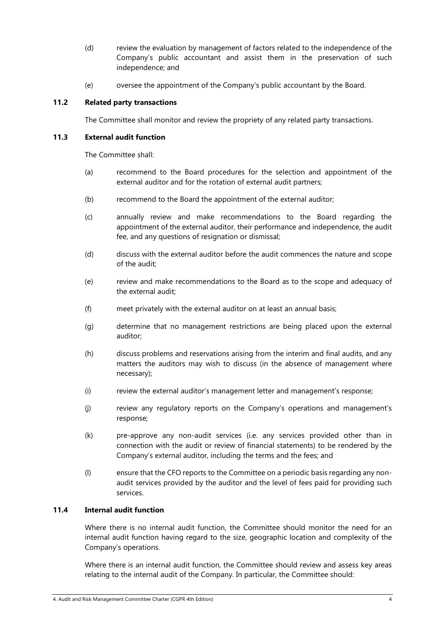- (d) review the evaluation by management of factors related to the independence of the Company's public accountant and assist them in the preservation of such independence; and
- (e) oversee the appointment of the Company's public accountant by the Board.

# **11.2 Related party transactions**

The Committee shall monitor and review the propriety of any related party transactions.

## **11.3 External audit function**

The Committee shall:

- (a) recommend to the Board procedures for the selection and appointment of the external auditor and for the rotation of external audit partners;
- (b) recommend to the Board the appointment of the external auditor;
- (c) annually review and make recommendations to the Board regarding the appointment of the external auditor, their performance and independence, the audit fee, and any questions of resignation or dismissal;
- (d) discuss with the external auditor before the audit commences the nature and scope of the audit;
- (e) review and make recommendations to the Board as to the scope and adequacy of the external audit;
- (f) meet privately with the external auditor on at least an annual basis;
- (g) determine that no management restrictions are being placed upon the external auditor;
- (h) discuss problems and reservations arising from the interim and final audits, and any matters the auditors may wish to discuss (in the absence of management where necessary);
- (i) review the external auditor's management letter and management's response;
- (j) review any regulatory reports on the Company's operations and management's response;
- (k) pre-approve any non-audit services (i.e. any services provided other than in connection with the audit or review of financial statements) to be rendered by the Company's external auditor, including the terms and the fees; and
- (l) ensure that the CFO reports to the Committee on a periodic basis regarding any nonaudit services provided by the auditor and the level of fees paid for providing such services.

## **11.4 Internal audit function**

Where there is no internal audit function, the Committee should monitor the need for an internal audit function having regard to the size, geographic location and complexity of the Company's operations.

Where there is an internal audit function, the Committee should review and assess key areas relating to the internal audit of the Company. In particular, the Committee should: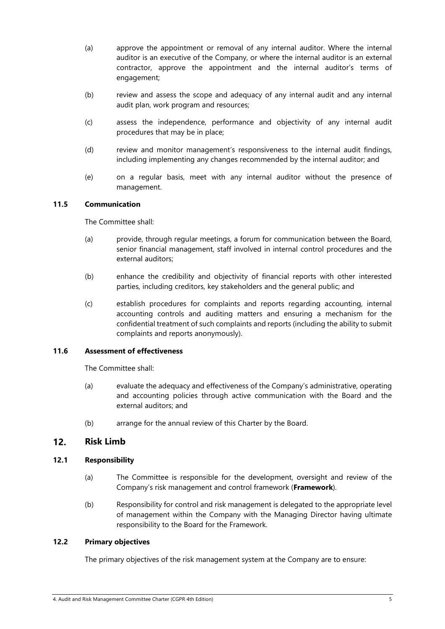- (a) approve the appointment or removal of any internal auditor. Where the internal auditor is an executive of the Company, or where the internal auditor is an external contractor, approve the appointment and the internal auditor's terms of engagement;
- (b) review and assess the scope and adequacy of any internal audit and any internal audit plan, work program and resources;
- (c) assess the independence, performance and objectivity of any internal audit procedures that may be in place;
- (d) review and monitor management's responsiveness to the internal audit findings, including implementing any changes recommended by the internal auditor; and
- (e) on a regular basis, meet with any internal auditor without the presence of management.

## **11.5 Communication**

The Committee shall:

- (a) provide, through regular meetings, a forum for communication between the Board, senior financial management, staff involved in internal control procedures and the external auditors;
- (b) enhance the credibility and objectivity of financial reports with other interested parties, including creditors, key stakeholders and the general public; and
- (c) establish procedures for complaints and reports regarding accounting, internal accounting controls and auditing matters and ensuring a mechanism for the confidential treatment of such complaints and reports (including the ability to submit complaints and reports anonymously).

# **11.6 Assessment of effectiveness**

The Committee shall:

- (a) evaluate the adequacy and effectiveness of the Company's administrative, operating and accounting policies through active communication with the Board and the external auditors; and
- (b) arrange for the annual review of this Charter by the Board.

#### $12.$ **Risk Limb**

## **12.1 Responsibility**

- (a) The Committee is responsible for the development, oversight and review of the Company's risk management and control framework (**Framework**).
- (b) Responsibility for control and risk management is delegated to the appropriate level of management within the Company with the Managing Director having ultimate responsibility to the Board for the Framework.

## **12.2 Primary objectives**

The primary objectives of the risk management system at the Company are to ensure: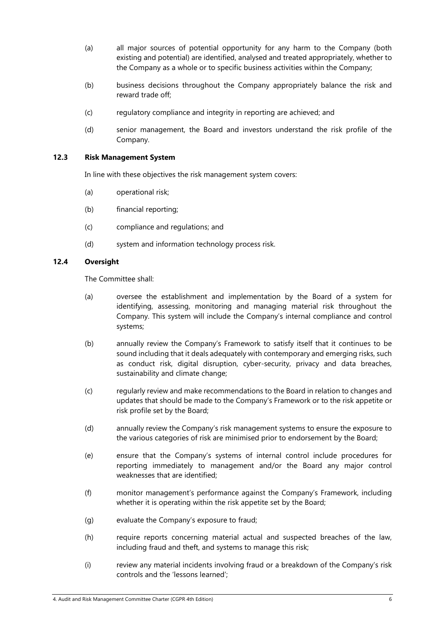- (a) all major sources of potential opportunity for any harm to the Company (both existing and potential) are identified, analysed and treated appropriately, whether to the Company as a whole or to specific business activities within the Company;
- (b) business decisions throughout the Company appropriately balance the risk and reward trade off;
- (c) regulatory compliance and integrity in reporting are achieved; and
- (d) senior management, the Board and investors understand the risk profile of the Company.

## **12.3 Risk Management System**

In line with these objectives the risk management system covers:

- (a) operational risk;
- (b) financial reporting;
- (c) compliance and regulations; and
- (d) system and information technology process risk.

## **12.4 Oversight**

The Committee shall:

- (a) oversee the establishment and implementation by the Board of a system for identifying, assessing, monitoring and managing material risk throughout the Company. This system will include the Company's internal compliance and control systems;
- (b) annually review the Company's Framework to satisfy itself that it continues to be sound including that it deals adequately with contemporary and emerging risks, such as conduct risk, digital disruption, cyber-security, privacy and data breaches, sustainability and climate change;
- (c) regularly review and make recommendations to the Board in relation to changes and updates that should be made to the Company's Framework or to the risk appetite or risk profile set by the Board;
- (d) annually review the Company's risk management systems to ensure the exposure to the various categories of risk are minimised prior to endorsement by the Board;
- (e) ensure that the Company's systems of internal control include procedures for reporting immediately to management and/or the Board any major control weaknesses that are identified;
- (f) monitor management's performance against the Company's Framework, including whether it is operating within the risk appetite set by the Board;
- (g) evaluate the Company's exposure to fraud;
- (h) require reports concerning material actual and suspected breaches of the law, including fraud and theft, and systems to manage this risk;
- (i) review any material incidents involving fraud or a breakdown of the Company's risk controls and the 'lessons learned';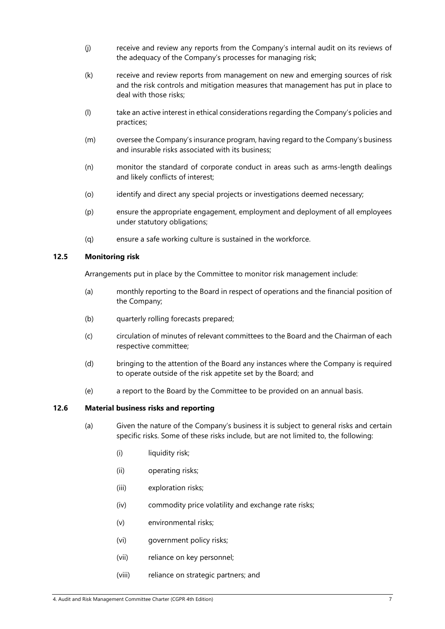- (j) receive and review any reports from the Company's internal audit on its reviews of the adequacy of the Company's processes for managing risk;
- (k) receive and review reports from management on new and emerging sources of risk and the risk controls and mitigation measures that management has put in place to deal with those risks;
- (l) take an active interest in ethical considerations regarding the Company's policies and practices;
- (m) oversee the Company's insurance program, having regard to the Company's business and insurable risks associated with its business;
- (n) monitor the standard of corporate conduct in areas such as arms-length dealings and likely conflicts of interest;
- (o) identify and direct any special projects or investigations deemed necessary;
- (p) ensure the appropriate engagement, employment and deployment of all employees under statutory obligations;
- (q) ensure a safe working culture is sustained in the workforce.

## **12.5 Monitoring risk**

Arrangements put in place by the Committee to monitor risk management include:

- (a) monthly reporting to the Board in respect of operations and the financial position of the Company;
- (b) quarterly rolling forecasts prepared;
- (c) circulation of minutes of relevant committees to the Board and the Chairman of each respective committee;
- (d) bringing to the attention of the Board any instances where the Company is required to operate outside of the risk appetite set by the Board; and
- (e) a report to the Board by the Committee to be provided on an annual basis.

## **12.6 Material business risks and reporting**

- (a) Given the nature of the Company's business it is subject to general risks and certain specific risks. Some of these risks include, but are not limited to, the following:
	- (i) liquidity risk;
	- (ii) operating risks;
	- (iii) exploration risks;
	- (iv) commodity price volatility and exchange rate risks;
	- (v) environmental risks;
	- (vi) government policy risks;
	- (vii) reliance on key personnel;
	- (viii) reliance on strategic partners; and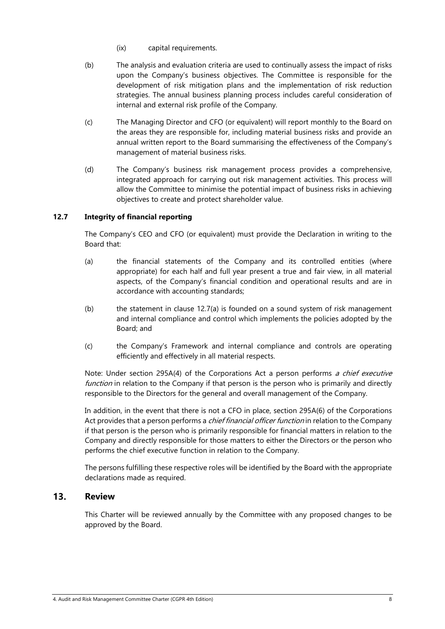- (ix) capital requirements.
- (b) The analysis and evaluation criteria are used to continually assess the impact of risks upon the Company's business objectives. The Committee is responsible for the development of risk mitigation plans and the implementation of risk reduction strategies. The annual business planning process includes careful consideration of internal and external risk profile of the Company.
- (c) The Managing Director and CFO (or equivalent) will report monthly to the Board on the areas they are responsible for, including material business risks and provide an annual written report to the Board summarising the effectiveness of the Company's management of material business risks.
- (d) The Company's business risk management process provides a comprehensive, integrated approach for carrying out risk management activities. This process will allow the Committee to minimise the potential impact of business risks in achieving objectives to create and protect shareholder value.

## **12.7 Integrity of financial reporting**

The Company's CEO and CFO (or equivalent) must provide the Declaration in writing to the Board that:

- (a) the financial statements of the Company and its controlled entities (where appropriate) for each half and full year present a true and fair view, in all material aspects, of the Company's financial condition and operational results and are in accordance with accounting standards;
- (b) the statement in clause 12.7(a) is founded on a sound system of risk management and internal compliance and control which implements the policies adopted by the Board; and
- (c) the Company's Framework and internal compliance and controls are operating efficiently and effectively in all material respects.

Note: Under section 295A(4) of the Corporations Act a person performs a chief executive function in relation to the Company if that person is the person who is primarily and directly responsible to the Directors for the general and overall management of the Company.

In addition, in the event that there is not a CFO in place, section 295A(6) of the Corporations Act provides that a person performs a *chief financial officer function* in relation to the Company if that person is the person who is primarily responsible for financial matters in relation to the Company and directly responsible for those matters to either the Directors or the person who performs the chief executive function in relation to the Company.

The persons fulfilling these respective roles will be identified by the Board with the appropriate declarations made as required.

### $13.$ **Review**

This Charter will be reviewed annually by the Committee with any proposed changes to be approved by the Board.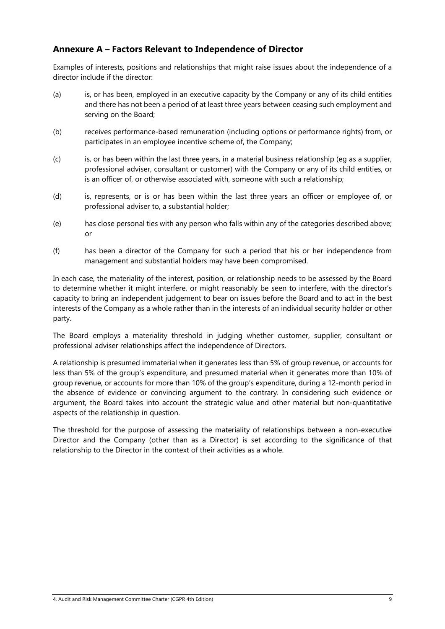# **Annexure A – Factors Relevant to Independence of Director**

Examples of interests, positions and relationships that might raise issues about the independence of a director include if the director:

- (a) is, or has been, employed in an executive capacity by the Company or any of its child entities and there has not been a period of at least three years between ceasing such employment and serving on the Board;
- (b) receives performance-based remuneration (including options or performance rights) from, or participates in an employee incentive scheme of, the Company;
- (c) is, or has been within the last three years, in a material business relationship (eg as a supplier, professional adviser, consultant or customer) with the Company or any of its child entities, or is an officer of, or otherwise associated with, someone with such a relationship;
- (d) is, represents, or is or has been within the last three years an officer or employee of, or professional adviser to, a substantial holder;
- (e) has close personal ties with any person who falls within any of the categories described above; or
- (f) has been a director of the Company for such a period that his or her independence from management and substantial holders may have been compromised.

In each case, the materiality of the interest, position, or relationship needs to be assessed by the Board to determine whether it might interfere, or might reasonably be seen to interfere, with the director's capacity to bring an independent judgement to bear on issues before the Board and to act in the best interests of the Company as a whole rather than in the interests of an individual security holder or other party.

The Board employs a materiality threshold in judging whether customer, supplier, consultant or professional adviser relationships affect the independence of Directors.

A relationship is presumed immaterial when it generates less than 5% of group revenue, or accounts for less than 5% of the group's expenditure, and presumed material when it generates more than 10% of group revenue, or accounts for more than 10% of the group's expenditure, during a 12-month period in the absence of evidence or convincing argument to the contrary. In considering such evidence or argument, the Board takes into account the strategic value and other material but non-quantitative aspects of the relationship in question.

The threshold for the purpose of assessing the materiality of relationships between a non-executive Director and the Company (other than as a Director) is set according to the significance of that relationship to the Director in the context of their activities as a whole.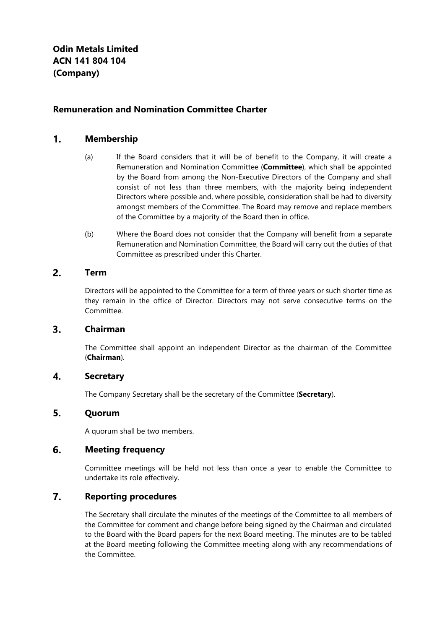# **Remuneration and Nomination Committee Charter**

#### $1.$ **Membership**

- (a) If the Board considers that it will be of benefit to the Company, it will create a Remuneration and Nomination Committee (**Committee**), which shall be appointed by the Board from among the Non-Executive Directors of the Company and shall consist of not less than three members, with the majority being independent Directors where possible and, where possible, consideration shall be had to diversity amongst members of the Committee. The Board may remove and replace members of the Committee by a majority of the Board then in office.
- (b) Where the Board does not consider that the Company will benefit from a separate Remuneration and Nomination Committee, the Board will carry out the duties of that Committee as prescribed under this Charter.

#### $2.$ **Term**

Directors will be appointed to the Committee for a term of three years or such shorter time as they remain in the office of Director. Directors may not serve consecutive terms on the Committee.

#### $3.$ **Chairman**

The Committee shall appoint an independent Director as the chairman of the Committee (**Chairman**).

#### $\overline{4}$ . **Secretary**

The Company Secretary shall be the secretary of the Committee (**Secretary**).

#### 5. **Quorum**

A quorum shall be two members.

#### 6. **Meeting frequency**

Committee meetings will be held not less than once a year to enable the Committee to undertake its role effectively.

#### $\overline{7}$ . **Reporting procedures**

The Secretary shall circulate the minutes of the meetings of the Committee to all members of the Committee for comment and change before being signed by the Chairman and circulated to the Board with the Board papers for the next Board meeting. The minutes are to be tabled at the Board meeting following the Committee meeting along with any recommendations of the Committee.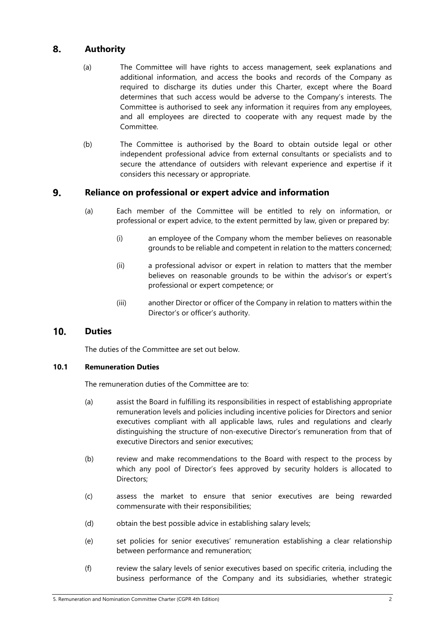### 8. **Authority**

- (a) The Committee will have rights to access management, seek explanations and additional information, and access the books and records of the Company as required to discharge its duties under this Charter, except where the Board determines that such access would be adverse to the Company's interests. The Committee is authorised to seek any information it requires from any employees, and all employees are directed to cooperate with any request made by the Committee.
- (b) The Committee is authorised by the Board to obtain outside legal or other independent professional advice from external consultants or specialists and to secure the attendance of outsiders with relevant experience and expertise if it considers this necessary or appropriate.

### 9. **Reliance on professional or expert advice and information**

- (a) Each member of the Committee will be entitled to rely on information, or professional or expert advice, to the extent permitted by law, given or prepared by:
	- (i) an employee of the Company whom the member believes on reasonable grounds to be reliable and competent in relation to the matters concerned;
	- (ii) a professional advisor or expert in relation to matters that the member believes on reasonable grounds to be within the advisor's or expert's professional or expert competence; or
	- (iii) another Director or officer of the Company in relation to matters within the Director's or officer's authority.

### $10.$ **Duties**

The duties of the Committee are set out below.

## **10.1 Remuneration Duties**

The remuneration duties of the Committee are to:

- (a) assist the Board in fulfilling its responsibilities in respect of establishing appropriate remuneration levels and policies including incentive policies for Directors and senior executives compliant with all applicable laws, rules and regulations and clearly distinguishing the structure of non-executive Director's remuneration from that of executive Directors and senior executives;
- (b) review and make recommendations to the Board with respect to the process by which any pool of Director's fees approved by security holders is allocated to Directors;
- (c) assess the market to ensure that senior executives are being rewarded commensurate with their responsibilities;
- (d) obtain the best possible advice in establishing salary levels;
- (e) set policies for senior executives' remuneration establishing a clear relationship between performance and remuneration;
- (f) review the salary levels of senior executives based on specific criteria, including the business performance of the Company and its subsidiaries, whether strategic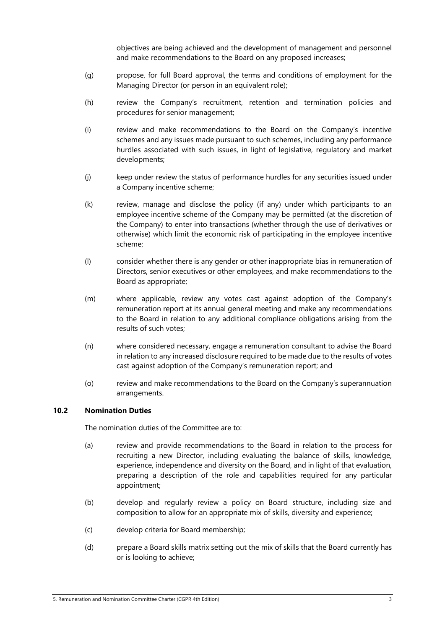objectives are being achieved and the development of management and personnel and make recommendations to the Board on any proposed increases;

- (g) propose, for full Board approval, the terms and conditions of employment for the Managing Director (or person in an equivalent role);
- (h) review the Company's recruitment, retention and termination policies and procedures for senior management;
- (i) review and make recommendations to the Board on the Company's incentive schemes and any issues made pursuant to such schemes, including any performance hurdles associated with such issues, in light of legislative, regulatory and market developments;
- (j) keep under review the status of performance hurdles for any securities issued under a Company incentive scheme;
- (k) review, manage and disclose the policy (if any) under which participants to an employee incentive scheme of the Company may be permitted (at the discretion of the Company) to enter into transactions (whether through the use of derivatives or otherwise) which limit the economic risk of participating in the employee incentive scheme;
- (l) consider whether there is any gender or other inappropriate bias in remuneration of Directors, senior executives or other employees, and make recommendations to the Board as appropriate;
- (m) where applicable, review any votes cast against adoption of the Company's remuneration report at its annual general meeting and make any recommendations to the Board in relation to any additional compliance obligations arising from the results of such votes;
- (n) where considered necessary, engage a remuneration consultant to advise the Board in relation to any increased disclosure required to be made due to the results of votes cast against adoption of the Company's remuneration report; and
- (o) review and make recommendations to the Board on the Company's superannuation arrangements.

## **10.2 Nomination Duties**

The nomination duties of the Committee are to:

- (a) review and provide recommendations to the Board in relation to the process for recruiting a new Director, including evaluating the balance of skills, knowledge, experience, independence and diversity on the Board, and in light of that evaluation, preparing a description of the role and capabilities required for any particular appointment;
- (b) develop and regularly review a policy on Board structure, including size and composition to allow for an appropriate mix of skills, diversity and experience;
- (c) develop criteria for Board membership;
- (d) prepare a Board skills matrix setting out the mix of skills that the Board currently has or is looking to achieve;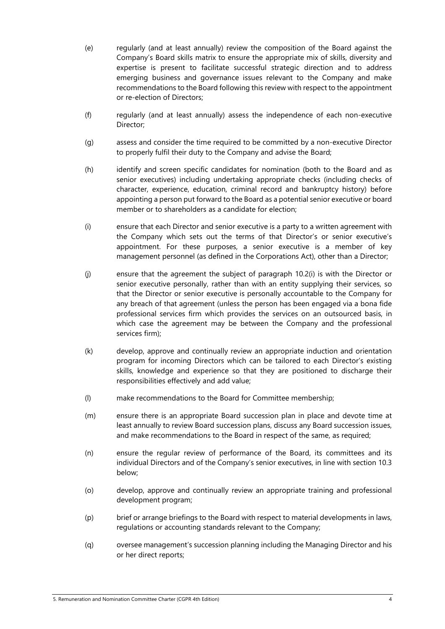- (e) regularly (and at least annually) review the composition of the Board against the Company's Board skills matrix to ensure the appropriate mix of skills, diversity and expertise is present to facilitate successful strategic direction and to address emerging business and governance issues relevant to the Company and make recommendations to the Board following this review with respect to the appointment or re-election of Directors;
- (f) regularly (and at least annually) assess the independence of each non-executive Director;
- (g) assess and consider the time required to be committed by a non-executive Director to properly fulfil their duty to the Company and advise the Board;
- (h) identify and screen specific candidates for nomination (both to the Board and as senior executives) including undertaking appropriate checks (including checks of character, experience, education, criminal record and bankruptcy history) before appointing a person put forward to the Board as a potential senior executive or board member or to shareholders as a candidate for election;
- (i) ensure that each Director and senior executive is a party to a written agreement with the Company which sets out the terms of that Director's or senior executive's appointment. For these purposes, a senior executive is a member of key management personnel (as defined in the Corporations Act), other than a Director;
- (j) ensure that the agreement the subject of paragraph 10.2(i) is with the Director or senior executive personally, rather than with an entity supplying their services, so that the Director or senior executive is personally accountable to the Company for any breach of that agreement (unless the person has been engaged via a bona fide professional services firm which provides the services on an outsourced basis, in which case the agreement may be between the Company and the professional services firm);
- (k) develop, approve and continually review an appropriate induction and orientation program for incoming Directors which can be tailored to each Director's existing skills, knowledge and experience so that they are positioned to discharge their responsibilities effectively and add value;
- (l) make recommendations to the Board for Committee membership;
- (m) ensure there is an appropriate Board succession plan in place and devote time at least annually to review Board succession plans, discuss any Board succession issues, and make recommendations to the Board in respect of the same, as required;
- (n) ensure the regular review of performance of the Board, its committees and its individual Directors and of the Company's senior executives, in line with section 10.3 below;
- (o) develop, approve and continually review an appropriate training and professional development program;
- (p) brief or arrange briefings to the Board with respect to material developments in laws, regulations or accounting standards relevant to the Company;
- (q) oversee management's succession planning including the Managing Director and his or her direct reports;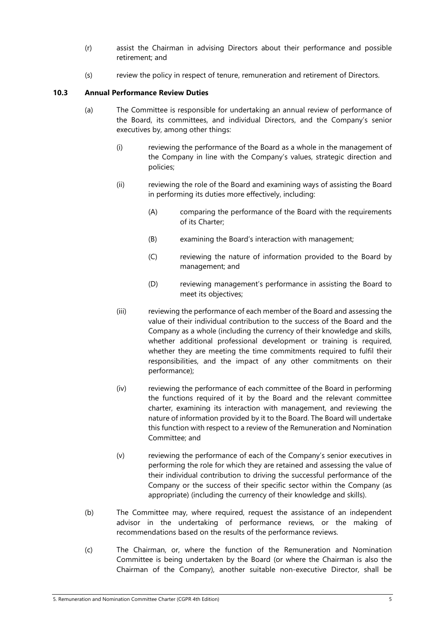- (r) assist the Chairman in advising Directors about their performance and possible retirement; and
- (s) review the policy in respect of tenure, remuneration and retirement of Directors.

# **10.3 Annual Performance Review Duties**

- (a) The Committee is responsible for undertaking an annual review of performance of the Board, its committees, and individual Directors, and the Company's senior executives by, among other things:
	- (i) reviewing the performance of the Board as a whole in the management of the Company in line with the Company's values, strategic direction and policies;
	- (ii) reviewing the role of the Board and examining ways of assisting the Board in performing its duties more effectively, including:
		- (A) comparing the performance of the Board with the requirements of its Charter;
		- (B) examining the Board's interaction with management;
		- (C) reviewing the nature of information provided to the Board by management; and
		- (D) reviewing management's performance in assisting the Board to meet its objectives;
	- (iii) reviewing the performance of each member of the Board and assessing the value of their individual contribution to the success of the Board and the Company as a whole (including the currency of their knowledge and skills, whether additional professional development or training is required, whether they are meeting the time commitments required to fulfil their responsibilities, and the impact of any other commitments on their performance);
	- (iv) reviewing the performance of each committee of the Board in performing the functions required of it by the Board and the relevant committee charter, examining its interaction with management, and reviewing the nature of information provided by it to the Board. The Board will undertake this function with respect to a review of the Remuneration and Nomination Committee; and
	- (v) reviewing the performance of each of the Company's senior executives in performing the role for which they are retained and assessing the value of their individual contribution to driving the successful performance of the Company or the success of their specific sector within the Company (as appropriate) (including the currency of their knowledge and skills).
- (b) The Committee may, where required, request the assistance of an independent advisor in the undertaking of performance reviews, or the making of recommendations based on the results of the performance reviews.
- (c) The Chairman, or, where the function of the Remuneration and Nomination Committee is being undertaken by the Board (or where the Chairman is also the Chairman of the Company), another suitable non-executive Director, shall be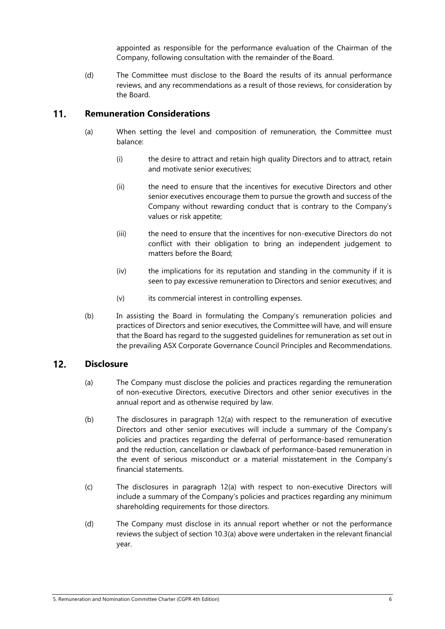appointed as responsible for the performance evaluation of the Chairman of the Company, following consultation with the remainder of the Board.

(d) The Committee must disclose to the Board the results of its annual performance reviews, and any recommendations as a result of those reviews, for consideration by the Board.

### $11.$ **Remuneration Considerations**

- (a) When setting the level and composition of remuneration, the Committee must balance:
	- (i) the desire to attract and retain high quality Directors and to attract, retain and motivate senior executives;
	- (ii) the need to ensure that the incentives for executive Directors and other senior executives encourage them to pursue the growth and success of the Company without rewarding conduct that is contrary to the Company's values or risk appetite;
	- (iii) the need to ensure that the incentives for non-executive Directors do not conflict with their obligation to bring an independent judgement to matters before the Board;
	- (iv) the implications for its reputation and standing in the community if it is seen to pay excessive remuneration to Directors and senior executives; and
	- (v) its commercial interest in controlling expenses.
- (b) In assisting the Board in formulating the Company's remuneration policies and practices of Directors and senior executives, the Committee will have, and will ensure that the Board has regard to the suggested guidelines for remuneration as set out in the prevailing ASX Corporate Governance Council Principles and Recommendations.

### $12.$ **Disclosure**

- (a) The Company must disclose the policies and practices regarding the remuneration of non-executive Directors, executive Directors and other senior executives in the annual report and as otherwise required by law.
- (b) The disclosures in paragraph 12(a) with respect to the remuneration of executive Directors and other senior executives will include a summary of the Company's policies and practices regarding the deferral of performance-based remuneration and the reduction, cancellation or clawback of performance-based remuneration in the event of serious misconduct or a material misstatement in the Company's financial statements.
- (c) The disclosures in paragraph 12(a) with respect to non-executive Directors will include a summary of the Company's policies and practices regarding any minimum shareholding requirements for those directors.
- (d) The Company must disclose in its annual report whether or not the performance reviews the subject of section 10.3(a) above were undertaken in the relevant financial year.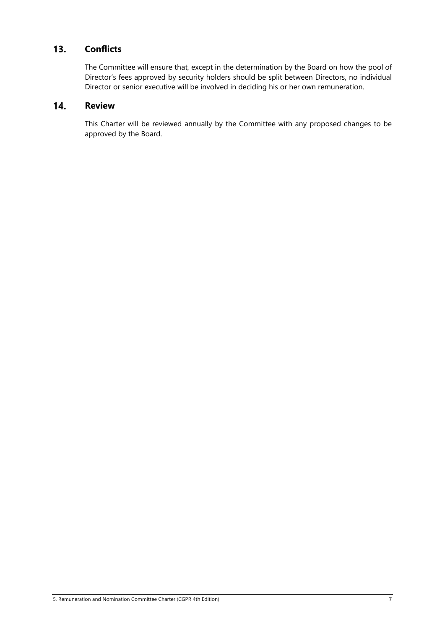### $13.$ **Conflicts**

The Committee will ensure that, except in the determination by the Board on how the pool of Director's fees approved by security holders should be split between Directors, no individual Director or senior executive will be involved in deciding his or her own remuneration.

### 14. **Review**

This Charter will be reviewed annually by the Committee with any proposed changes to be approved by the Board.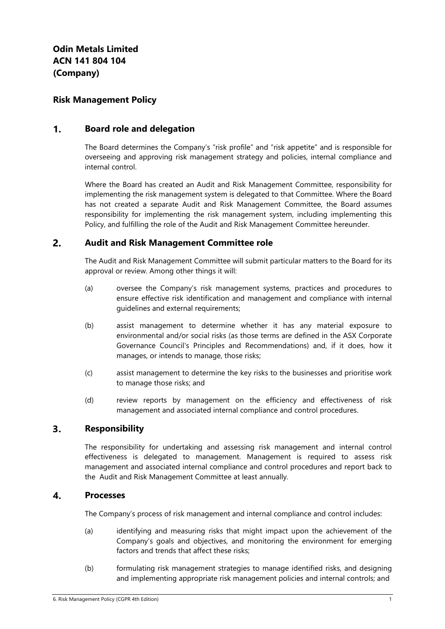# **Risk Management Policy**

#### $\mathbf{1}$ . **Board role and delegation**

The Board determines the Company's "risk profile" and "risk appetite" and is responsible for overseeing and approving risk management strategy and policies, internal compliance and internal control.

Where the Board has created an Audit and Risk Management Committee, responsibility for implementing the risk management system is delegated to that Committee. Where the Board has not created a separate Audit and Risk Management Committee, the Board assumes responsibility for implementing the risk management system, including implementing this Policy, and fulfilling the role of the Audit and Risk Management Committee hereunder.

#### $2.$ **Audit and Risk Management Committee role**

The Audit and Risk Management Committee will submit particular matters to the Board for its approval or review. Among other things it will:

- (a) oversee the Company's risk management systems, practices and procedures to ensure effective risk identification and management and compliance with internal guidelines and external requirements;
- (b) assist management to determine whether it has any material exposure to environmental and/or social risks (as those terms are defined in the ASX Corporate Governance Council's Principles and Recommendations) and, if it does, how it manages, or intends to manage, those risks;
- (c) assist management to determine the key risks to the businesses and prioritise work to manage those risks; and
- (d) review reports by management on the efficiency and effectiveness of risk management and associated internal compliance and control procedures.

#### $3<sub>1</sub>$ **Responsibility**

The responsibility for undertaking and assessing risk management and internal control effectiveness is delegated to management. Management is required to assess risk management and associated internal compliance and control procedures and report back to the Audit and Risk Management Committee at least annually.

#### $\mathbf{A}$ **Processes**

The Company's process of risk management and internal compliance and control includes:

- (a) identifying and measuring risks that might impact upon the achievement of the Company's goals and objectives, and monitoring the environment for emerging factors and trends that affect these risks;
- (b) formulating risk management strategies to manage identified risks, and designing and implementing appropriate risk management policies and internal controls; and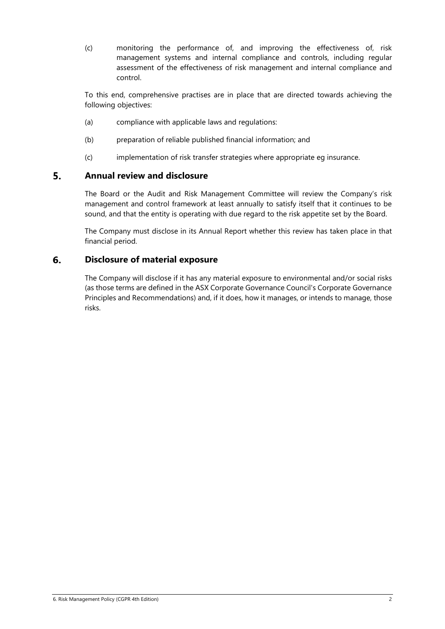(c) monitoring the performance of, and improving the effectiveness of, risk management systems and internal compliance and controls, including regular assessment of the effectiveness of risk management and internal compliance and control.

To this end, comprehensive practises are in place that are directed towards achieving the following objectives:

- (a) compliance with applicable laws and regulations:
- (b) preparation of reliable published financial information; and
- (c) implementation of risk transfer strategies where appropriate eg insurance.

#### 5. **Annual review and disclosure**

The Board or the Audit and Risk Management Committee will review the Company's risk management and control framework at least annually to satisfy itself that it continues to be sound, and that the entity is operating with due regard to the risk appetite set by the Board.

The Company must disclose in its Annual Report whether this review has taken place in that financial period.

#### 6. **Disclosure of material exposure**

The Company will disclose if it has any material exposure to environmental and/or social risks (as those terms are defined in the ASX Corporate Governance Council's Corporate Governance Principles and Recommendations) and, if it does, how it manages, or intends to manage, those risks.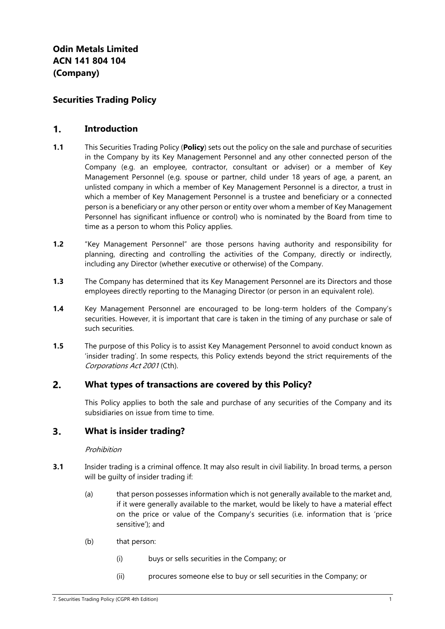# **Securities Trading Policy**

#### $\mathbf{1}$ . **Introduction**

- **1.1** This Securities Trading Policy (**Policy**) sets out the policy on the sale and purchase of securities in the Company by its Key Management Personnel and any other connected person of the Company (e.g. an employee, contractor, consultant or adviser) or a member of Key Management Personnel (e.g. spouse or partner, child under 18 years of age, a parent, an unlisted company in which a member of Key Management Personnel is a director, a trust in which a member of Key Management Personnel is a trustee and beneficiary or a connected person is a beneficiary or any other person or entity over whom a member of Key Management Personnel has significant influence or control) who is nominated by the Board from time to time as a person to whom this Policy applies.
- **1.2** "Key Management Personnel" are those persons having authority and responsibility for planning, directing and controlling the activities of the Company, directly or indirectly, including any Director (whether executive or otherwise) of the Company.
- **1.3** The Company has determined that its Key Management Personnel are its Directors and those employees directly reporting to the Managing Director (or person in an equivalent role).
- **1.4** Key Management Personnel are encouraged to be long-term holders of the Company's securities. However, it is important that care is taken in the timing of any purchase or sale of such securities.
- **1.5** The purpose of this Policy is to assist Key Management Personnel to avoid conduct known as 'insider trading'. In some respects, this Policy extends beyond the strict requirements of the Corporations Act 2001 (Cth).

#### $2.$ **What types of transactions are covered by this Policy?**

This Policy applies to both the sale and purchase of any securities of the Company and its subsidiaries on issue from time to time.

#### $3.$ **What is insider trading?**

### Prohibition

- **3.1** Insider trading is a criminal offence. It may also result in civil liability. In broad terms, a person will be guilty of insider trading if:
	- (a) that person possesses information which is not generally available to the market and, if it were generally available to the market, would be likely to have a material effect on the price or value of the Company's securities (i.e. information that is 'price sensitive'); and
	- (b) that person:
		- (i) buys or sells securities in the Company; or
		- (ii) procures someone else to buy or sell securities in the Company; or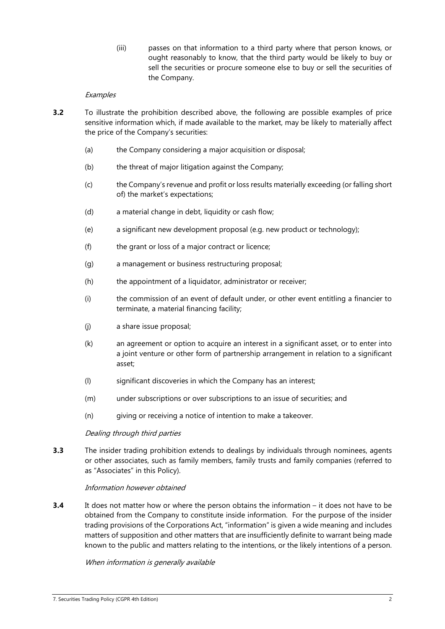(iii) passes on that information to a third party where that person knows, or ought reasonably to know, that the third party would be likely to buy or sell the securities or procure someone else to buy or sell the securities of the Company.

### **Examples**

- **3.2** To illustrate the prohibition described above, the following are possible examples of price sensitive information which, if made available to the market, may be likely to materially affect the price of the Company's securities:
	- (a) the Company considering a major acquisition or disposal;
	- (b) the threat of major litigation against the Company;
	- (c) the Company's revenue and profit or loss results materially exceeding (or falling short of) the market's expectations;
	- (d) a material change in debt, liquidity or cash flow;
	- (e) a significant new development proposal (e.g. new product or technology);
	- (f) the grant or loss of a major contract or licence;
	- (g) a management or business restructuring proposal;
	- (h) the appointment of a liquidator, administrator or receiver;
	- (i) the commission of an event of default under, or other event entitling a financier to terminate, a material financing facility;
	- (j) a share issue proposal;
	- (k) an agreement or option to acquire an interest in a significant asset, or to enter into a joint venture or other form of partnership arrangement in relation to a significant asset;
	- (l) significant discoveries in which the Company has an interest;
	- (m) under subscriptions or over subscriptions to an issue of securities; and
	- (n) giving or receiving a notice of intention to make a takeover.

### Dealing through third parties

**3.3** The insider trading prohibition extends to dealings by individuals through nominees, agents or other associates, such as family members, family trusts and family companies (referred to as "Associates" in this Policy).

### Information however obtained

**3.4** It does not matter how or where the person obtains the information – it does not have to be obtained from the Company to constitute inside information. For the purpose of the insider trading provisions of the Corporations Act, "information" is given a wide meaning and includes matters of supposition and other matters that are insufficiently definite to warrant being made known to the public and matters relating to the intentions, or the likely intentions of a person.

### When information is generally available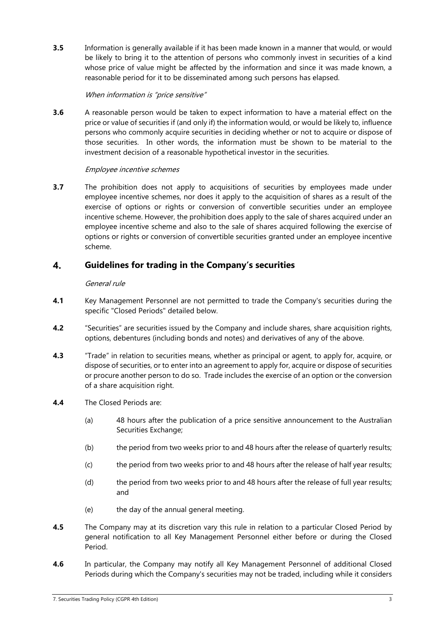**3.5** Information is generally available if it has been made known in a manner that would, or would be likely to bring it to the attention of persons who commonly invest in securities of a kind whose price of value might be affected by the information and since it was made known, a reasonable period for it to be disseminated among such persons has elapsed.

### When information is "price sensitive"

**3.6** A reasonable person would be taken to expect information to have a material effect on the price or value of securities if (and only if) the information would, or would be likely to, influence persons who commonly acquire securities in deciding whether or not to acquire or dispose of those securities. In other words, the information must be shown to be material to the investment decision of a reasonable hypothetical investor in the securities.

# Employee incentive schemes

**3.7** The prohibition does not apply to acquisitions of securities by employees made under employee incentive schemes, nor does it apply to the acquisition of shares as a result of the exercise of options or rights or conversion of convertible securities under an employee incentive scheme. However, the prohibition does apply to the sale of shares acquired under an employee incentive scheme and also to the sale of shares acquired following the exercise of options or rights or conversion of convertible securities granted under an employee incentive scheme.

#### 4. **Guidelines for trading in the Company's securities**

### General rule

- **4.1** Key Management Personnel are not permitted to trade the Company's securities during the specific "Closed Periods" detailed below.
- **4.2** "Securities" are securities issued by the Company and include shares, share acquisition rights, options, debentures (including bonds and notes) and derivatives of any of the above.
- **4.3** "Trade" in relation to securities means, whether as principal or agent, to apply for, acquire, or dispose of securities, or to enter into an agreement to apply for, acquire or dispose of securities or procure another person to do so. Trade includes the exercise of an option or the conversion of a share acquisition right.
- **4.4** The Closed Periods are:
	- (a) 48 hours after the publication of a price sensitive announcement to the Australian Securities Exchange;
	- (b) the period from two weeks prior to and 48 hours after the release of quarterly results;
	- (c) the period from two weeks prior to and 48 hours after the release of half year results;
	- (d) the period from two weeks prior to and 48 hours after the release of full year results; and
	- (e) the day of the annual general meeting.
- **4.5** The Company may at its discretion vary this rule in relation to a particular Closed Period by general notification to all Key Management Personnel either before or during the Closed Period.
- **4.6** In particular, the Company may notify all Key Management Personnel of additional Closed Periods during which the Company's securities may not be traded, including while it considers

<sup>7.</sup> Securities Trading Policy (CGPR 4th Edition) 3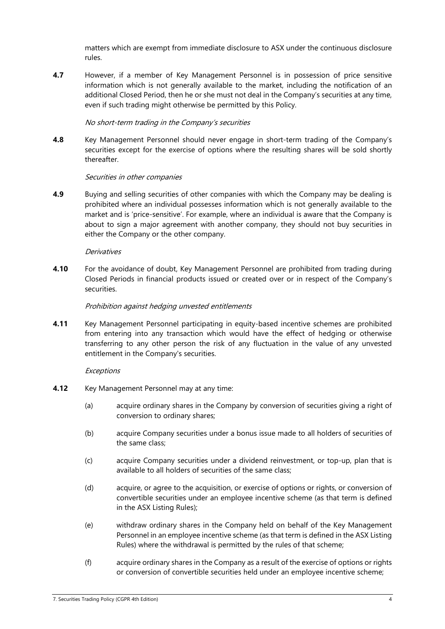matters which are exempt from immediate disclosure to ASX under the continuous disclosure rules.

**4.7** However, if a member of Key Management Personnel is in possession of price sensitive information which is not generally available to the market, including the notification of an additional Closed Period, then he or she must not deal in the Company's securities at any time, even if such trading might otherwise be permitted by this Policy.

### No short-term trading in the Company's securities

**4.8** Key Management Personnel should never engage in short-term trading of the Company's securities except for the exercise of options where the resulting shares will be sold shortly thereafter.

### Securities in other companies

**4.9** Buying and selling securities of other companies with which the Company may be dealing is prohibited where an individual possesses information which is not generally available to the market and is 'price-sensitive'. For example, where an individual is aware that the Company is about to sign a major agreement with another company, they should not buy securities in either the Company or the other company.

### **Derivatives**

**4.10** For the avoidance of doubt, Key Management Personnel are prohibited from trading during Closed Periods in financial products issued or created over or in respect of the Company's securities.

### Prohibition against hedging unvested entitlements

**4.11** Key Management Personnel participating in equity-based incentive schemes are prohibited from entering into any transaction which would have the effect of hedging or otherwise transferring to any other person the risk of any fluctuation in the value of any unvested entitlement in the Company's securities.

### **Exceptions**

- **4.12** Key Management Personnel may at any time:
	- (a) acquire ordinary shares in the Company by conversion of securities giving a right of conversion to ordinary shares;
	- (b) acquire Company securities under a bonus issue made to all holders of securities of the same class;
	- (c) acquire Company securities under a dividend reinvestment, or top-up, plan that is available to all holders of securities of the same class;
	- (d) acquire, or agree to the acquisition, or exercise of options or rights, or conversion of convertible securities under an employee incentive scheme (as that term is defined in the ASX Listing Rules);
	- (e) withdraw ordinary shares in the Company held on behalf of the Key Management Personnel in an employee incentive scheme (as that term is defined in the ASX Listing Rules) where the withdrawal is permitted by the rules of that scheme;
	- (f) acquire ordinary shares in the Company as a result of the exercise of options or rights or conversion of convertible securities held under an employee incentive scheme;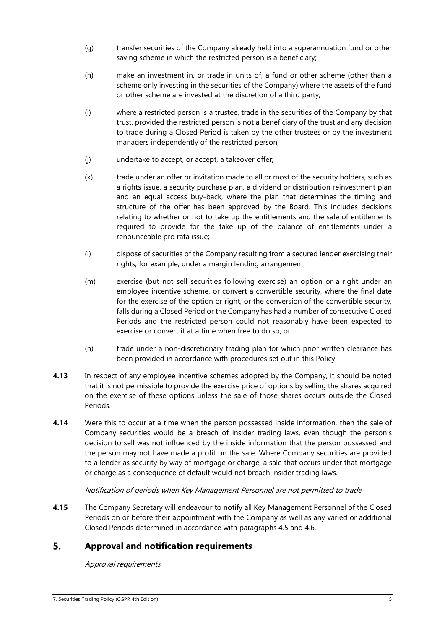- (g) transfer securities of the Company already held into a superannuation fund or other saving scheme in which the restricted person is a beneficiary;
- (h) make an investment in, or trade in units of, a fund or other scheme (other than a scheme only investing in the securities of the Company) where the assets of the fund or other scheme are invested at the discretion of a third party;
- (i) where a restricted person is a trustee, trade in the securities of the Company by that trust, provided the restricted person is not a beneficiary of the trust and any decision to trade during a Closed Period is taken by the other trustees or by the investment managers independently of the restricted person;
- (j) undertake to accept, or accept, a takeover offer;
- (k) trade under an offer or invitation made to all or most of the security holders, such as a rights issue, a security purchase plan, a dividend or distribution reinvestment plan and an equal access buy-back, where the plan that determines the timing and structure of the offer has been approved by the Board. This includes decisions relating to whether or not to take up the entitlements and the sale of entitlements required to provide for the take up of the balance of entitlements under a renounceable pro rata issue;
- (l) dispose of securities of the Company resulting from a secured lender exercising their rights, for example, under a margin lending arrangement;
- (m) exercise (but not sell securities following exercise) an option or a right under an employee incentive scheme, or convert a convertible security, where the final date for the exercise of the option or right, or the conversion of the convertible security, falls during a Closed Period or the Company has had a number of consecutive Closed Periods and the restricted person could not reasonably have been expected to exercise or convert it at a time when free to do so; or
- (n) trade under a non-discretionary trading plan for which prior written clearance has been provided in accordance with procedures set out in this Policy.
- **4.13** In respect of any employee incentive schemes adopted by the Company, it should be noted that it is not permissible to provide the exercise price of options by selling the shares acquired on the exercise of these options unless the sale of those shares occurs outside the Closed Periods.
- **4.14** Were this to occur at a time when the person possessed inside information, then the sale of Company securities would be a breach of insider trading laws, even though the person's decision to sell was not influenced by the inside information that the person possessed and the person may not have made a profit on the sale. Where Company securities are provided to a lender as security by way of mortgage or charge, a sale that occurs under that mortgage or charge as a consequence of default would not breach insider trading laws.

# Notification of periods when Key Management Personnel are not permitted to trade

**4.15** The Company Secretary will endeavour to notify all Key Management Personnel of the Closed Periods on or before their appointment with the Company as well as any varied or additional Closed Periods determined in accordance with paragraphs 4.5 and 4.6.

#### 5. **Approval and notification requirements**

# Approval requirements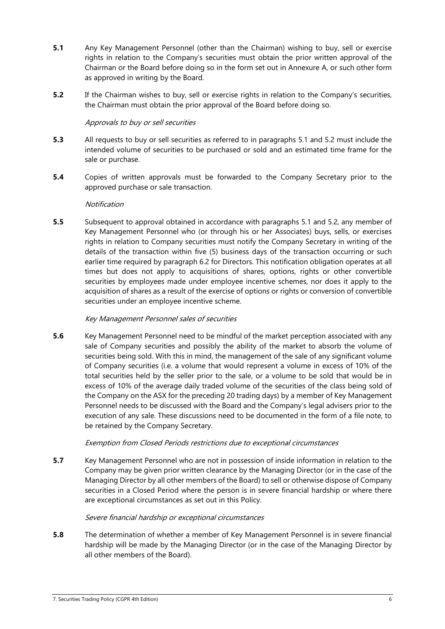- **5.1** Any Key Management Personnel (other than the Chairman) wishing to buy, sell or exercise rights in relation to the Company's securities must obtain the prior written approval of the Chairman or the Board before doing so in the form set out in Annexure A, or such other form as approved in writing by the Board.
- **5.2** If the Chairman wishes to buy, sell or exercise rights in relation to the Company's securities, the Chairman must obtain the prior approval of the Board before doing so.

### Approvals to buy or sell securities

- **5.3** All requests to buy or sell securities as referred to in paragraphs 5.1 and 5.2 must include the intended volume of securities to be purchased or sold and an estimated time frame for the sale or purchase.
- **5.4** Copies of written approvals must be forwarded to the Company Secretary prior to the approved purchase or sale transaction.

### **Notification**

**5.5** Subsequent to approval obtained in accordance with paragraphs 5.1 and 5.2, any member of Key Management Personnel who (or through his or her Associates) buys, sells, or exercises rights in relation to Company securities must notify the Company Secretary in writing of the details of the transaction within five (5) business days of the transaction occurring or such earlier time required by paragraph 6.2 for Directors. This notification obligation operates at all times but does not apply to acquisitions of shares, options, rights or other convertible securities by employees made under employee incentive schemes, nor does it apply to the acquisition of shares as a result of the exercise of options or rights or conversion of convertible securities under an employee incentive scheme.

## Key Management Personnel sales of securities

**5.6** Key Management Personnel need to be mindful of the market perception associated with any sale of Company securities and possibly the ability of the market to absorb the volume of securities being sold. With this in mind, the management of the sale of any significant volume of Company securities (i.e. a volume that would represent a volume in excess of 10% of the total securities held by the seller prior to the sale, or a volume to be sold that would be in excess of 10% of the average daily traded volume of the securities of the class being sold of the Company on the ASX for the preceding 20 trading days) by a member of Key Management Personnel needs to be discussed with the Board and the Company's legal advisers prior to the execution of any sale. These discussions need to be documented in the form of a file note, to be retained by the Company Secretary.

# Exemption from Closed Periods restrictions due to exceptional circumstances

**5.7** Key Management Personnel who are not in possession of inside information in relation to the Company may be given prior written clearance by the Managing Director (or in the case of the Managing Director by all other members of the Board) to sell or otherwise dispose of Company securities in a Closed Period where the person is in severe financial hardship or where there are exceptional circumstances as set out in this Policy.

### Severe financial hardship or exceptional circumstances

**5.8** The determination of whether a member of Key Management Personnel is in severe financial hardship will be made by the Managing Director (or in the case of the Managing Director by all other members of the Board).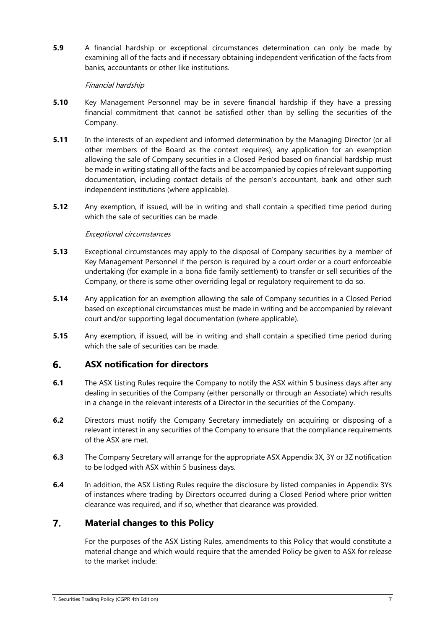**5.9** A financial hardship or exceptional circumstances determination can only be made by examining all of the facts and if necessary obtaining independent verification of the facts from banks, accountants or other like institutions.

### Financial hardship

- **5.10** Key Management Personnel may be in severe financial hardship if they have a pressing financial commitment that cannot be satisfied other than by selling the securities of the Company.
- **5.11** In the interests of an expedient and informed determination by the Managing Director (or all other members of the Board as the context requires), any application for an exemption allowing the sale of Company securities in a Closed Period based on financial hardship must be made in writing stating all of the facts and be accompanied by copies of relevant supporting documentation, including contact details of the person's accountant, bank and other such independent institutions (where applicable).
- **5.12** Any exemption, if issued, will be in writing and shall contain a specified time period during which the sale of securities can be made.

### Exceptional circumstances

- **5.13** Exceptional circumstances may apply to the disposal of Company securities by a member of Key Management Personnel if the person is required by a court order or a court enforceable undertaking (for example in a bona fide family settlement) to transfer or sell securities of the Company, or there is some other overriding legal or regulatory requirement to do so.
- **5.14** Any application for an exemption allowing the sale of Company securities in a Closed Period based on exceptional circumstances must be made in writing and be accompanied by relevant court and/or supporting legal documentation (where applicable).
- **5.15** Any exemption, if issued, will be in writing and shall contain a specified time period during which the sale of securities can be made.

#### **ASX notification for directors** 6.

- **6.1** The ASX Listing Rules require the Company to notify the ASX within 5 business days after any dealing in securities of the Company (either personally or through an Associate) which results in a change in the relevant interests of a Director in the securities of the Company.
- **6.2** Directors must notify the Company Secretary immediately on acquiring or disposing of a relevant interest in any securities of the Company to ensure that the compliance requirements of the ASX are met.
- **6.3** The Company Secretary will arrange for the appropriate ASX Appendix 3X, 3Y or 3Z notification to be lodged with ASX within 5 business days.
- **6.4** In addition, the ASX Listing Rules require the disclosure by listed companies in Appendix 3Ys of instances where trading by Directors occurred during a Closed Period where prior written clearance was required, and if so, whether that clearance was provided.

#### $\overline{7}$ . **Material changes to this Policy**

For the purposes of the ASX Listing Rules, amendments to this Policy that would constitute a material change and which would require that the amended Policy be given to ASX for release to the market include: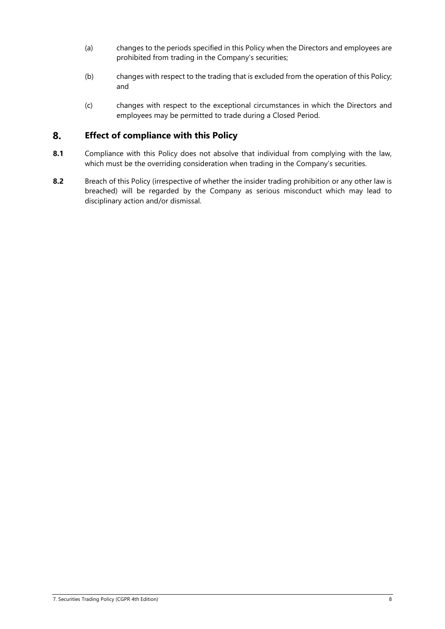- (a) changes to the periods specified in this Policy when the Directors and employees are prohibited from trading in the Company's securities;
- (b) changes with respect to the trading that is excluded from the operation of this Policy; and
- (c) changes with respect to the exceptional circumstances in which the Directors and employees may be permitted to trade during a Closed Period.

#### 8. **Effect of compliance with this Policy**

- **8.1** Compliance with this Policy does not absolve that individual from complying with the law, which must be the overriding consideration when trading in the Company's securities.
- **8.2** Breach of this Policy (irrespective of whether the insider trading prohibition or any other law is breached) will be regarded by the Company as serious misconduct which may lead to disciplinary action and/or dismissal.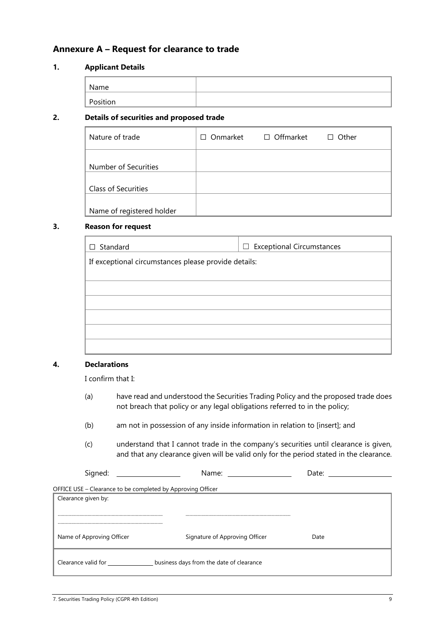# **Annexure A – Request for clearance to trade**

### **1. Applicant Details**

| Name     |  |
|----------|--|
|          |  |
| Position |  |

### **2. Details of securities and proposed trade**

| Nature of trade            | Onmarket<br>П | □ Offmarket | $\Box$ Other |
|----------------------------|---------------|-------------|--------------|
|                            |               |             |              |
| Number of Securities       |               |             |              |
|                            |               |             |              |
| <b>Class of Securities</b> |               |             |              |
|                            |               |             |              |
| Name of registered holder  |               |             |              |

### **3. Reason for request**

| $\Box$ Standard                                      | $\Box$ Exceptional Circumstances |  |
|------------------------------------------------------|----------------------------------|--|
| If exceptional circumstances please provide details: |                                  |  |
|                                                      |                                  |  |
|                                                      |                                  |  |
|                                                      |                                  |  |
|                                                      |                                  |  |
|                                                      |                                  |  |
|                                                      |                                  |  |

# **4. Declarations**

I confirm that I:

- (a) have read and understood the Securities Trading Policy and the proposed trade does not breach that policy or any legal obligations referred to in the policy;
- (b) am not in possession of any inside information in relation to [insert]; and
- (c) understand that I cannot trade in the company's securities until clearance is given, and that any clearance given will be valid only for the period stated in the clearance.

| -<br>sianed:<br>- - | Name: | ٬^+^<br>Dale. |  |
|---------------------|-------|---------------|--|
|                     |       |               |  |



| Clearance given by:                                             |                                |      |
|-----------------------------------------------------------------|--------------------------------|------|
| Name of Approving Officer                                       | Signature of Approving Officer | Date |
| business days from the date of clearance<br>Clearance valid for |                                |      |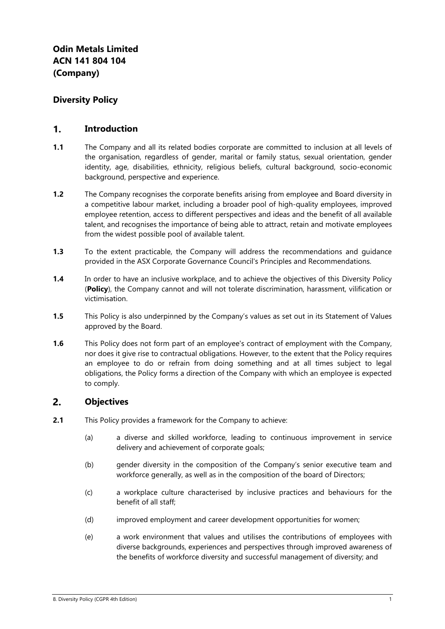# **Diversity Policy**

#### $\mathbf{1}$ . **Introduction**

- **1.1** The Company and all its related bodies corporate are committed to inclusion at all levels of the organisation, regardless of gender, marital or family status, sexual orientation, gender identity, age, disabilities, ethnicity, religious beliefs, cultural background, socio-economic background, perspective and experience.
- **1.2** The Company recognises the corporate benefits arising from employee and Board diversity in a competitive labour market, including a broader pool of high-quality employees, improved employee retention, access to different perspectives and ideas and the benefit of all available talent, and recognises the importance of being able to attract, retain and motivate employees from the widest possible pool of available talent.
- **1.3** To the extent practicable, the Company will address the recommendations and guidance provided in the ASX Corporate Governance Council's Principles and Recommendations.
- **1.4** In order to have an inclusive workplace, and to achieve the objectives of this Diversity Policy (**Policy**), the Company cannot and will not tolerate discrimination, harassment, vilification or victimisation.
- **1.5** This Policy is also underpinned by the Company's values as set out in its Statement of Values approved by the Board.
- **1.6** This Policy does not form part of an employee's contract of employment with the Company, nor does it give rise to contractual obligations. However, to the extent that the Policy requires an employee to do or refrain from doing something and at all times subject to legal obligations, the Policy forms a direction of the Company with which an employee is expected to comply.

#### $2.$ **Objectives**

- **2.1** This Policy provides a framework for the Company to achieve:
	- (a) a diverse and skilled workforce, leading to continuous improvement in service delivery and achievement of corporate goals;
	- (b) gender diversity in the composition of the Company's senior executive team and workforce generally, as well as in the composition of the board of Directors;
	- (c) a workplace culture characterised by inclusive practices and behaviours for the benefit of all staff;
	- (d) improved employment and career development opportunities for women;
	- (e) a work environment that values and utilises the contributions of employees with diverse backgrounds, experiences and perspectives through improved awareness of the benefits of workforce diversity and successful management of diversity; and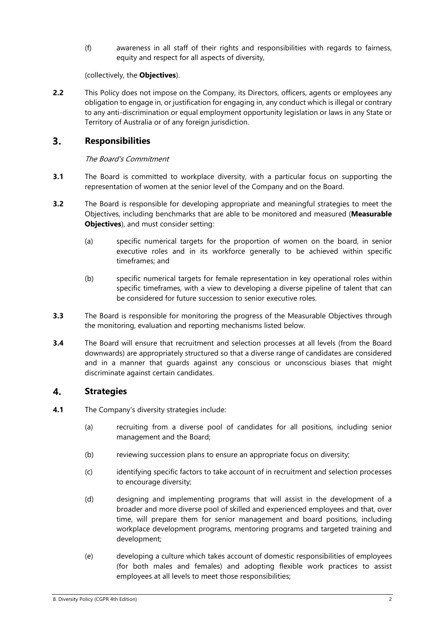(f) awareness in all staff of their rights and responsibilities with regards to fairness, equity and respect for all aspects of diversity,

(collectively, the **Objectives**).

**2.2** This Policy does not impose on the Company, its Directors, officers, agents or employees any obligation to engage in, or justification for engaging in, any conduct which is illegal or contrary to any anti-discrimination or equal employment opportunity legislation or laws in any State or Territory of Australia or of any foreign jurisdiction.

#### $3<sub>1</sub>$ **Responsibilities**

# The Board's Commitment

- **3.1** The Board is committed to workplace diversity, with a particular focus on supporting the representation of women at the senior level of the Company and on the Board.
- **3.2** The Board is responsible for developing appropriate and meaningful strategies to meet the Objectives, including benchmarks that are able to be monitored and measured (**Measurable Objectives**), and must consider setting:
	- (a) specific numerical targets for the proportion of women on the board, in senior executive roles and in its workforce generally to be achieved within specific timeframes; and
	- (b) specific numerical targets for female representation in key operational roles within specific timeframes, with a view to developing a diverse pipeline of talent that can be considered for future succession to senior executive roles.
- **3.3** The Board is responsible for monitoring the progress of the Measurable Objectives through the monitoring, evaluation and reporting mechanisms listed below.
- **3.4** The Board will ensure that recruitment and selection processes at all levels (from the Board downwards) are appropriately structured so that a diverse range of candidates are considered and in a manner that guards against any conscious or unconscious biases that might discriminate against certain candidates.

#### $\boldsymbol{4}$ . **Strategies**

- **4.1** The Company's diversity strategies include:
	- (a) recruiting from a diverse pool of candidates for all positions, including senior management and the Board;
	- (b) reviewing succession plans to ensure an appropriate focus on diversity;
	- (c) identifying specific factors to take account of in recruitment and selection processes to encourage diversity;
	- (d) designing and implementing programs that will assist in the development of a broader and more diverse pool of skilled and experienced employees and that, over time, will prepare them for senior management and board positions, including workplace development programs, mentoring programs and targeted training and development;
	- (e) developing a culture which takes account of domestic responsibilities of employees (for both males and females) and adopting flexible work practices to assist employees at all levels to meet those responsibilities;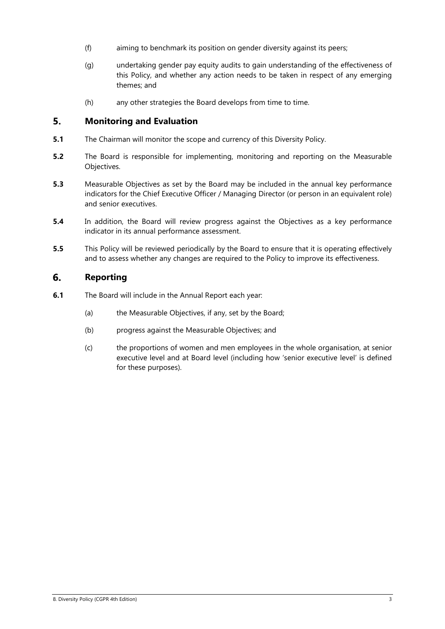- (f) aiming to benchmark its position on gender diversity against its peers;
- (g) undertaking gender pay equity audits to gain understanding of the effectiveness of this Policy, and whether any action needs to be taken in respect of any emerging themes; and
- (h) any other strategies the Board develops from time to time.

#### $5.$ **Monitoring and Evaluation**

- **5.1** The Chairman will monitor the scope and currency of this Diversity Policy.
- **5.2** The Board is responsible for implementing, monitoring and reporting on the Measurable Objectives.
- **5.3** Measurable Objectives as set by the Board may be included in the annual key performance indicators for the Chief Executive Officer / Managing Director (or person in an equivalent role) and senior executives.
- **5.4** In addition, the Board will review progress against the Objectives as a key performance indicator in its annual performance assessment.
- **5.5** This Policy will be reviewed periodically by the Board to ensure that it is operating effectively and to assess whether any changes are required to the Policy to improve its effectiveness.

#### 6. **Reporting**

- **6.1** The Board will include in the Annual Report each year:
	- (a) the Measurable Objectives, if any, set by the Board;
	- (b) progress against the Measurable Objectives; and
	- (c) the proportions of women and men employees in the whole organisation, at senior executive level and at Board level (including how 'senior executive level' is defined for these purposes).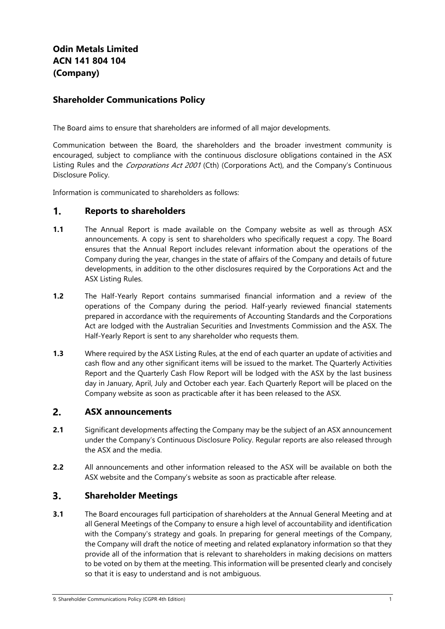# **Odin Metals Limited ACN 141 804 104 (Company)**

# **Shareholder Communications Policy**

The Board aims to ensure that shareholders are informed of all major developments.

Communication between the Board, the shareholders and the broader investment community is encouraged, subject to compliance with the continuous disclosure obligations contained in the ASX Listing Rules and the *Corporations Act 2001* (Cth) (Corporations Act), and the Company's Continuous Disclosure Policy.

Information is communicated to shareholders as follows:

#### $1<sub>1</sub>$ **Reports to shareholders**

- **1.1** The Annual Report is made available on the Company website as well as through ASX announcements. A copy is sent to shareholders who specifically request a copy. The Board ensures that the Annual Report includes relevant information about the operations of the Company during the year, changes in the state of affairs of the Company and details of future developments, in addition to the other disclosures required by the Corporations Act and the ASX Listing Rules.
- **1.2** The Half-Yearly Report contains summarised financial information and a review of the operations of the Company during the period. Half-yearly reviewed financial statements prepared in accordance with the requirements of Accounting Standards and the Corporations Act are lodged with the Australian Securities and Investments Commission and the ASX. The Half-Yearly Report is sent to any shareholder who requests them.
- **1.3** Where required by the ASX Listing Rules, at the end of each quarter an update of activities and cash flow and any other significant items will be issued to the market. The Quarterly Activities Report and the Quarterly Cash Flow Report will be lodged with the ASX by the last business day in January, April, July and October each year. Each Quarterly Report will be placed on the Company website as soon as practicable after it has been released to the ASX.

#### $2.$ **ASX announcements**

- **2.1** Significant developments affecting the Company may be the subject of an ASX announcement under the Company's Continuous Disclosure Policy. Regular reports are also released through the ASX and the media.
- **2.2** All announcements and other information released to the ASX will be available on both the ASX website and the Company's website as soon as practicable after release.

#### $3<sub>1</sub>$ **Shareholder Meetings**

**3.1** The Board encourages full participation of shareholders at the Annual General Meeting and at all General Meetings of the Company to ensure a high level of accountability and identification with the Company's strategy and goals. In preparing for general meetings of the Company, the Company will draft the notice of meeting and related explanatory information so that they provide all of the information that is relevant to shareholders in making decisions on matters to be voted on by them at the meeting. This information will be presented clearly and concisely so that it is easy to understand and is not ambiguous.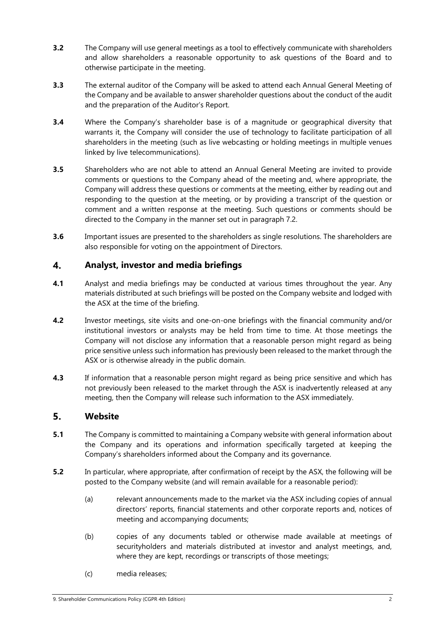- **3.2** The Company will use general meetings as a tool to effectively communicate with shareholders and allow shareholders a reasonable opportunity to ask questions of the Board and to otherwise participate in the meeting.
- **3.3** The external auditor of the Company will be asked to attend each Annual General Meeting of the Company and be available to answer shareholder questions about the conduct of the audit and the preparation of the Auditor's Report.
- **3.4** Where the Company's shareholder base is of a magnitude or geographical diversity that warrants it, the Company will consider the use of technology to facilitate participation of all shareholders in the meeting (such as live webcasting or holding meetings in multiple venues linked by live telecommunications).
- **3.5** Shareholders who are not able to attend an Annual General Meeting are invited to provide comments or questions to the Company ahead of the meeting and, where appropriate, the Company will address these questions or comments at the meeting, either by reading out and responding to the question at the meeting, or by providing a transcript of the question or comment and a written response at the meeting. Such questions or comments should be directed to the Company in the manner set out in paragraph 7.2.
- **3.6** Important issues are presented to the shareholders as single resolutions. The shareholders are also responsible for voting on the appointment of Directors.

#### $\boldsymbol{4}$ . **Analyst, investor and media briefings**

- **4.1** Analyst and media briefings may be conducted at various times throughout the year. Any materials distributed at such briefings will be posted on the Company website and lodged with the ASX at the time of the briefing.
- **4.2** Investor meetings, site visits and one-on-one briefings with the financial community and/or institutional investors or analysts may be held from time to time. At those meetings the Company will not disclose any information that a reasonable person might regard as being price sensitive unless such information has previously been released to the market through the ASX or is otherwise already in the public domain.
- **4.3** If information that a reasonable person might regard as being price sensitive and which has not previously been released to the market through the ASX is inadvertently released at any meeting, then the Company will release such information to the ASX immediately.

#### 5. **Website**

- **5.1** The Company is committed to maintaining a Company website with general information about the Company and its operations and information specifically targeted at keeping the Company's shareholders informed about the Company and its governance.
- **5.2** In particular, where appropriate, after confirmation of receipt by the ASX, the following will be posted to the Company website (and will remain available for a reasonable period):
	- (a) relevant announcements made to the market via the ASX including copies of annual directors' reports, financial statements and other corporate reports and, notices of meeting and accompanying documents;
	- (b) copies of any documents tabled or otherwise made available at meetings of securityholders and materials distributed at investor and analyst meetings, and, where they are kept, recordings or transcripts of those meetings;
	- (c) media releases;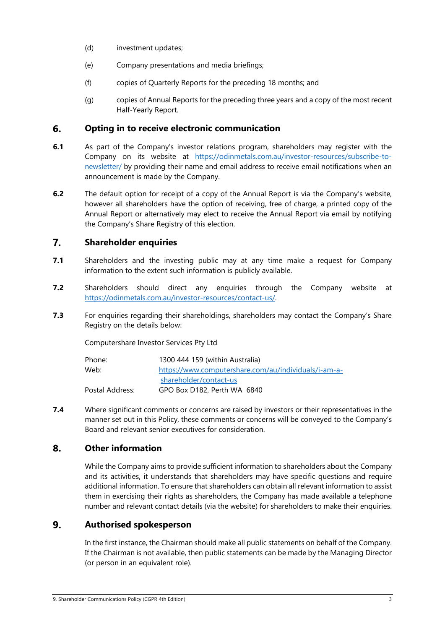- (d) investment updates;
- (e) Company presentations and media briefings;
- (f) copies of Quarterly Reports for the preceding 18 months; and
- (g) copies of Annual Reports for the preceding three years and a copy of the most recent Half-Yearly Report.

#### 6. **Opting in to receive electronic communication**

- **6.1** As part of the Company's investor relations program, shareholders may register with the Company on its website at https://odinmetals.com.au/investor-resources/subscribe-tonewsletter/ by providing their name and email address to receive email notifications when an announcement is made by the Company.
- **6.2** The default option for receipt of a copy of the Annual Report is via the Company's website, however all shareholders have the option of receiving, free of charge, a printed copy of the Annual Report or alternatively may elect to receive the Annual Report via email by notifying the Company's Share Registry of this election.

#### $\overline{7}$ . **Shareholder enquiries**

- **7.1** Shareholders and the investing public may at any time make a request for Company information to the extent such information is publicly available.
- **7.2** Shareholders should direct any enquiries through the Company website at https://odinmetals.com.au/investor-resources/contact-us/.
- **7.3** For enquiries regarding their shareholdings, shareholders may contact the Company's Share Registry on the details below:

Computershare Investor Services Pty Ltd

| Phone:          | 1300 444 159 (within Australia)                      |
|-----------------|------------------------------------------------------|
| Web:            | https://www.computershare.com/au/individuals/i-am-a- |
|                 | shareholder/contact-us                               |
| Postal Address: | GPO Box D182, Perth WA 6840                          |

**7.4** Where significant comments or concerns are raised by investors or their representatives in the manner set out in this Policy, these comments or concerns will be conveyed to the Company's Board and relevant senior executives for consideration.

#### 8. **Other information**

While the Company aims to provide sufficient information to shareholders about the Company and its activities, it understands that shareholders may have specific questions and require additional information. To ensure that shareholders can obtain all relevant information to assist them in exercising their rights as shareholders, the Company has made available a telephone number and relevant contact details (via the website) for shareholders to make their enquiries.

#### 9. **Authorised spokesperson**

In the first instance, the Chairman should make all public statements on behalf of the Company. If the Chairman is not available, then public statements can be made by the Managing Director (or person in an equivalent role).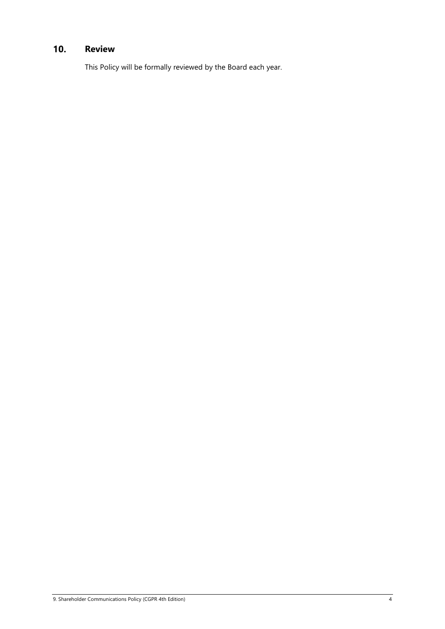#### $10.$ **Review**

This Policy will be formally reviewed by the Board each year.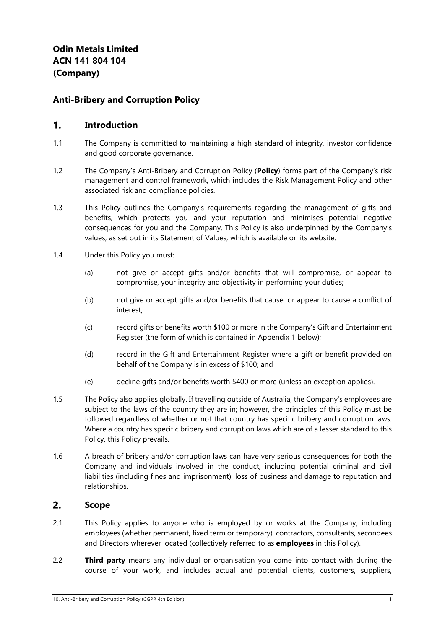# **Anti-Bribery and Corruption Policy**

#### $1.$ **Introduction**

- 1.1 The Company is committed to maintaining a high standard of integrity, investor confidence and good corporate governance.
- 1.2 The Company's Anti-Bribery and Corruption Policy (**Policy**) forms part of the Company's risk management and control framework, which includes the Risk Management Policy and other associated risk and compliance policies.
- 1.3 This Policy outlines the Company's requirements regarding the management of gifts and benefits, which protects you and your reputation and minimises potential negative consequences for you and the Company. This Policy is also underpinned by the Company's values, as set out in its Statement of Values, which is available on its website.
- 1.4 Under this Policy you must:
	- (a) not give or accept gifts and/or benefits that will compromise, or appear to compromise, your integrity and objectivity in performing your duties;
	- (b) not give or accept gifts and/or benefits that cause, or appear to cause a conflict of interest;
	- (c) record gifts or benefits worth \$100 or more in the Company's Gift and Entertainment Register (the form of which is contained in Appendix 1 below);
	- (d) record in the Gift and Entertainment Register where a gift or benefit provided on behalf of the Company is in excess of \$100; and
	- (e) decline gifts and/or benefits worth \$400 or more (unless an exception applies).
- 1.5 The Policy also applies globally. If travelling outside of Australia, the Company's employees are subject to the laws of the country they are in; however, the principles of this Policy must be followed regardless of whether or not that country has specific bribery and corruption laws. Where a country has specific bribery and corruption laws which are of a lesser standard to this Policy, this Policy prevails.
- 1.6 A breach of bribery and/or corruption laws can have very serious consequences for both the Company and individuals involved in the conduct, including potential criminal and civil liabilities (including fines and imprisonment), loss of business and damage to reputation and relationships.

#### $2.$ **Scope**

- 2.1 This Policy applies to anyone who is employed by or works at the Company, including employees (whether permanent, fixed term or temporary), contractors, consultants, secondees and Directors wherever located (collectively referred to as **employees** in this Policy).
- 2.2 **Third party** means any individual or organisation you come into contact with during the course of your work, and includes actual and potential clients, customers, suppliers,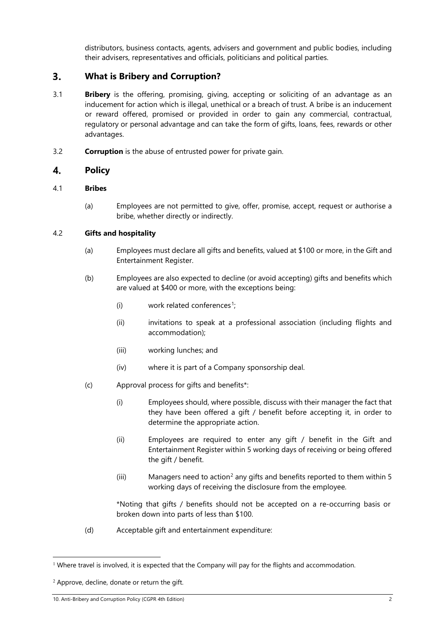distributors, business contacts, agents, advisers and government and public bodies, including their advisers, representatives and officials, politicians and political parties.

#### $3.$ **What is Bribery and Corruption?**

- 3.1 **Bribery** is the offering, promising, giving, accepting or soliciting of an advantage as an inducement for action which is illegal, unethical or a breach of trust. A bribe is an inducement or reward offered, promised or provided in order to gain any commercial, contractual, regulatory or personal advantage and can take the form of gifts, loans, fees, rewards or other advantages.
- 3.2 **Corruption** is the abuse of entrusted power for private gain.

#### $\boldsymbol{4}$ . **Policy**

### 4.1 **Bribes**

(a) Employees are not permitted to give, offer, promise, accept, request or authorise a bribe, whether directly or indirectly.

### 4.2 **Gifts and hospitality**

- (a) Employees must declare all gifts and benefits, valued at \$100 or more, in the Gift and Entertainment Register.
- (b) Employees are also expected to decline (or avoid accepting) gifts and benefits which are valued at \$400 or more, with the exceptions being:
	- (i) work related conferences<sup>1</sup>;
	- (ii) invitations to speak at a professional association (including flights and accommodation);
	- (iii) working lunches; and
	- (iv) where it is part of a Company sponsorship deal.
- (c) Approval process for gifts and benefits\*:
	- (i) Employees should, where possible, discuss with their manager the fact that they have been offered a gift / benefit before accepting it, in order to determine the appropriate action.
	- (ii) Employees are required to enter any gift / benefit in the Gift and Entertainment Register within 5 working days of receiving or being offered the gift / benefit.
	- (iii) Managers need to action<sup>2</sup> any gifts and benefits reported to them within 5 working days of receiving the disclosure from the employee.

\*Noting that gifts / benefits should not be accepted on a re-occurring basis or broken down into parts of less than \$100.

(d) Acceptable gift and entertainment expenditure:

<sup>&</sup>lt;sup>1</sup> Where travel is involved, it is expected that the Company will pay for the flights and accommodation.

<sup>&</sup>lt;sup>2</sup> Approve, decline, donate or return the gift.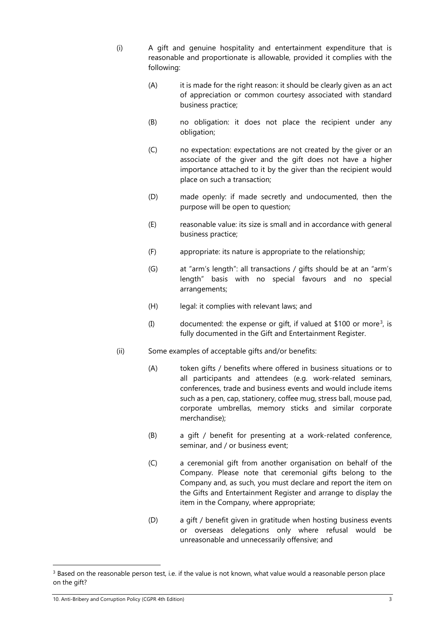(i) A gift and genuine hospitality and entertainment expenditure that is reasonable and proportionate is allowable, provided it complies with the following:

- (A) it is made for the right reason: it should be clearly given as an act of appreciation or common courtesy associated with standard business practice;
- (B) no obligation: it does not place the recipient under any obligation;
- (C) no expectation: expectations are not created by the giver or an associate of the giver and the gift does not have a higher importance attached to it by the giver than the recipient would place on such a transaction;
- (D) made openly: if made secretly and undocumented, then the purpose will be open to question;
- (E) reasonable value: its size is small and in accordance with general business practice;
- (F) appropriate: its nature is appropriate to the relationship;
- (G) at "arm's length": all transactions / gifts should be at an "arm's length" basis with no special favours and no special arrangements;
- (H) legal: it complies with relevant laws; and
- (I) documented: the expense or gift, if valued at \$100 or more<sup>3</sup>, is fully documented in the Gift and Entertainment Register.
- (ii) Some examples of acceptable gifts and/or benefits:
	- (A) token gifts / benefits where offered in business situations or to all participants and attendees (e.g. work-related seminars, conferences, trade and business events and would include items such as a pen, cap, stationery, coffee mug, stress ball, mouse pad, corporate umbrellas, memory sticks and similar corporate merchandise);
	- (B) a gift / benefit for presenting at a work-related conference, seminar, and / or business event;
	- (C) a ceremonial gift from another organisation on behalf of the Company. Please note that ceremonial gifts belong to the Company and, as such, you must declare and report the item on the Gifts and Entertainment Register and arrange to display the item in the Company, where appropriate;
	- (D) a gift / benefit given in gratitude when hosting business events or overseas delegations only where refusal would be unreasonable and unnecessarily offensive; and

<sup>&</sup>lt;sup>3</sup> Based on the reasonable person test, i.e. if the value is not known, what value would a reasonable person place on the gift?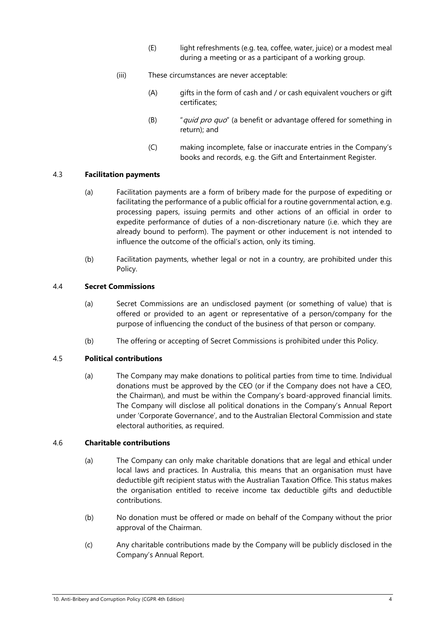- (E) light refreshments (e.g. tea, coffee, water, juice) or a modest meal during a meeting or as a participant of a working group.
- (iii) These circumstances are never acceptable:
	- (A) gifts in the form of cash and / or cash equivalent vouchers or gift certificates;
	- $(B)$  "*quid pro quo*" (a benefit or advantage offered for something in return); and
	- (C) making incomplete, false or inaccurate entries in the Company's books and records, e.g. the Gift and Entertainment Register.

### 4.3 **Facilitation payments**

- (a) Facilitation payments are a form of bribery made for the purpose of expediting or facilitating the performance of a public official for a routine governmental action, e.g. processing papers, issuing permits and other actions of an official in order to expedite performance of duties of a non-discretionary nature (i.e. which they are already bound to perform). The payment or other inducement is not intended to influence the outcome of the official's action, only its timing.
- (b) Facilitation payments, whether legal or not in a country, are prohibited under this Policy.

### 4.4 **Secret Commissions**

- (a) Secret Commissions are an undisclosed payment (or something of value) that is offered or provided to an agent or representative of a person/company for the purpose of influencing the conduct of the business of that person or company.
- (b) The offering or accepting of Secret Commissions is prohibited under this Policy.

### 4.5 **Political contributions**

(a) The Company may make donations to political parties from time to time. Individual donations must be approved by the CEO (or if the Company does not have a CEO, the Chairman), and must be within the Company's board-approved financial limits. The Company will disclose all political donations in the Company's Annual Report under 'Corporate Governance', and to the Australian Electoral Commission and state electoral authorities, as required.

# 4.6 **Charitable contributions**

- (a) The Company can only make charitable donations that are legal and ethical under local laws and practices. In Australia, this means that an organisation must have deductible gift recipient status with the Australian Taxation Office. This status makes the organisation entitled to receive income tax deductible gifts and deductible contributions.
- (b) No donation must be offered or made on behalf of the Company without the prior approval of the Chairman.
- (c) Any charitable contributions made by the Company will be publicly disclosed in the Company's Annual Report.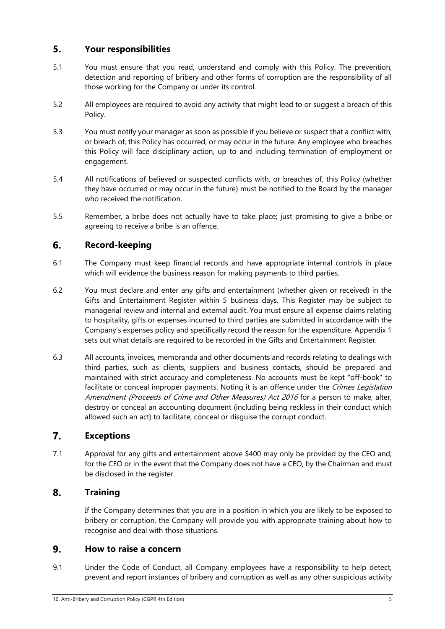#### 5. **Your responsibilities**

- 5.1 You must ensure that you read, understand and comply with this Policy. The prevention, detection and reporting of bribery and other forms of corruption are the responsibility of all those working for the Company or under its control.
- 5.2 All employees are required to avoid any activity that might lead to or suggest a breach of this Policy.
- 5.3 You must notify your manager as soon as possible if you believe or suspect that a conflict with, or breach of, this Policy has occurred, or may occur in the future. Any employee who breaches this Policy will face disciplinary action, up to and including termination of employment or engagement.
- 5.4 All notifications of believed or suspected conflicts with, or breaches of, this Policy (whether they have occurred or may occur in the future) must be notified to the Board by the manager who received the notification.
- 5.5 Remember, a bribe does not actually have to take place; just promising to give a bribe or agreeing to receive a bribe is an offence.

#### 6. **Record-keeping**

- 6.1 The Company must keep financial records and have appropriate internal controls in place which will evidence the business reason for making payments to third parties.
- 6.2 You must declare and enter any gifts and entertainment (whether given or received) in the Gifts and Entertainment Register within 5 business days. This Register may be subject to managerial review and internal and external audit. You must ensure all expense claims relating to hospitality, gifts or expenses incurred to third parties are submitted in accordance with the Company's expenses policy and specifically record the reason for the expenditure. Appendix 1 sets out what details are required to be recorded in the Gifts and Entertainment Register.
- 6.3 All accounts, invoices, memoranda and other documents and records relating to dealings with third parties, such as clients, suppliers and business contacts, should be prepared and maintained with strict accuracy and completeness. No accounts must be kept "off-book" to facilitate or conceal improper payments. Noting it is an offence under the *Crimes Legislation* Amendment (Proceeds of Crime and Other Measures) Act 2016 for a person to make, alter, destroy or conceal an accounting document (including being reckless in their conduct which allowed such an act) to facilitate, conceal or disguise the corrupt conduct.

#### 7. **Exceptions**

7.1 Approval for any gifts and entertainment above \$400 may only be provided by the CEO and, for the CEO or in the event that the Company does not have a CEO, by the Chairman and must be disclosed in the register.

#### 8. **Training**

If the Company determines that you are in a position in which you are likely to be exposed to bribery or corruption, the Company will provide you with appropriate training about how to recognise and deal with those situations.

#### 9. **How to raise a concern**

9.1 Under the Code of Conduct, all Company employees have a responsibility to help detect, prevent and report instances of bribery and corruption as well as any other suspicious activity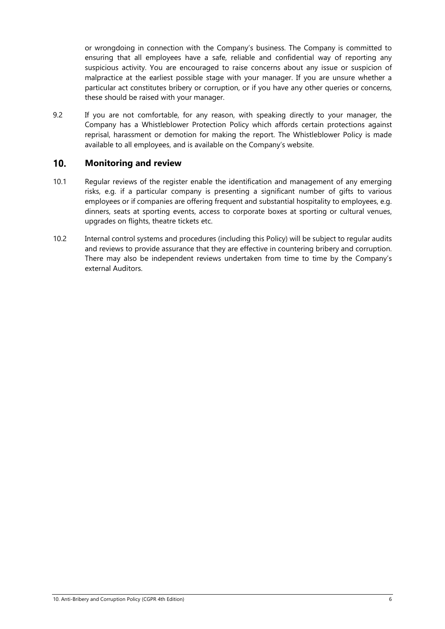or wrongdoing in connection with the Company's business. The Company is committed to ensuring that all employees have a safe, reliable and confidential way of reporting any suspicious activity. You are encouraged to raise concerns about any issue or suspicion of malpractice at the earliest possible stage with your manager. If you are unsure whether a particular act constitutes bribery or corruption, or if you have any other queries or concerns, these should be raised with your manager.

9.2 If you are not comfortable, for any reason, with speaking directly to your manager, the Company has a Whistleblower Protection Policy which affords certain protections against reprisal, harassment or demotion for making the report. The Whistleblower Policy is made available to all employees, and is available on the Company's website.

#### $10.$ **Monitoring and review**

- 10.1 Regular reviews of the register enable the identification and management of any emerging risks, e.g. if a particular company is presenting a significant number of gifts to various employees or if companies are offering frequent and substantial hospitality to employees, e.g. dinners, seats at sporting events, access to corporate boxes at sporting or cultural venues, upgrades on flights, theatre tickets etc.
- 10.2 Internal control systems and procedures (including this Policy) will be subject to regular audits and reviews to provide assurance that they are effective in countering bribery and corruption. There may also be independent reviews undertaken from time to time by the Company's external Auditors.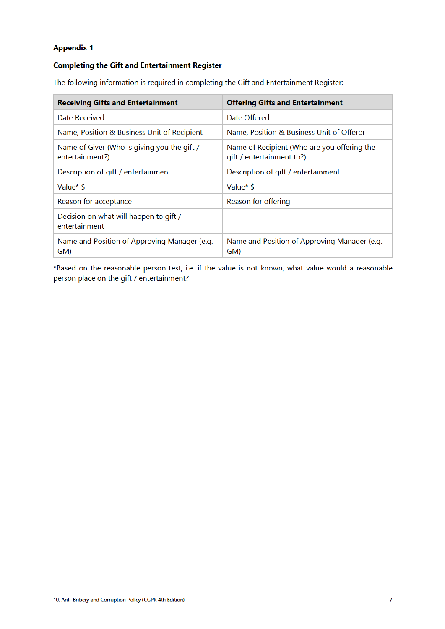# **Appendix 1**

# **Completing the Gift and Entertainment Register**

The following information is required in completing the Gift and Entertainment Register:

| <b>Receiving Gifts and Entertainment</b>                       | <b>Offering Gifts and Entertainment</b>                                  |
|----------------------------------------------------------------|--------------------------------------------------------------------------|
| Date Received                                                  | Date Offered                                                             |
| Name, Position & Business Unit of Recipient                    | Name, Position & Business Unit of Offeror                                |
| Name of Giver (Who is giving you the gift /<br>entertainment?) | Name of Recipient (Who are you offering the<br>gift / entertainment to?) |
| Description of gift / entertainment                            | Description of gift / entertainment                                      |
| Value* \$                                                      | Value* \$                                                                |
| Reason for acceptance                                          | Reason for offering                                                      |
| Decision on what will happen to gift /<br>entertainment        |                                                                          |
| Name and Position of Approving Manager (e.g.<br>GM)            | Name and Position of Approving Manager (e.g.<br>GM)                      |

\*Based on the reasonable person test, i.e. if the value is not known, what value would a reasonable person place on the gift / entertainment?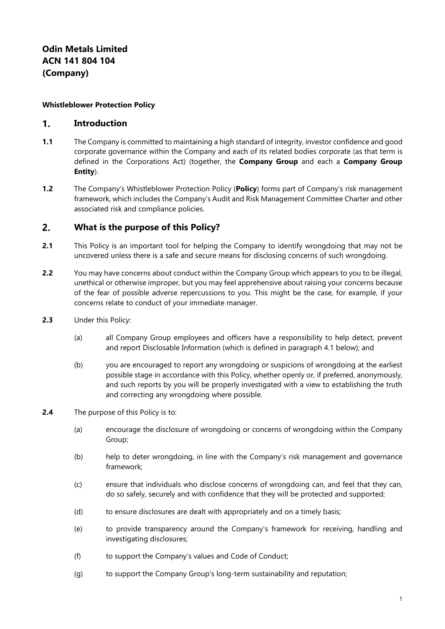### **Whistleblower Protection Policy**

#### $\mathbf{1}$ . **Introduction**

- **1.1** The Company is committed to maintaining a high standard of integrity, investor confidence and good corporate governance within the Company and each of its related bodies corporate (as that term is defined in the Corporations Act) (together, the **Company Group** and each a **Company Group Entity**).
- **1.2** The Company's Whistleblower Protection Policy (**Policy**) forms part of Company's risk management framework, which includes the Company's Audit and Risk Management Committee Charter and other associated risk and compliance policies.

#### $2.$ **What is the purpose of this Policy?**

- **2.1** This Policy is an important tool for helping the Company to identify wrongdoing that may not be uncovered unless there is a safe and secure means for disclosing concerns of such wrongdoing.
- **2.2** You may have concerns about conduct within the Company Group which appears to you to be illegal, unethical or otherwise improper, but you may feel apprehensive about raising your concerns because of the fear of possible adverse repercussions to you. This might be the case, for example, if your concerns relate to conduct of your immediate manager.
- **2.3** Under this Policy:
	- (a) all Company Group employees and officers have a responsibility to help detect, prevent and report Disclosable Information (which is defined in paragraph 4.1 below); and
	- (b) you are encouraged to report any wrongdoing or suspicions of wrongdoing at the earliest possible stage in accordance with this Policy, whether openly or, if preferred, anonymously, and such reports by you will be properly investigated with a view to establishing the truth and correcting any wrongdoing where possible.
- **2.4** The purpose of this Policy is to:
	- (a) encourage the disclosure of wrongdoing or concerns of wrongdoing within the Company Group;
	- (b) help to deter wrongdoing, in line with the Company's risk management and governance framework;
	- (c) ensure that individuals who disclose concerns of wrongdoing can, and feel that they can, do so safely, securely and with confidence that they will be protected and supported;
	- (d) to ensure disclosures are dealt with appropriately and on a timely basis;
	- (e) to provide transparency around the Company's framework for receiving, handling and investigating disclosures;
	- (f) to support the Company's values and Code of Conduct;
	- (g) to support the Company Group's long-term sustainability and reputation;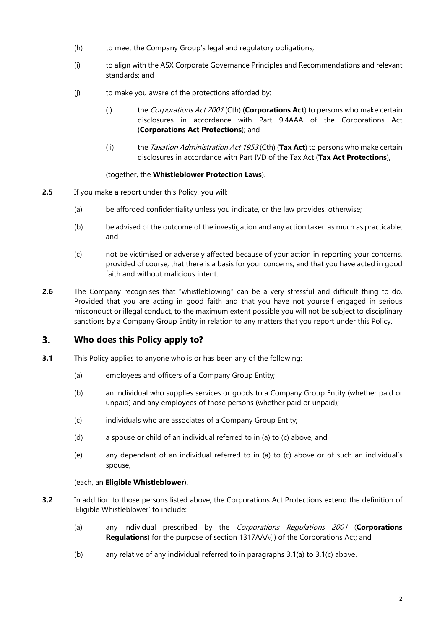- (h) to meet the Company Group's legal and regulatory obligations;
- (i) to align with the ASX Corporate Governance Principles and Recommendations and relevant standards; and
- (j) to make you aware of the protections afforded by:
	- (i) the Corporations Act 2001 (Cth) (**Corporations Act**) to persons who make certain disclosures in accordance with Part 9.4AAA of the Corporations Act (**Corporations Act Protections**); and
	- (ii) the Taxation Administration Act 1953 (Cth) (**Tax Act**) to persons who make certain disclosures in accordance with Part IVD of the Tax Act (**Tax Act Protections**),

### (together, the **Whistleblower Protection Laws**).

- **2.5** If you make a report under this Policy, you will:
	- (a) be afforded confidentiality unless you indicate, or the law provides, otherwise;
	- (b) be advised of the outcome of the investigation and any action taken as much as practicable; and
	- (c) not be victimised or adversely affected because of your action in reporting your concerns, provided of course, that there is a basis for your concerns, and that you have acted in good faith and without malicious intent.
- **2.6** The Company recognises that "whistleblowing" can be a very stressful and difficult thing to do. Provided that you are acting in good faith and that you have not yourself engaged in serious misconduct or illegal conduct, to the maximum extent possible you will not be subject to disciplinary sanctions by a Company Group Entity in relation to any matters that you report under this Policy.

#### $3<sub>1</sub>$ **Who does this Policy apply to?**

- **3.1** This Policy applies to anyone who is or has been any of the following:
	- (a) employees and officers of a Company Group Entity;
	- (b) an individual who supplies services or goods to a Company Group Entity (whether paid or unpaid) and any employees of those persons (whether paid or unpaid);
	- (c) individuals who are associates of a Company Group Entity;
	- (d) a spouse or child of an individual referred to in (a) to (c) above; and
	- (e) any dependant of an individual referred to in (a) to (c) above or of such an individual's spouse,

# (each, an **Eligible Whistleblower**).

- **3.2** In addition to those persons listed above, the Corporations Act Protections extend the definition of 'Eligible Whistleblower' to include:
	- (a) any individual prescribed by the Corporations Regulations <sup>2001</sup>(**Corporations Regulations**) for the purpose of section 1317AAA(i) of the Corporations Act; and
	- (b) any relative of any individual referred to in paragraphs 3.1(a) to 3.1(c) above.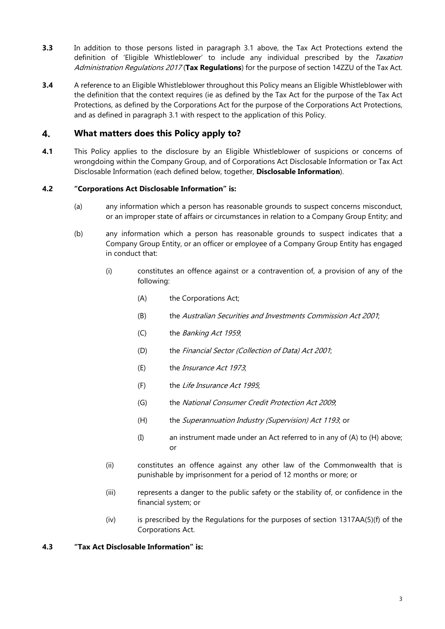- **3.3** In addition to those persons listed in paragraph 3.1 above, the Tax Act Protections extend the definition of 'Eligible Whistleblower' to include any individual prescribed by the Taxation Administration Regulations 2017 (**Tax Regulations**) for the purpose of section 14ZZU of the Tax Act.
- **3.4** A reference to an Eligible Whistleblower throughout this Policy means an Eligible Whistleblower with the definition that the context requires (ie as defined by the Tax Act for the purpose of the Tax Act Protections, as defined by the Corporations Act for the purpose of the Corporations Act Protections, and as defined in paragraph 3.1 with respect to the application of this Policy.

#### 4. **What matters does this Policy apply to?**

**4.1** This Policy applies to the disclosure by an Eligible Whistleblower of suspicions or concerns of wrongdoing within the Company Group, and of Corporations Act Disclosable Information or Tax Act Disclosable Information (each defined below, together, **Disclosable Information**).

# **4.2 "Corporations Act Disclosable Information" is:**

- (a) any information which a person has reasonable grounds to suspect concerns misconduct, or an improper state of affairs or circumstances in relation to a Company Group Entity; and
- (b) any information which a person has reasonable grounds to suspect indicates that a Company Group Entity, or an officer or employee of a Company Group Entity has engaged in conduct that:
	- (i) constitutes an offence against or a contravention of, a provision of any of the following:
		- (A) the Corporations Act;
		- (B) the Australian Securities and Investments Commission Act 2001;
		- (C) the Banking Act 1959;
		- (D) the Financial Sector (Collection of Data) Act 2001;
		- (E) the Insurance Act 1973;
		- (F) the Life Insurance Act 1995;
		- (G) the National Consumer Credit Protection Act 2009;
		- (H) the *Superannuation Industry (Supervision) Act 1193*; or
		- (I) an instrument made under an Act referred to in any of (A) to (H) above; or
	- (ii) constitutes an offence against any other law of the Commonwealth that is punishable by imprisonment for a period of 12 months or more; or
	- (iii) represents a danger to the public safety or the stability of, or confidence in the financial system; or
	- (iv) is prescribed by the Regulations for the purposes of section 1317AA(5)(f) of the Corporations Act.

### **4.3 "Tax Act Disclosable Information" is:**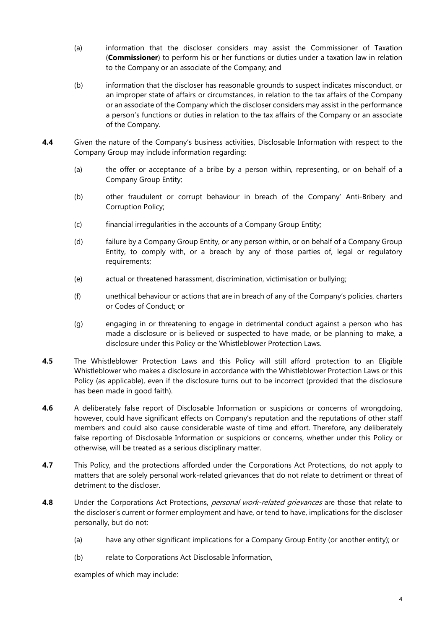- (a) information that the discloser considers may assist the Commissioner of Taxation (**Commissioner**) to perform his or her functions or duties under a taxation law in relation to the Company or an associate of the Company; and
- (b) information that the discloser has reasonable grounds to suspect indicates misconduct, or an improper state of affairs or circumstances, in relation to the tax affairs of the Company or an associate of the Company which the discloser considers may assist in the performance a person's functions or duties in relation to the tax affairs of the Company or an associate of the Company.
- **4.4** Given the nature of the Company's business activities, Disclosable Information with respect to the Company Group may include information regarding:
	- (a) the offer or acceptance of a bribe by a person within, representing, or on behalf of a Company Group Entity;
	- (b) other fraudulent or corrupt behaviour in breach of the Company' Anti-Bribery and Corruption Policy;
	- (c) financial irregularities in the accounts of a Company Group Entity;
	- (d) failure by a Company Group Entity, or any person within, or on behalf of a Company Group Entity, to comply with, or a breach by any of those parties of, legal or regulatory requirements;
	- (e) actual or threatened harassment, discrimination, victimisation or bullying;
	- (f) unethical behaviour or actions that are in breach of any of the Company's policies, charters or Codes of Conduct; or
	- (g) engaging in or threatening to engage in detrimental conduct against a person who has made a disclosure or is believed or suspected to have made, or be planning to make, a disclosure under this Policy or the Whistleblower Protection Laws.
- **4.5** The Whistleblower Protection Laws and this Policy will still afford protection to an Eligible Whistleblower who makes a disclosure in accordance with the Whistleblower Protection Laws or this Policy (as applicable), even if the disclosure turns out to be incorrect (provided that the disclosure has been made in good faith).
- **4.6** A deliberately false report of Disclosable Information or suspicions or concerns of wrongdoing, however, could have significant effects on Company's reputation and the reputations of other staff members and could also cause considerable waste of time and effort. Therefore, any deliberately false reporting of Disclosable Information or suspicions or concerns, whether under this Policy or otherwise, will be treated as a serious disciplinary matter.
- **4.7** This Policy, and the protections afforded under the Corporations Act Protections, do not apply to matters that are solely personal work-related grievances that do not relate to detriment or threat of detriment to the discloser.
- **4.8** Under the Corporations Act Protections, *personal work-related grievances* are those that relate to the discloser's current or former employment and have, or tend to have, implications for the discloser personally, but do not:
	- (a) have any other significant implications for a Company Group Entity (or another entity); or
	- (b) relate to Corporations Act Disclosable Information,

examples of which may include: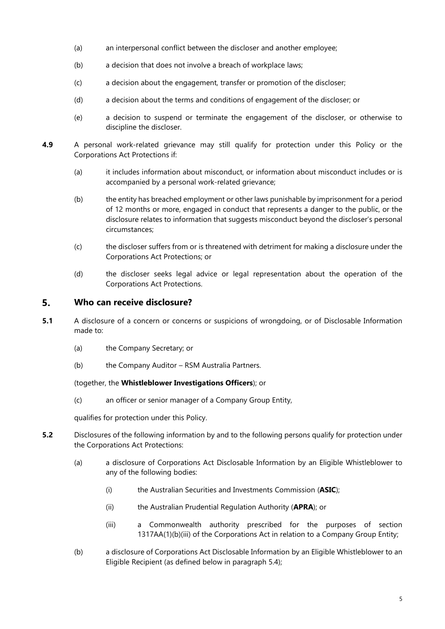- (a) an interpersonal conflict between the discloser and another employee;
- (b) a decision that does not involve a breach of workplace laws;
- (c) a decision about the engagement, transfer or promotion of the discloser;
- (d) a decision about the terms and conditions of engagement of the discloser; or
- (e) a decision to suspend or terminate the engagement of the discloser, or otherwise to discipline the discloser.
- **4.9** A personal work-related grievance may still qualify for protection under this Policy or the Corporations Act Protections if:
	- (a) it includes information about misconduct, or information about misconduct includes or is accompanied by a personal work-related grievance;
	- (b) the entity has breached employment or other laws punishable by imprisonment for a period of 12 months or more, engaged in conduct that represents a danger to the public, or the disclosure relates to information that suggests misconduct beyond the discloser's personal circumstances;
	- (c) the discloser suffers from or is threatened with detriment for making a disclosure under the Corporations Act Protections; or
	- (d) the discloser seeks legal advice or legal representation about the operation of the Corporations Act Protections.

#### 5. **Who can receive disclosure?**

- **5.1** A disclosure of a concern or concerns or suspicions of wrongdoing, or of Disclosable Information made to:
	- (a) the Company Secretary; or
	- (b) the Company Auditor RSM Australia Partners.

(together, the **Whistleblower Investigations Officers**); or

(c) an officer or senior manager of a Company Group Entity,

qualifies for protection under this Policy.

- **5.2** Disclosures of the following information by and to the following persons qualify for protection under the Corporations Act Protections:
	- (a) a disclosure of Corporations Act Disclosable Information by an Eligible Whistleblower to any of the following bodies:
		- (i) the Australian Securities and Investments Commission (**ASIC**);
		- (ii) the Australian Prudential Regulation Authority (**APRA**); or
		- (iii) a Commonwealth authority prescribed for the purposes of section 1317AA(1)(b)(iii) of the Corporations Act in relation to a Company Group Entity;
	- (b) a disclosure of Corporations Act Disclosable Information by an Eligible Whistleblower to an Eligible Recipient (as defined below in paragraph 5.4);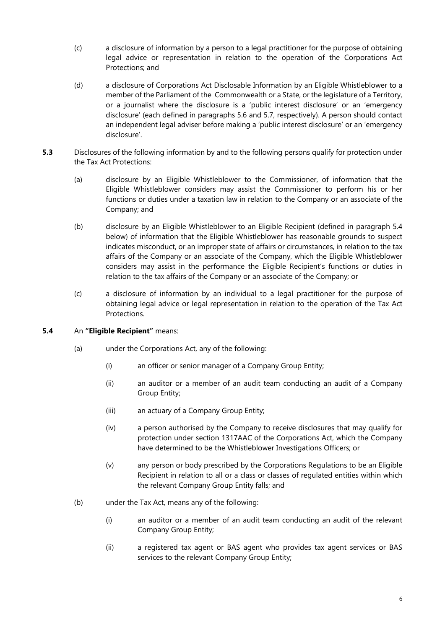- (c) a disclosure of information by a person to a legal practitioner for the purpose of obtaining legal advice or representation in relation to the operation of the Corporations Act Protections; and
- (d) a disclosure of Corporations Act Disclosable Information by an Eligible Whistleblower to a member of the Parliament of the Commonwealth or a State, or the legislature of a Territory, or a journalist where the disclosure is a 'public interest disclosure' or an 'emergency disclosure' (each defined in paragraphs 5.6 and 5.7, respectively). A person should contact an independent legal adviser before making a 'public interest disclosure' or an 'emergency disclosure'.
- **5.3** Disclosures of the following information by and to the following persons qualify for protection under the Tax Act Protections:
	- (a) disclosure by an Eligible Whistleblower to the Commissioner, of information that the Eligible Whistleblower considers may assist the Commissioner to perform his or her functions or duties under a taxation law in relation to the Company or an associate of the Company; and
	- (b) disclosure by an Eligible Whistleblower to an Eligible Recipient (defined in paragraph 5.4 below) of information that the Eligible Whistleblower has reasonable grounds to suspect indicates misconduct, or an improper state of affairs or circumstances, in relation to the tax affairs of the Company or an associate of the Company, which the Eligible Whistleblower considers may assist in the performance the Eligible Recipient's functions or duties in relation to the tax affairs of the Company or an associate of the Company; or
	- (c) a disclosure of information by an individual to a legal practitioner for the purpose of obtaining legal advice or legal representation in relation to the operation of the Tax Act Protections.

# **5.4** An **"Eligible Recipient"** means:

- (a) under the Corporations Act, any of the following:
	- (i) an officer or senior manager of a Company Group Entity;
	- (ii) an auditor or a member of an audit team conducting an audit of a Company Group Entity;
	- (iii) an actuary of a Company Group Entity;
	- (iv) a person authorised by the Company to receive disclosures that may qualify for protection under section 1317AAC of the Corporations Act, which the Company have determined to be the Whistleblower Investigations Officers; or
	- (v) any person or body prescribed by the Corporations Regulations to be an Eligible Recipient in relation to all or a class or classes of regulated entities within which the relevant Company Group Entity falls; and
- (b) under the Tax Act, means any of the following:
	- (i) an auditor or a member of an audit team conducting an audit of the relevant Company Group Entity;
	- (ii) a registered tax agent or BAS agent who provides tax agent services or BAS services to the relevant Company Group Entity;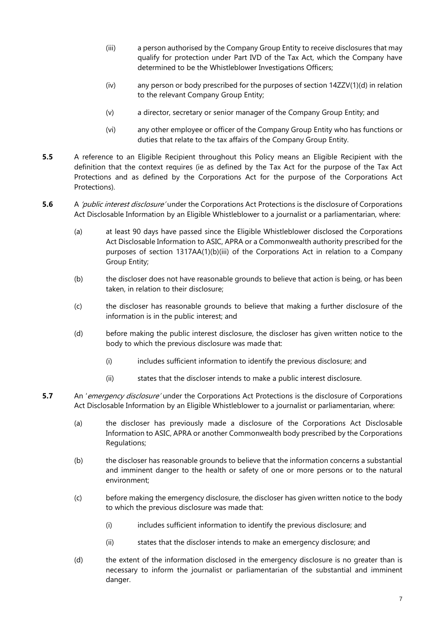- (iii) a person authorised by the Company Group Entity to receive disclosures that may qualify for protection under Part IVD of the Tax Act, which the Company have determined to be the Whistleblower Investigations Officers;
- (iv) any person or body prescribed for the purposes of section 14ZZV(1)(d) in relation to the relevant Company Group Entity;
- (v) a director, secretary or senior manager of the Company Group Entity; and
- (vi) any other employee or officer of the Company Group Entity who has functions or duties that relate to the tax affairs of the Company Group Entity.
- **5.5** A reference to an Eligible Recipient throughout this Policy means an Eligible Recipient with the definition that the context requires (ie as defined by the Tax Act for the purpose of the Tax Act Protections and as defined by the Corporations Act for the purpose of the Corporations Act Protections).
- **5.6** A *'public interest disclosure'* under the Corporations Act Protections is the disclosure of Corporations Act Disclosable Information by an Eligible Whistleblower to a journalist or a parliamentarian, where:
	- (a) at least 90 days have passed since the Eligible Whistleblower disclosed the Corporations Act Disclosable Information to ASIC, APRA or a Commonwealth authority prescribed for the purposes of section 1317AA(1)(b)(iii) of the Corporations Act in relation to a Company Group Entity;
	- (b) the discloser does not have reasonable grounds to believe that action is being, or has been taken, in relation to their disclosure;
	- (c) the discloser has reasonable grounds to believe that making a further disclosure of the information is in the public interest; and
	- (d) before making the public interest disclosure, the discloser has given written notice to the body to which the previous disclosure was made that:
		- (i) includes sufficient information to identify the previous disclosure; and
		- (ii) states that the discloser intends to make a public interest disclosure.
- **5.7** An 'emergency disclosure' under the Corporations Act Protections is the disclosure of Corporations Act Disclosable Information by an Eligible Whistleblower to a journalist or parliamentarian, where:
	- (a) the discloser has previously made a disclosure of the Corporations Act Disclosable Information to ASIC, APRA or another Commonwealth body prescribed by the Corporations Regulations;
	- (b) the discloser has reasonable grounds to believe that the information concerns a substantial and imminent danger to the health or safety of one or more persons or to the natural environment;
	- (c) before making the emergency disclosure, the discloser has given written notice to the body to which the previous disclosure was made that:
		- (i) includes sufficient information to identify the previous disclosure; and
		- (ii) states that the discloser intends to make an emergency disclosure; and
	- (d) the extent of the information disclosed in the emergency disclosure is no greater than is necessary to inform the journalist or parliamentarian of the substantial and imminent danger.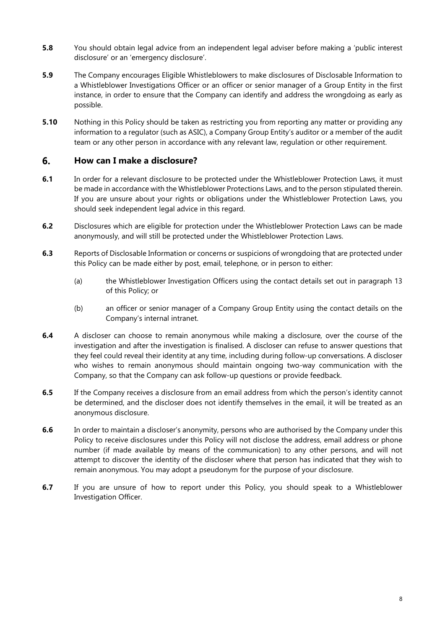- **5.8** You should obtain legal advice from an independent legal adviser before making a 'public interest disclosure' or an 'emergency disclosure'.
- **5.9** The Company encourages Eligible Whistleblowers to make disclosures of Disclosable Information to a Whistleblower Investigations Officer or an officer or senior manager of a Group Entity in the first instance, in order to ensure that the Company can identify and address the wrongdoing as early as possible.
- **5.10** Nothing in this Policy should be taken as restricting you from reporting any matter or providing any information to a regulator (such as ASIC), a Company Group Entity's auditor or a member of the audit team or any other person in accordance with any relevant law, regulation or other requirement.

#### 6. **How can I make a disclosure?**

- **6.1** In order for a relevant disclosure to be protected under the Whistleblower Protection Laws, it must be made in accordance with the Whistleblower Protections Laws, and to the person stipulated therein. If you are unsure about your rights or obligations under the Whistleblower Protection Laws, you should seek independent legal advice in this regard.
- **6.2** Disclosures which are eligible for protection under the Whistleblower Protection Laws can be made anonymously, and will still be protected under the Whistleblower Protection Laws.
- **6.3** Reports of Disclosable Information or concerns or suspicions of wrongdoing that are protected under this Policy can be made either by post, email, telephone, or in person to either:
	- (a) the Whistleblower Investigation Officers using the contact details set out in paragraph 13 of this Policy; or
	- (b) an officer or senior manager of a Company Group Entity using the contact details on the Company's internal intranet.
- **6.4** A discloser can choose to remain anonymous while making a disclosure, over the course of the investigation and after the investigation is finalised. A discloser can refuse to answer questions that they feel could reveal their identity at any time, including during follow-up conversations. A discloser who wishes to remain anonymous should maintain ongoing two-way communication with the Company, so that the Company can ask follow-up questions or provide feedback.
- **6.5** If the Company receives a disclosure from an email address from which the person's identity cannot be determined, and the discloser does not identify themselves in the email, it will be treated as an anonymous disclosure.
- **6.6** In order to maintain a discloser's anonymity, persons who are authorised by the Company under this Policy to receive disclosures under this Policy will not disclose the address, email address or phone number (if made available by means of the communication) to any other persons, and will not attempt to discover the identity of the discloser where that person has indicated that they wish to remain anonymous. You may adopt a pseudonym for the purpose of your disclosure.
- **6.7** If you are unsure of how to report under this Policy, you should speak to a Whistleblower Investigation Officer.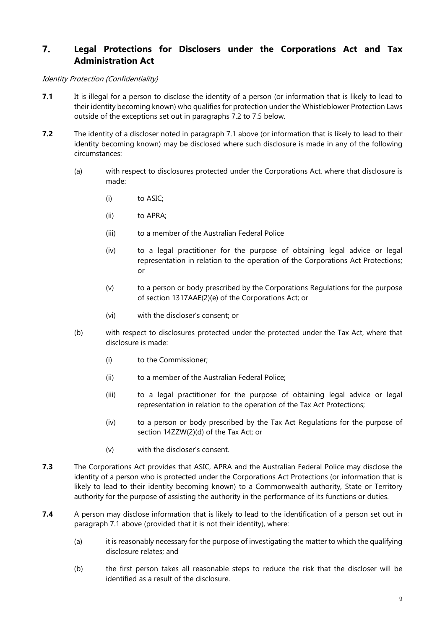### $\overline{7}$ . **Legal Protections for Disclosers under the Corporations Act and Tax Administration Act**

### Identity Protection (Confidentiality)

- **7.1** It is illegal for a person to disclose the identity of a person (or information that is likely to lead to their identity becoming known) who qualifies for protection under the Whistleblower Protection Laws outside of the exceptions set out in paragraphs 7.2 to 7.5 below.
- **7.2** The identity of a discloser noted in paragraph 7.1 above (or information that is likely to lead to their identity becoming known) may be disclosed where such disclosure is made in any of the following circumstances:
	- (a) with respect to disclosures protected under the Corporations Act, where that disclosure is made:
		- (i) to ASIC;
		- (ii) to APRA;
		- (iii) to a member of the Australian Federal Police
		- (iv) to a legal practitioner for the purpose of obtaining legal advice or legal representation in relation to the operation of the Corporations Act Protections; or
		- (v) to a person or body prescribed by the Corporations Regulations for the purpose of section 1317AAE(2)(e) of the Corporations Act; or
		- (vi) with the discloser's consent; or
	- (b) with respect to disclosures protected under the protected under the Tax Act, where that disclosure is made:
		- (i) to the Commissioner;
		- (ii) to a member of the Australian Federal Police;
		- (iii) to a legal practitioner for the purpose of obtaining legal advice or legal representation in relation to the operation of the Tax Act Protections;
		- (iv) to a person or body prescribed by the Tax Act Regulations for the purpose of section 14ZZW(2)(d) of the Tax Act; or
		- (v) with the discloser's consent.
- **7.3** The Corporations Act provides that ASIC, APRA and the Australian Federal Police may disclose the identity of a person who is protected under the Corporations Act Protections (or information that is likely to lead to their identity becoming known) to a Commonwealth authority, State or Territory authority for the purpose of assisting the authority in the performance of its functions or duties.
- **7.4** A person may disclose information that is likely to lead to the identification of a person set out in paragraph 7.1 above (provided that it is not their identity), where:
	- (a) it is reasonably necessary for the purpose of investigating the matter to which the qualifying disclosure relates; and
	- (b) the first person takes all reasonable steps to reduce the risk that the discloser will be identified as a result of the disclosure.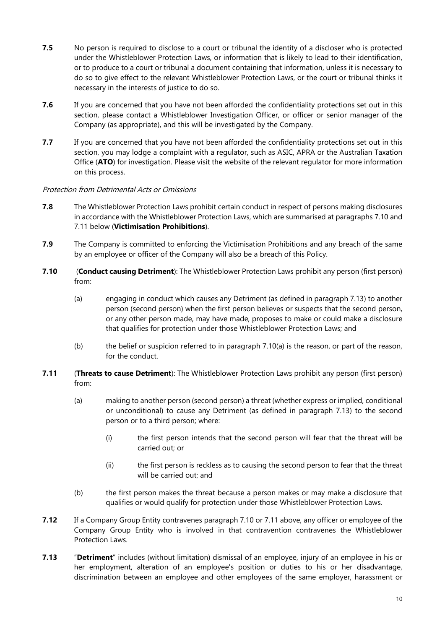- **7.5** No person is required to disclose to a court or tribunal the identity of a discloser who is protected under the Whistleblower Protection Laws, or information that is likely to lead to their identification, or to produce to a court or tribunal a document containing that information, unless it is necessary to do so to give effect to the relevant Whistleblower Protection Laws, or the court or tribunal thinks it necessary in the interests of justice to do so.
- **7.6** If you are concerned that you have not been afforded the confidentiality protections set out in this section, please contact a Whistleblower Investigation Officer, or officer or senior manager of the Company (as appropriate), and this will be investigated by the Company.
- **7.7** If you are concerned that you have not been afforded the confidentiality protections set out in this section, you may lodge a complaint with a regulator, such as ASIC, APRA or the Australian Taxation Office (**ATO**) for investigation. Please visit the website of the relevant regulator for more information on this process.

### Protection from Detrimental Acts or Omissions

- **7.8** The Whistleblower Protection Laws prohibit certain conduct in respect of persons making disclosures in accordance with the Whistleblower Protection Laws, which are summarised at paragraphs 7.10 and 7.11 below (**Victimisation Prohibitions**).
- **7.9** The Company is committed to enforcing the Victimisation Prohibitions and any breach of the same by an employee or officer of the Company will also be a breach of this Policy.
- **7.10** (**Conduct causing Detriment**): The Whistleblower Protection Laws prohibit any person (first person) from:
	- (a) engaging in conduct which causes any Detriment (as defined in paragraph 7.13) to another person (second person) when the first person believes or suspects that the second person, or any other person made, may have made, proposes to make or could make a disclosure that qualifies for protection under those Whistleblower Protection Laws; and
	- (b) the belief or suspicion referred to in paragraph 7.10(a) is the reason, or part of the reason, for the conduct.
- **7.11** (**Threats to cause Detriment**): The Whistleblower Protection Laws prohibit any person (first person) from:
	- (a) making to another person (second person) a threat (whether express or implied, conditional or unconditional) to cause any Detriment (as defined in paragraph 7.13) to the second person or to a third person; where:
		- (i) the first person intends that the second person will fear that the threat will be carried out; or
		- (ii) the first person is reckless as to causing the second person to fear that the threat will be carried out; and
	- (b) the first person makes the threat because a person makes or may make a disclosure that qualifies or would qualify for protection under those Whistleblower Protection Laws.
- **7.12** If a Company Group Entity contravenes paragraph 7.10 or 7.11 above, any officer or employee of the Company Group Entity who is involved in that contravention contravenes the Whistleblower Protection Laws.
- **7.13** "**Detriment**" includes (without limitation) dismissal of an employee, injury of an employee in his or her employment, alteration of an employee's position or duties to his or her disadvantage, discrimination between an employee and other employees of the same employer, harassment or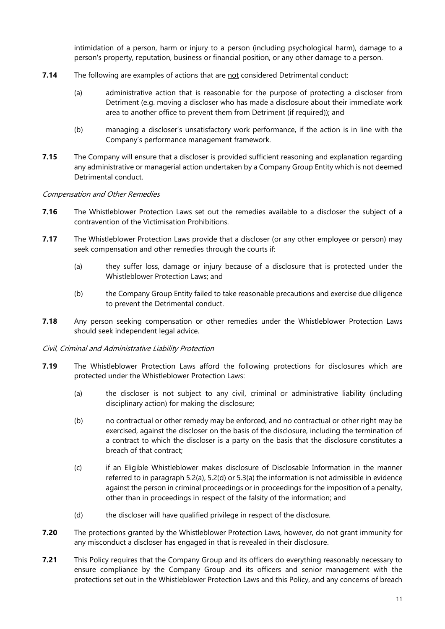intimidation of a person, harm or injury to a person (including psychological harm), damage to a person's property, reputation, business or financial position, or any other damage to a person.

- **7.14** The following are examples of actions that are not considered Detrimental conduct:
	- (a) administrative action that is reasonable for the purpose of protecting a discloser from Detriment (e.g. moving a discloser who has made a disclosure about their immediate work area to another office to prevent them from Detriment (if required)); and
	- (b) managing a discloser's unsatisfactory work performance, if the action is in line with the Company's performance management framework.
- **7.15** The Company will ensure that a discloser is provided sufficient reasoning and explanation regarding any administrative or managerial action undertaken by a Company Group Entity which is not deemed Detrimental conduct.

### Compensation and Other Remedies

- **7.16** The Whistleblower Protection Laws set out the remedies available to a discloser the subject of a contravention of the Victimisation Prohibitions.
- **7.17** The Whistleblower Protection Laws provide that a discloser (or any other employee or person) may seek compensation and other remedies through the courts if:
	- (a) they suffer loss, damage or injury because of a disclosure that is protected under the Whistleblower Protection Laws; and
	- (b) the Company Group Entity failed to take reasonable precautions and exercise due diligence to prevent the Detrimental conduct.
- **7.18** Any person seeking compensation or other remedies under the Whistleblower Protection Laws should seek independent legal advice.

### Civil, Criminal and Administrative Liability Protection

- **7.19** The Whistleblower Protection Laws afford the following protections for disclosures which are protected under the Whistleblower Protection Laws:
	- (a) the discloser is not subject to any civil, criminal or administrative liability (including disciplinary action) for making the disclosure;
	- (b) no contractual or other remedy may be enforced, and no contractual or other right may be exercised, against the discloser on the basis of the disclosure, including the termination of a contract to which the discloser is a party on the basis that the disclosure constitutes a breach of that contract;
	- (c) if an Eligible Whistleblower makes disclosure of Disclosable Information in the manner referred to in paragraph 5.2(a), 5.2(d) or 5.3(a) the information is not admissible in evidence against the person in criminal proceedings or in proceedings for the imposition of a penalty, other than in proceedings in respect of the falsity of the information; and
	- (d) the discloser will have qualified privilege in respect of the disclosure.
- **7.20** The protections granted by the Whistleblower Protection Laws, however, do not grant immunity for any misconduct a discloser has engaged in that is revealed in their disclosure.
- **7.21** This Policy requires that the Company Group and its officers do everything reasonably necessary to ensure compliance by the Company Group and its officers and senior management with the protections set out in the Whistleblower Protection Laws and this Policy, and any concerns of breach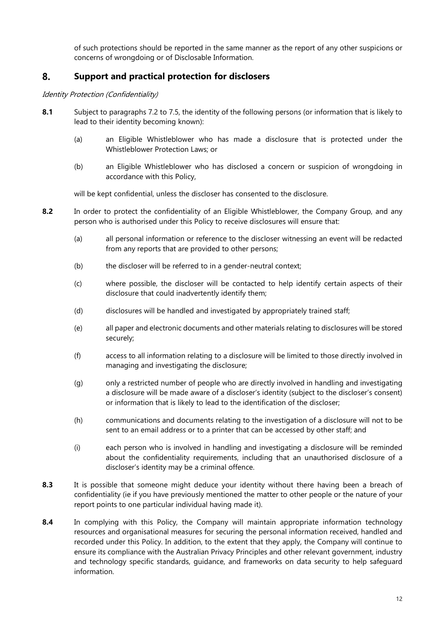of such protections should be reported in the same manner as the report of any other suspicions or concerns of wrongdoing or of Disclosable Information.

### 8. **Support and practical protection for disclosers**

Identity Protection (Confidentiality)

- **8.1** Subject to paragraphs 7.2 to 7.5, the identity of the following persons (or information that is likely to lead to their identity becoming known):
	- (a) an Eligible Whistleblower who has made a disclosure that is protected under the Whistleblower Protection Laws; or
	- (b) an Eligible Whistleblower who has disclosed a concern or suspicion of wrongdoing in accordance with this Policy,

will be kept confidential, unless the discloser has consented to the disclosure.

- **8.2** In order to protect the confidentiality of an Eligible Whistleblower, the Company Group, and any person who is authorised under this Policy to receive disclosures will ensure that:
	- (a) all personal information or reference to the discloser witnessing an event will be redacted from any reports that are provided to other persons;
	- (b) the discloser will be referred to in a gender-neutral context;
	- (c) where possible, the discloser will be contacted to help identify certain aspects of their disclosure that could inadvertently identify them;
	- (d) disclosures will be handled and investigated by appropriately trained staff;
	- (e) all paper and electronic documents and other materials relating to disclosures will be stored securely;
	- (f) access to all information relating to a disclosure will be limited to those directly involved in managing and investigating the disclosure;
	- (g) only a restricted number of people who are directly involved in handling and investigating a disclosure will be made aware of a discloser's identity (subject to the discloser's consent) or information that is likely to lead to the identification of the discloser;
	- (h) communications and documents relating to the investigation of a disclosure will not to be sent to an email address or to a printer that can be accessed by other staff; and
	- (i) each person who is involved in handling and investigating a disclosure will be reminded about the confidentiality requirements, including that an unauthorised disclosure of a discloser's identity may be a criminal offence.
- **8.3** It is possible that someone might deduce your identity without there having been a breach of confidentiality (ie if you have previously mentioned the matter to other people or the nature of your report points to one particular individual having made it).
- **8.4** In complying with this Policy, the Company will maintain appropriate information technology resources and organisational measures for securing the personal information received, handled and recorded under this Policy. In addition, to the extent that they apply, the Company will continue to ensure its compliance with the Australian Privacy Principles and other relevant government, industry and technology specific standards, guidance, and frameworks on data security to help safeguard information.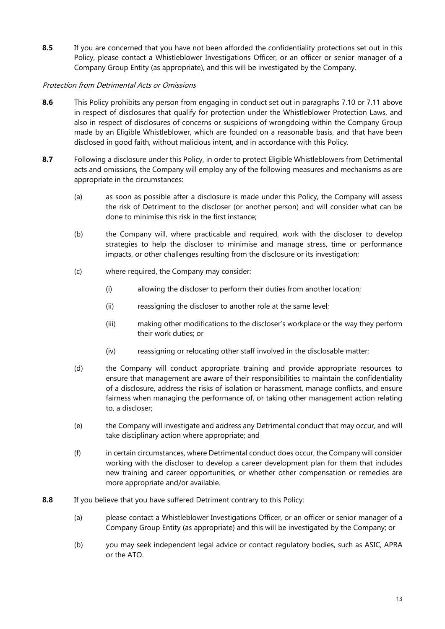**8.5** If you are concerned that you have not been afforded the confidentiality protections set out in this Policy, please contact a Whistleblower Investigations Officer, or an officer or senior manager of a Company Group Entity (as appropriate), and this will be investigated by the Company.

# Protection from Detrimental Acts or Omissions

- **8.6** This Policy prohibits any person from engaging in conduct set out in paragraphs 7.10 or 7.11 above in respect of disclosures that qualify for protection under the Whistleblower Protection Laws, and also in respect of disclosures of concerns or suspicions of wrongdoing within the Company Group made by an Eligible Whistleblower, which are founded on a reasonable basis, and that have been disclosed in good faith, without malicious intent, and in accordance with this Policy.
- **8.7** Following a disclosure under this Policy, in order to protect Eligible Whistleblowers from Detrimental acts and omissions, the Company will employ any of the following measures and mechanisms as are appropriate in the circumstances:
	- (a) as soon as possible after a disclosure is made under this Policy, the Company will assess the risk of Detriment to the discloser (or another person) and will consider what can be done to minimise this risk in the first instance;
	- (b) the Company will, where practicable and required, work with the discloser to develop strategies to help the discloser to minimise and manage stress, time or performance impacts, or other challenges resulting from the disclosure or its investigation;
	- (c) where required, the Company may consider:
		- (i) allowing the discloser to perform their duties from another location;
		- (ii) reassigning the discloser to another role at the same level;
		- (iii) making other modifications to the discloser's workplace or the way they perform their work duties; or
		- (iv) reassigning or relocating other staff involved in the disclosable matter;
	- (d) the Company will conduct appropriate training and provide appropriate resources to ensure that management are aware of their responsibilities to maintain the confidentiality of a disclosure, address the risks of isolation or harassment, manage conflicts, and ensure fairness when managing the performance of, or taking other management action relating to, a discloser;
	- (e) the Company will investigate and address any Detrimental conduct that may occur, and will take disciplinary action where appropriate; and
	- (f) in certain circumstances, where Detrimental conduct does occur, the Company will consider working with the discloser to develop a career development plan for them that includes new training and career opportunities, or whether other compensation or remedies are more appropriate and/or available.
- **8.8** If you believe that you have suffered Detriment contrary to this Policy:
	- (a) please contact a Whistleblower Investigations Officer, or an officer or senior manager of a Company Group Entity (as appropriate) and this will be investigated by the Company; or
	- (b) you may seek independent legal advice or contact regulatory bodies, such as ASIC, APRA or the ATO.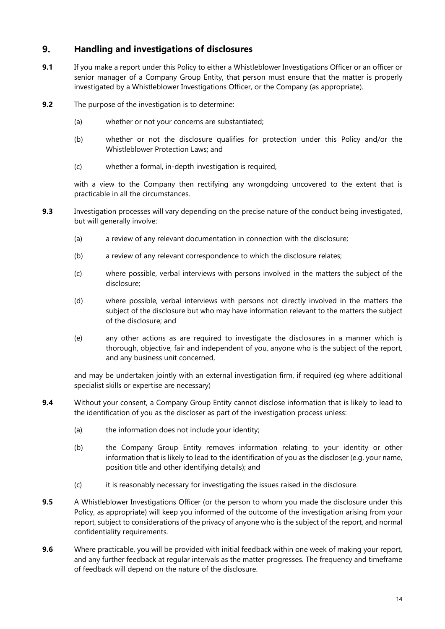### 9. **Handling and investigations of disclosures**

- **9.1** If you make a report under this Policy to either a Whistleblower Investigations Officer or an officer or senior manager of a Company Group Entity, that person must ensure that the matter is properly investigated by a Whistleblower Investigations Officer, or the Company (as appropriate).
- **9.2** The purpose of the investigation is to determine:
	- (a) whether or not your concerns are substantiated;
	- (b) whether or not the disclosure qualifies for protection under this Policy and/or the Whistleblower Protection Laws; and
	- (c) whether a formal, in-depth investigation is required,

with a view to the Company then rectifying any wrongdoing uncovered to the extent that is practicable in all the circumstances.

- **9.3** Investigation processes will vary depending on the precise nature of the conduct being investigated, but will generally involve:
	- (a) a review of any relevant documentation in connection with the disclosure;
	- (b) a review of any relevant correspondence to which the disclosure relates;
	- (c) where possible, verbal interviews with persons involved in the matters the subject of the disclosure;
	- (d) where possible, verbal interviews with persons not directly involved in the matters the subject of the disclosure but who may have information relevant to the matters the subject of the disclosure; and
	- (e) any other actions as are required to investigate the disclosures in a manner which is thorough, objective, fair and independent of you, anyone who is the subject of the report, and any business unit concerned,

and may be undertaken jointly with an external investigation firm, if required (eg where additional specialist skills or expertise are necessary)

- **9.4** Without your consent, a Company Group Entity cannot disclose information that is likely to lead to the identification of you as the discloser as part of the investigation process unless:
	- (a) the information does not include your identity;
	- (b) the Company Group Entity removes information relating to your identity or other information that is likely to lead to the identification of you as the discloser (e.g. your name, position title and other identifying details); and
	- (c) it is reasonably necessary for investigating the issues raised in the disclosure.
- **9.5** A Whistleblower Investigations Officer (or the person to whom you made the disclosure under this Policy, as appropriate) will keep you informed of the outcome of the investigation arising from your report, subject to considerations of the privacy of anyone who is the subject of the report, and normal confidentiality requirements.
- **9.6** Where practicable, you will be provided with initial feedback within one week of making your report, and any further feedback at regular intervals as the matter progresses. The frequency and timeframe of feedback will depend on the nature of the disclosure.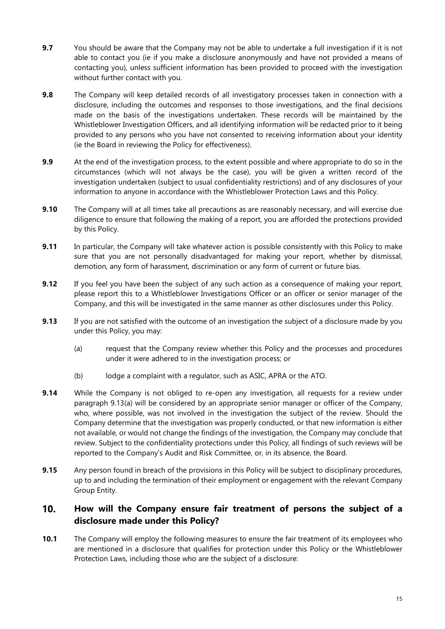- **9.7** You should be aware that the Company may not be able to undertake a full investigation if it is not able to contact you (ie if you make a disclosure anonymously and have not provided a means of contacting you), unless sufficient information has been provided to proceed with the investigation without further contact with you.
- **9.8** The Company will keep detailed records of all investigatory processes taken in connection with a disclosure, including the outcomes and responses to those investigations, and the final decisions made on the basis of the investigations undertaken. These records will be maintained by the Whistleblower Investigation Officers, and all identifying information will be redacted prior to it being provided to any persons who you have not consented to receiving information about your identity (ie the Board in reviewing the Policy for effectiveness).
- **9.9** At the end of the investigation process, to the extent possible and where appropriate to do so in the circumstances (which will not always be the case), you will be given a written record of the investigation undertaken (subject to usual confidentiality restrictions) and of any disclosures of your information to anyone in accordance with the Whistleblower Protection Laws and this Policy.
- **9.10** The Company will at all times take all precautions as are reasonably necessary, and will exercise due diligence to ensure that following the making of a report, you are afforded the protections provided by this Policy.
- **9.11** In particular, the Company will take whatever action is possible consistently with this Policy to make sure that you are not personally disadvantaged for making your report, whether by dismissal, demotion, any form of harassment, discrimination or any form of current or future bias.
- **9.12** If you feel you have been the subject of any such action as a consequence of making your report, please report this to a Whistleblower Investigations Officer or an officer or senior manager of the Company, and this will be investigated in the same manner as other disclosures under this Policy.
- **9.13** If you are not satisfied with the outcome of an investigation the subject of a disclosure made by you under this Policy, you may:
	- (a) request that the Company review whether this Policy and the processes and procedures under it were adhered to in the investigation process; or
	- (b) lodge a complaint with a regulator, such as ASIC, APRA or the ATO.
- **9.14** While the Company is not obliged to re-open any investigation, all requests for a review under paragraph 9.13(a) will be considered by an appropriate senior manager or officer of the Company, who, where possible, was not involved in the investigation the subject of the review. Should the Company determine that the investigation was properly conducted, or that new information is either not available, or would not change the findings of the investigation, the Company may conclude that review. Subject to the confidentiality protections under this Policy, all findings of such reviews will be reported to the Company's Audit and Risk Committee, or, in its absence, the Board.
- **9.15** Any person found in breach of the provisions in this Policy will be subject to disciplinary procedures, up to and including the termination of their employment or engagement with the relevant Company Group Entity.

### $10.$ **How will the Company ensure fair treatment of persons the subject of a disclosure made under this Policy?**

**10.1** The Company will employ the following measures to ensure the fair treatment of its employees who are mentioned in a disclosure that qualifies for protection under this Policy or the Whistleblower Protection Laws, including those who are the subject of a disclosure: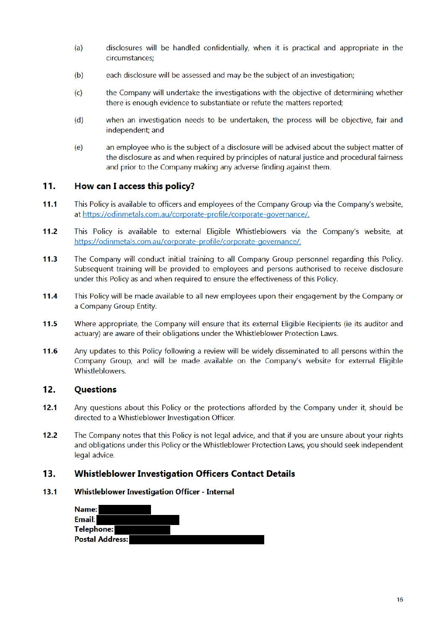- disclosures will be handled confidentially, when it is practical and appropriate in the  $(a)$ circumstances:
- $(b)$ each disclosure will be assessed and may be the subject of an investigation;
- the Company will undertake the investigations with the objective of determining whether  $(c)$ there is enough evidence to substantiate or refute the matters reported;
- when an investigation needs to be undertaken, the process will be objective, fair and  $(d)$ independent: and
- $(e)$ an employee who is the subject of a disclosure will be advised about the subject matter of the disclosure as and when required by principles of natural justice and procedural fairness and prior to the Company making any adverse finding against them.

### $11.$ How can I access this policy?

- $11.1$ This Policy is available to officers and employees of the Company Group via the Company's website, at https://odinmetals.com.au/corporate-profile/corporate-governance/.
- $11.2$ This Policy is available to external Eligible Whistleblowers via the Company's website, at https://odinmetals.com.au/corporate-profile/corporate-governance/.
- The Company will conduct initial training to all Company Group personnel regarding this Policy.  $11.3$ Subsequent training will be provided to employees and persons authorised to receive disclosure under this Policy as and when required to ensure the effectiveness of this Policy.
- This Policy will be made available to all new employees upon their engagement by the Company or 11.4 a Company Group Entity.
- $11.5$ Where appropriate, the Company will ensure that its external Eligible Recipients (ie its auditor and actuary) are aware of their obligations under the Whistleblower Protection Laws.
- 11.6 Any updates to this Policy following a review will be widely disseminated to all persons within the Company Group, and will be made available on the Company's website for external Eligible Whistleblowers.

### $12.$ **Questions**

- $12.1$ Any questions about this Policy or the protections afforded by the Company under it, should be directed to a Whistleblower Investigation Officer.
- $12.2$ The Company notes that this Policy is not legal advice, and that if you are unsure about your rights and obligations under this Policy or the Whistleblower Protection Laws, you should seek independent legal advice.

#### $13.$ **Whistleblower Investigation Officers Contact Details**

#### $13.1$ **Whistleblower Investigation Officer - Internal**

| <b>Name:</b>           |  |
|------------------------|--|
| <b>Email:</b>          |  |
| <b>Telephone:</b>      |  |
| <b>Postal Address:</b> |  |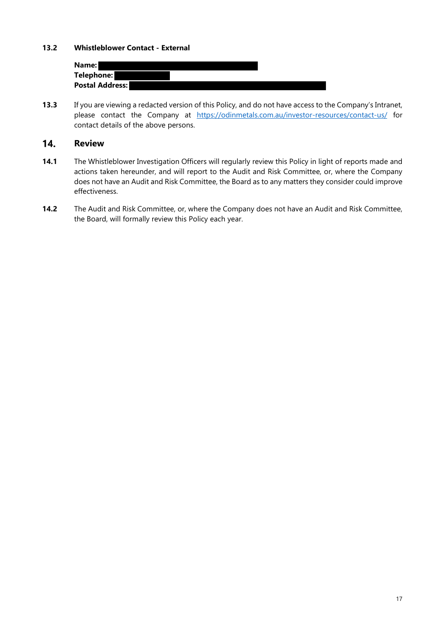# **13.2 Whistleblower Contact - External**

| Name: I                |  |  |  |
|------------------------|--|--|--|
| <b>Telephone:</b>      |  |  |  |
| <b>Postal Address:</b> |  |  |  |

**13.3** If you are viewing a redacted version of this Policy, and do not have access to the Company's Intranet, please contact the Company at https://odinmetals.com.au/investor-resources/contact-us/ for contact details of the above persons.

#### 14. **Review**

- **14.1** The Whistleblower Investigation Officers will regularly review this Policy in light of reports made and actions taken hereunder, and will report to the Audit and Risk Committee, or, where the Company does not have an Audit and Risk Committee, the Board as to any matters they consider could improve effectiveness.
- **14.2** The Audit and Risk Committee, or, where the Company does not have an Audit and Risk Committee, the Board, will formally review this Policy each year.